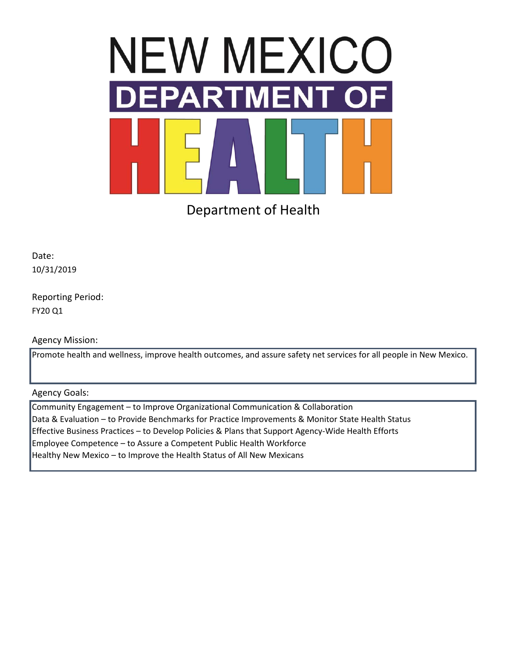

Department of Health

Date: 10/31/2019

Reporting Period: FY20 Q1

Agency Mission:

Promote health and wellness, improve health outcomes, and assure safety net services for all people in New Mexico.

Agency Goals:

Community Engagement – to Improve Organizational Communication & Collaboration Data & Evaluation – to Provide Benchmarks for Practice Improvements & Monitor State Health Status Effective Business Practices – to Develop Policies & Plans that Support Agency-Wide Health Efforts Employee Competence – to Assure a Competent Public Health Workforce Healthy New Mexico – to Improve the Health Status of All New Mexicans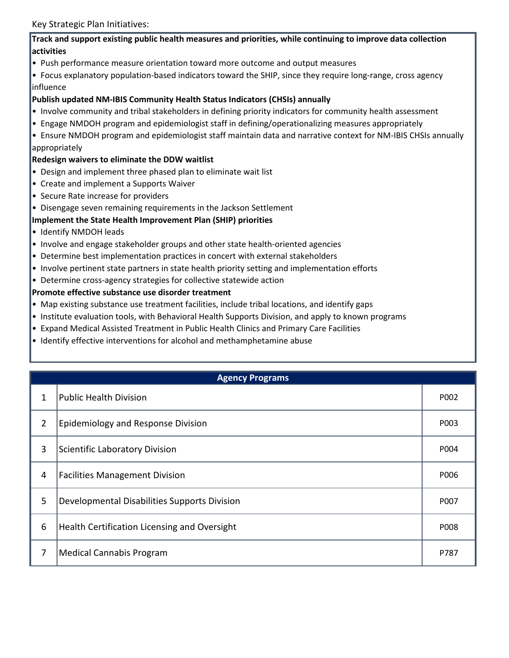# **Track and support existing public health measures and priorities, while continuing to improve data collection activities**

• Push performance measure orientation toward more outcome and output measures

• Focus explanatory population-based indicators toward the SHIP, since they require long-range, cross agency influence

# **Publish updated NM-IBIS Community Health Status Indicators (CHSIs) annually**

- Involve community and tribal stakeholders in defining priority indicators for community health assessment
- Engage NMDOH program and epidemiologist staff in defining/operationalizing measures appropriately
- Ensure NMDOH program and epidemiologist staff maintain data and narrative context for NM-IBIS CHSIs annually appropriately

# **Redesign waivers to eliminate the DDW waitlist**

- Design and implement three phased plan to eliminate wait list
- Create and implement a Supports Waiver
- Secure Rate increase for providers
- Disengage seven remaining requirements in the Jackson Settlement

# **Implement the State Health Improvement Plan (SHIP) priorities**

- Identify NMDOH leads
- Involve and engage stakeholder groups and other state health-oriented agencies
- Determine best implementation practices in concert with external stakeholders
- Involve pertinent state partners in state health priority setting and implementation efforts
- Determine cross-agency strategies for collective statewide action

## **Promote effective substance use disorder treatment**

- Map existing substance use treatment facilities, include tribal locations, and identify gaps
- Institute evaluation tools, with Behavioral Health Supports Division, and apply to known programs
- Expand Medical Assisted Treatment in Public Health Clinics and Primary Care Facilities
- Identify effective interventions for alcohol and methamphetamine abuse

|                | <b>Agency Programs</b>                       |      |  |  |  |  |  |
|----------------|----------------------------------------------|------|--|--|--|--|--|
| 1              | Public Health Division                       | P002 |  |  |  |  |  |
| $\overline{2}$ | <b>Epidemiology and Response Division</b>    | P003 |  |  |  |  |  |
| 3              | Scientific Laboratory Division               | P004 |  |  |  |  |  |
| 4              | <b>Facilities Management Division</b>        | P006 |  |  |  |  |  |
| 5              | Developmental Disabilities Supports Division | P007 |  |  |  |  |  |
| 6              | Health Certification Licensing and Oversight | P008 |  |  |  |  |  |
| 7              | Medical Cannabis Program                     | P787 |  |  |  |  |  |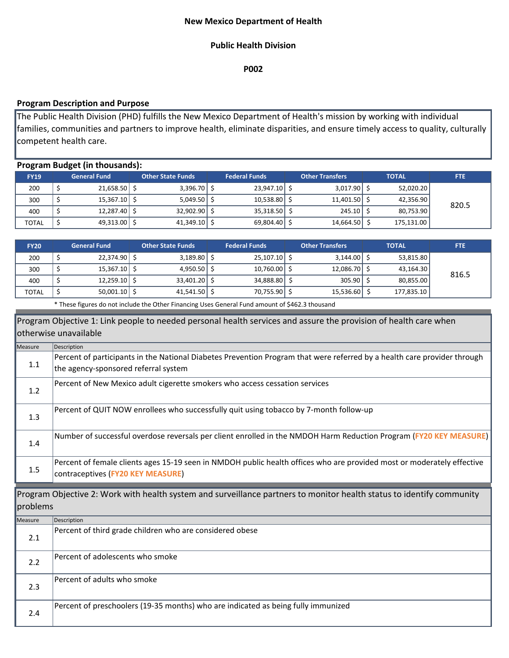# **New Mexico Department of Health**

### **Public Health Division**

**P002**

## **Program Description and Purpose**

The Public Health Division (PHD) fulfills the New Mexico Department of Health's mission by working with individual families, communities and partners to improve health, eliminate disparities, and ensure timely access to quality, culturally competent health care.

| <b>Program Budget (in thousands):</b> |  |                      |  |                          |  |                      |  |                        |              |            |            |
|---------------------------------------|--|----------------------|--|--------------------------|--|----------------------|--|------------------------|--------------|------------|------------|
| <b>FY19</b>                           |  | <b>General Fund</b>  |  | <b>Other State Funds</b> |  | <b>Federal Funds</b> |  | <b>Other Transfers</b> | <b>TOTAL</b> |            | <b>FTE</b> |
| 200                                   |  | $21,658.50$ \$       |  | $3,396.70$ \$            |  | $23,947.10$ \$       |  | $3,017.90$ \$          |              | 52,020.20  |            |
| 300                                   |  | $15,367.10$ \$       |  | $5,049.50$ $\vert$ \$    |  | 10,538.80            |  | $11,401.50$ \$         |              | 42,356.90  | 820.5      |
| 400                                   |  | $12,287.40$ \$       |  | $32,902.90$ \$           |  | 35,318.50            |  | $245.10$ S             |              | 80,753.90  |            |
| <b>TOTAL</b>                          |  | 49,313.00 $\vert$ \$ |  | $41,349.10$ \$           |  | $69,804.40$ \$       |  | 14,664.50 \$           |              | 175,131.00 |            |

| <b>FY20</b>  | <b>General Fund</b> | <b>Other State Funds</b> |                       | <b>Federal Funds</b> |           | <b>Other Transfers</b> |                          | <b>TOTAL</b> |            | <b>FTE</b> |
|--------------|---------------------|--------------------------|-----------------------|----------------------|-----------|------------------------|--------------------------|--------------|------------|------------|
| 200          | $22,374.90$ \$      |                          | $3,189.80$ $\sqrt{5}$ |                      | 25,107.10 |                        | $3,144.00$ $\uparrow$ \$ |              | 53,815.80  |            |
| 300          | $15,367.10$ \$      |                          | $4,950.50$ \$         |                      | 10,760.00 |                        | 12,086.70 \$             |              | 43,164.30  | 816.5      |
| 400          | $12,259.10$ \$      |                          | $33,401.20$ \$        |                      | 34,888.80 |                        | $305.90$ S               |              | 80,855.00  |            |
| <b>TOTAL</b> | $50,001.10$ $\sim$  |                          | $41,541.50$ \$        |                      | 70,755.90 |                        | 15,536.60 \$             |              | 177,835.10 |            |

\* These figures do not include the Other Financing Uses General Fund amount of \$462.3 thousand

|          | Program Objective 1: Link people to needed personal health services and assure the provision of health care when                                                 |
|----------|------------------------------------------------------------------------------------------------------------------------------------------------------------------|
|          | otherwise unavailable                                                                                                                                            |
| Measure  | Description                                                                                                                                                      |
| 1.1      | Percent of participants in the National Diabetes Prevention Program that were referred by a health care provider through<br>the agency-sponsored referral system |
| 1.2      | Percent of New Mexico adult cigerette smokers who access cessation services                                                                                      |
| 1.3      | Percent of QUIT NOW enrollees who successfully quit using tobacco by 7-month follow-up                                                                           |
| 1.4      | Number of successful overdose reversals per client enrolled in the NMDOH Harm Reduction Program (FY20 KEY MEASURE)                                               |
| 1.5      | Percent of female clients ages 15-19 seen in NMDOH public health offices who are provided most or moderately effective<br>contraceptives (FY20 KEY MEASURE)      |
| problems | Program Objective 2: Work with health system and surveillance partners to monitor health status to identify community                                            |
| Measure  | Description                                                                                                                                                      |
| 2.1      | Percent of third grade children who are considered obese                                                                                                         |
| 2.2      | Percent of adolescents who smoke                                                                                                                                 |
| 2.3      | Percent of adults who smoke                                                                                                                                      |
| 2.4      | Percent of preschoolers (19-35 months) who are indicated as being fully immunized                                                                                |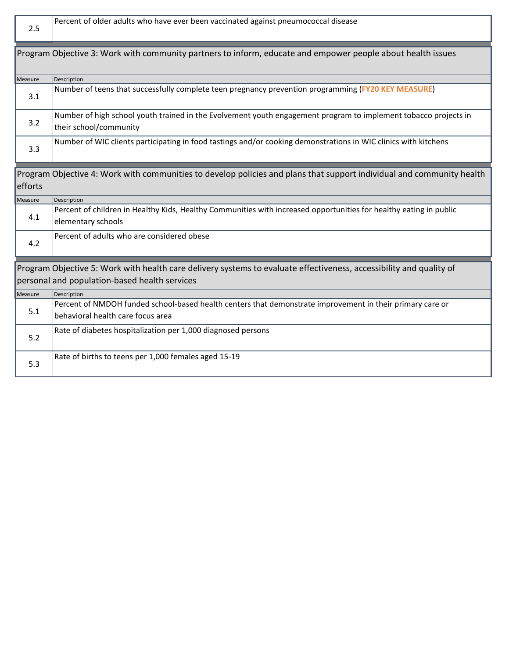| 2.5     | Percent of older adults who have ever been vaccinated against pneumococcal disease                                                             |
|---------|------------------------------------------------------------------------------------------------------------------------------------------------|
|         | Program Objective 3: Work with community partners to inform, educate and empower people about health issues                                    |
| Measure | Description                                                                                                                                    |
| 3.1     | Number of teens that successfully complete teen pregnancy prevention programming (FY20 KEY MEASURE)                                            |
| 3.2     | Number of high school youth trained in the Evolvement youth engagement program to implement tobacco projects in<br>their school/community      |
| 3.3     | Number of WIC clients participating in food tastings and/or cooking demonstrations in WIC clinics with kitchens                                |
| efforts | Program Objective 4: Work with communities to develop policies and plans that support individual and community health                          |
| Measure | Description                                                                                                                                    |
| 4.1     | Percent of children in Healthy Kids, Healthy Communities with increased opportunities for healthy eating in public<br>elementary schools       |
| 4.2     | Percent of adults who are considered obese                                                                                                     |
|         | Program Objective 5: Work with health care delivery systems to evaluate effectiveness, accessibility and quality of                            |
|         | personal and population-based health services                                                                                                  |
| Measure | Description                                                                                                                                    |
| 5.1     | Percent of NMDOH funded school-based health centers that demonstrate improvement in their primary care or<br>behavioral health care focus area |
| 5.2     | Rate of diabetes hospitalization per 1,000 diagnosed persons                                                                                   |
| 5.3     | Rate of births to teens per 1,000 females aged 15-19                                                                                           |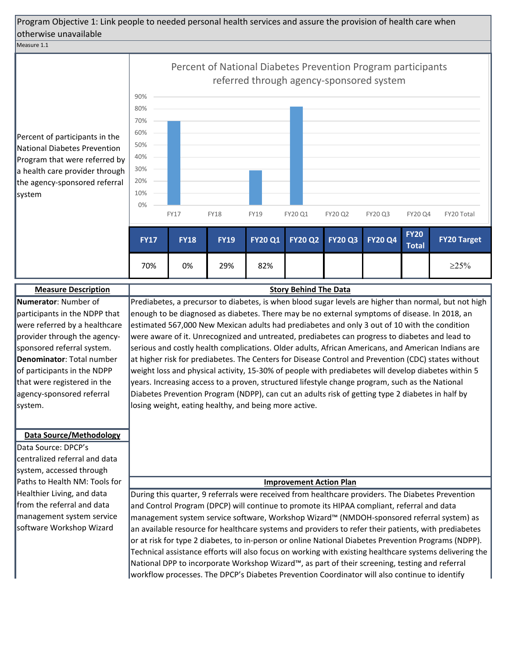#### Measure 1.1

Percent of participants in the National Diabetes Prevention Program that were referred by a health care provider through the agency-sponsored referral system



**Measure Description Numerator**: Number of participants in the NDPP that were referred by a healthcare provider through the agencysponsored referral system. **Denominator**: Total number of participants in the NDPP that were registered in the agency-sponsored referral system.

### **Data Source/Methodology**

Data Source: DPCP's centralized referral and data system, accessed through Paths to Health NM: Tools for Healthier Living, and data from the referral and data management system service software Workshop Wizard

Prediabetes, a precursor to diabetes, is when blood sugar levels are higher than normal, but not high enough to be diagnosed as diabetes. There may be no external symptoms of disease. In 2018, an estimated 567,000 New Mexican adults had prediabetes and only 3 out of 10 with the condition were aware of it. Unrecognized and untreated, prediabetes can progress to diabetes and lead to serious and costly health complications. Older adults, African Americans, and American Indians are at higher risk for prediabetes. The Centers for Disease Control and Prevention (CDC) states without weight loss and physical activity, 15-30% of people with prediabetes will develop diabetes within 5 years. Increasing access to a proven, structured lifestyle change program, such as the National Diabetes Prevention Program (NDPP), can cut an adults risk of getting type 2 diabetes in half by losing weight, eating healthy, and being more active.

**Story Behind The Data**

### **Improvement Action Plan**

During this quarter, 9 referrals were received from healthcare providers. The Diabetes Prevention and Control Program (DPCP) will continue to promote its HIPAA compliant, referral and data management system service software, Workshop Wizard™ (NMDOH-sponsored referral system) as an available resource for healthcare systems and providers to refer their patients, with prediabetes or at risk for type 2 diabetes, to in-person or online National Diabetes Prevention Programs (NDPP). Technical assistance efforts will also focus on working with existing healthcare systems delivering the National DPP to incorporate Workshop Wizard™, as part of their screening, testing and referral workflow processes. The DPCP's Diabetes Prevention Coordinator will also continue to identify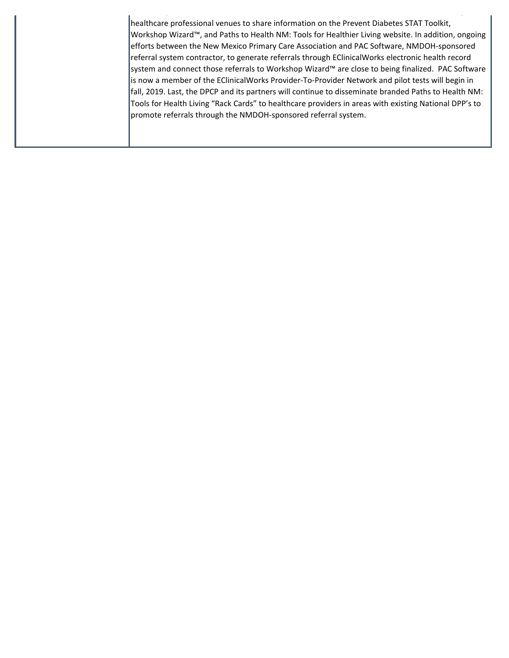healthcare professional venues to share information on the Prevent Diabetes STAT Toolkit, Workshop Wizard™, and Paths to Health NM: Tools for Healthier Living website. In addition, ongoing efforts between the New Mexico Primary Care Association and PAC Software, NMDOH-sponsored referral system contractor, to generate referrals through EClinicalWorks electronic health record system and connect those referrals to Workshop Wizard™ are close to being finalized. PAC Software is now a member of the EClinicalWorks Provider-To-Provider Network and pilot tests will begin in fall, 2019. Last, the DPCP and its partners will continue to disseminate branded Paths to Health NM: Tools for Health Living "Rack Cards" to healthcare providers in areas with existing National DPP's to promote referrals through the NMDOH-sponsored referral system.

 $\mathcal{L}^{\text{max}}_{\text{max}}$  yields the set of the set of the set of the set of the set of the set of the set of the set of the set of the set of the set of the set of the set of the set of the set of the set of the set of the se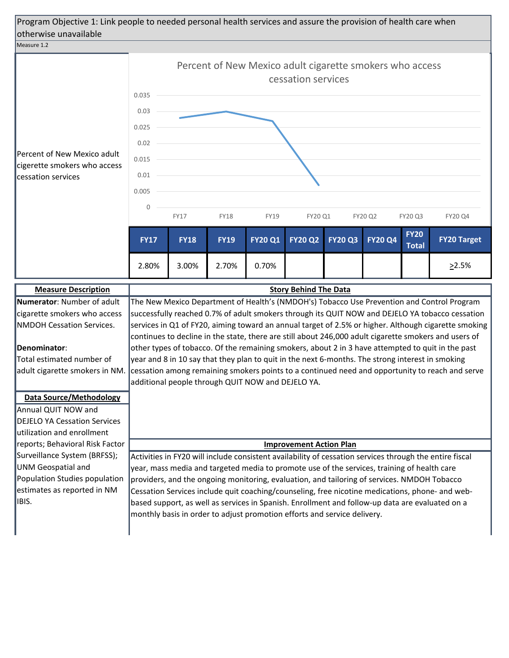

additional people through QUIT NOW and DEJELO YA.

### **Denominator**:

Total estimated number of adult cigarette smokers in NM.

**Data Source/Methodology** Annual QUIT NOW and DEJELO YA Cessation Services utilization and enrollment reports; Behavioral Risk Factor Surveillance System (BRFSS); UNM Geospatial and Population Studies population estimates as reported in NM IBIS.

**Improvement Action Plan**

other types of tobacco. Of the remaining smokers, about 2 in 3 have attempted to quit in the past year and 8 in 10 say that they plan to quit in the next 6-months. The strong interest in smoking cessation among remaining smokers points to a continued need and opportunity to reach and serve

Activities in FY20 will include consistent availability of cessation services through the entire fiscal year, mass media and targeted media to promote use of the services, training of health care providers, and the ongoing monitoring, evaluation, and tailoring of services. NMDOH Tobacco Cessation Services include quit coaching/counseling, free nicotine medications, phone- and webbased support, as well as services in Spanish. Enrollment and follow-up data are evaluated on a monthly basis in order to adjust promotion efforts and service delivery.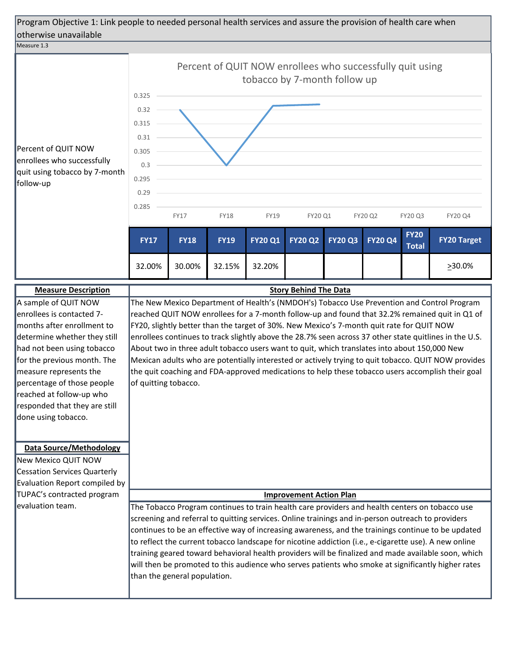#### Measure 1.3



Mexican adults who are potentially interested or actively trying to quit tobacco. QUIT NOW provides the quit coaching and FDA-approved medications to help these tobacco users accomplish their goal of quitting tobacco. percentage of those people

#### **Data Source/Methodology**

measure represents the

reached at follow-up who responded that they are still

done using tobacco.

New Mexico QUIT NOW Cessation Services Quarterly Evaluation Report compiled by TUPAC's contracted program evaluation team.

#### **Improvement Action Plan**

The Tobacco Program continues to train health care providers and health centers on tobacco use screening and referral to quitting services. Online trainings and in-person outreach to providers continues to be an effective way of increasing awareness, and the trainings continue to be updated to reflect the current tobacco landscape for nicotine addiction (i.e., e-cigarette use). A new online training geared toward behavioral health providers will be finalized and made available soon, which will then be promoted to this audience who serves patients who smoke at significantly higher rates than the general population.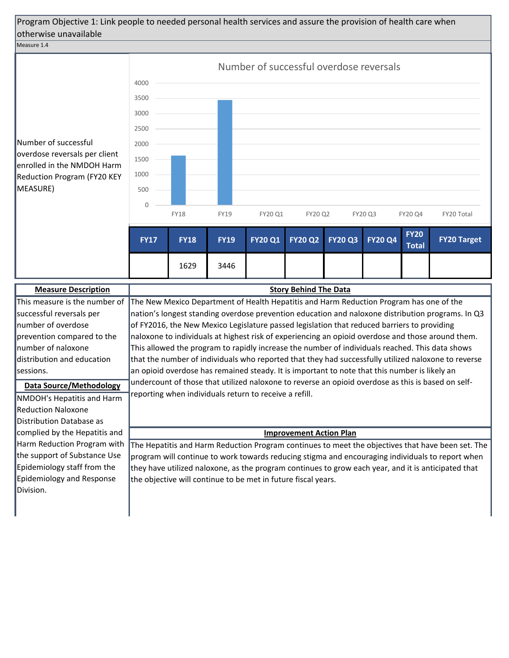### Measure 1.4



|   |             |             |             | Number of successful overdose reversals |                |                |                |                             |                    |
|---|-------------|-------------|-------------|-----------------------------------------|----------------|----------------|----------------|-----------------------------|--------------------|
|   | 4000        |             |             |                                         |                |                |                |                             |                    |
|   | 3500        |             |             |                                         |                |                |                |                             |                    |
|   | 3000        |             |             |                                         |                |                |                |                             |                    |
|   | 2500        |             |             |                                         |                |                |                |                             |                    |
|   | 2000        |             |             |                                         |                |                |                |                             |                    |
| n | 1500        |             |             |                                         |                |                |                |                             |                    |
| Ý | 1000        |             |             |                                         |                |                |                |                             |                    |
|   | 500         |             |             |                                         |                |                |                |                             |                    |
|   | $\Omega$    | <b>FY18</b> | <b>FY19</b> | FY20 Q1                                 | FY20 Q2        |                | FY20 Q3        | FY20 Q4                     | FY20 Total         |
|   |             |             |             |                                         |                |                |                |                             |                    |
|   | <b>FY17</b> | <b>FY18</b> | <b>FY19</b> | <b>FY20 Q1</b>                          | <b>FY20 Q2</b> | <b>FY20 Q3</b> | <b>FY20 Q4</b> | <b>FY20</b><br><b>Total</b> | <b>FY20 Target</b> |
|   |             | 1629        | 3446        |                                         |                |                |                |                             |                    |

| <b>Measure Description</b>    | <b>Story Behind The Data</b>                                                                        |
|-------------------------------|-----------------------------------------------------------------------------------------------------|
| This measure is the number of | The New Mexico Department of Health Hepatitis and Harm Reduction Program has one of the             |
| successful reversals per      | nation's longest standing overdose prevention education and naloxone distribution programs. In Q3   |
| number of overdose            | of FY2016, the New Mexico Legislature passed legislation that reduced barriers to providing         |
| prevention compared to the    | naloxone to individuals at highest risk of experiencing an opioid overdose and those around them.   |
| Inumber of naloxone           | This allowed the program to rapidly increase the number of individuals reached. This data shows     |
| distribution and education    | that the number of individuals who reported that they had successfully utilized naloxone to reverse |
| sessions.                     | an opioid overdose has remained steady. It is important to note that this number is likely an       |
| Data Source/Methodology       | undercount of those that utilized naloxone to reverse an opioid overdose as this is based on self-  |
| NMDOH's Hepatitis and Harm    | reporting when individuals return to receive a refill.                                              |
| Reduction Naloxone            |                                                                                                     |
| Distribution Database as      |                                                                                                     |
| complied by the Hepatitis and | <b>Improvement Action Plan</b>                                                                      |
| Harm Reduction Program with   | The Hepatitis and Harm Reduction Program continues to meet the objectives that have been set. The   |
| the support of Substance Use  | program will continue to work towards reducing stigma and encouraging individuals to report when    |
| Epidemiology staff from the   | they have utilized naloxone, as the program continues to grow each year, and it is anticipated that |
| Epidemiology and Response     | the objective will continue to be met in future fiscal years.                                       |
| Division.                     |                                                                                                     |
|                               |                                                                                                     |
|                               |                                                                                                     |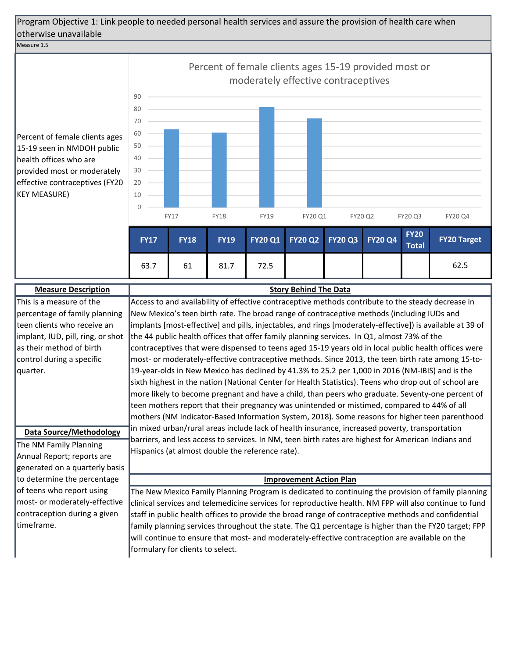### Measure 1.5

Percent of female clients ages 15-19 seen in NMDOH public health offices who are provided most or moderately effective contraceptives (FY20 KEY MEASURE)

|   |             |             |             |                |                | Percent of female clients ages 15-19 provided most or<br>moderately effective contraceptives |                |                             |                    |
|---|-------------|-------------|-------------|----------------|----------------|----------------------------------------------------------------------------------------------|----------------|-----------------------------|--------------------|
|   | 90          |             |             |                |                |                                                                                              |                |                             |                    |
|   | 80          |             |             |                |                |                                                                                              |                |                             |                    |
|   | 70          |             |             |                |                |                                                                                              |                |                             |                    |
| S | 60          |             |             |                |                |                                                                                              |                |                             |                    |
|   | 50          |             |             |                |                |                                                                                              |                |                             |                    |
|   | 40          |             |             |                |                |                                                                                              |                |                             |                    |
|   | 30          |             |             |                |                |                                                                                              |                |                             |                    |
| 0 | 20          |             |             |                |                |                                                                                              |                |                             |                    |
|   | 10          |             |             |                |                |                                                                                              |                |                             |                    |
|   | $\Omega$    |             |             |                |                |                                                                                              |                |                             |                    |
|   |             | <b>FY17</b> | <b>FY18</b> | <b>FY19</b>    | FY20 Q1        | FY20 Q2                                                                                      |                | <b>FY20 Q3</b>              | FY20 Q4            |
|   | <b>FY17</b> | <b>FY18</b> | <b>FY19</b> | <b>FY20 Q1</b> | <b>FY20 Q2</b> | <b>FY20 Q3</b>                                                                               | <b>FY20 Q4</b> | <b>FY20</b><br><b>Total</b> | <b>FY20 Target</b> |
|   | 63.7        | 61          | 81.7        | 72.5           |                |                                                                                              |                |                             | 62.5               |

| <b>Measure Description</b>        | <b>Story Behind The Data</b>                                                                              |
|-----------------------------------|-----------------------------------------------------------------------------------------------------------|
| This is a measure of the          | Access to and availability of effective contraceptive methods contribute to the steady decrease in        |
| percentage of family planning     | New Mexico's teen birth rate. The broad range of contraceptive methods (including IUDs and                |
| teen clients who receive an       | implants [most-effective] and pills, injectables, and rings [moderately-effective]) is available at 39 of |
| implant, IUD, pill, ring, or shot | the 44 public health offices that offer family planning services. In Q1, almost 73% of the                |
| as their method of birth          | contraceptives that were dispensed to teens aged 15-19 years old in local public health offices were      |
| control during a specific         | most- or moderately-effective contraceptive methods. Since 2013, the teen birth rate among 15-to-         |
| quarter.                          | 19-year-olds in New Mexico has declined by 41.3% to 25.2 per 1,000 in 2016 (NM-IBIS) and is the           |
|                                   | sixth highest in the nation (National Center for Health Statistics). Teens who drop out of school are     |
|                                   | more likely to become pregnant and have a child, than peers who graduate. Seventy-one percent of          |
|                                   | teen mothers report that their pregnancy was unintended or mistimed, compared to 44% of all               |
|                                   | mothers (NM Indicator-Based Information System, 2018). Some reasons for higher teen parenthood            |
| <b>Data Source/Methodology</b>    | in mixed urban/rural areas include lack of health insurance, increased poverty, transportation            |
|                                   | barriers, and less access to services. In NM, teen birth rates are highest for American Indians and       |
| The NM Family Planning            | Hispanics (at almost double the reference rate).                                                          |
| Annual Report; reports are        |                                                                                                           |
| generated on a quarterly basis    |                                                                                                           |
| to determine the percentage       | <b>Improvement Action Plan</b>                                                                            |
| of teens who report using         | The New Mexico Family Planning Program is dedicated to continuing the provision of family planning        |
| most- or moderately-effective     | clinical services and telemedicine services for reproductive health. NM FPP will also continue to fund    |
| contraception during a given      | staff in public health offices to provide the broad range of contraceptive methods and confidential       |
| timeframe.                        | family planning services throughout the state. The Q1 percentage is higher than the FY20 target; FPP      |
|                                   | will continue to ensure that most- and moderately-effective contraception are available on the            |
|                                   | formulary for clients to select.                                                                          |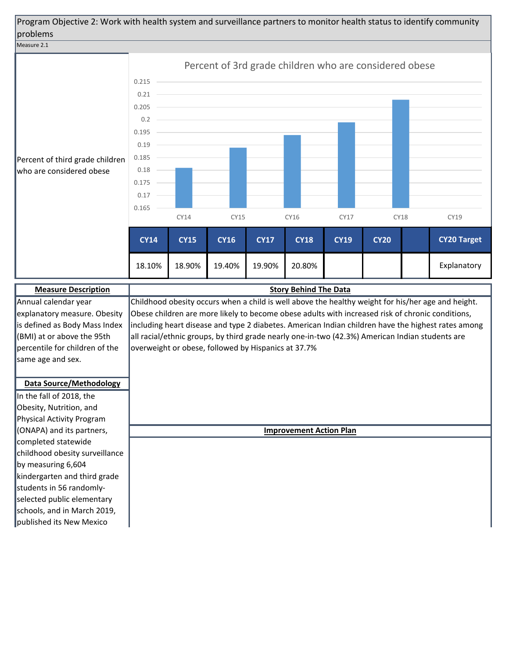Program Objective 2: Work with health system and surveillance partners to monitor health status to identify community problems

#### Measure 2.1



percentile for children of the same age and sex. **Data Source/Methodology** In the fall of 2018, the Obesity, Nutrition, and Physical Activity Program (ONAPA) and its partners, completed statewide childhood obesity surveillance by measuring 6,604 kindergarten and third grade students in 56 randomlyselected public elementary overweight or obese, followed by Hispanics at 37.7%

schools, and in March 2019, published its New Mexico

**Improvement Action Plan**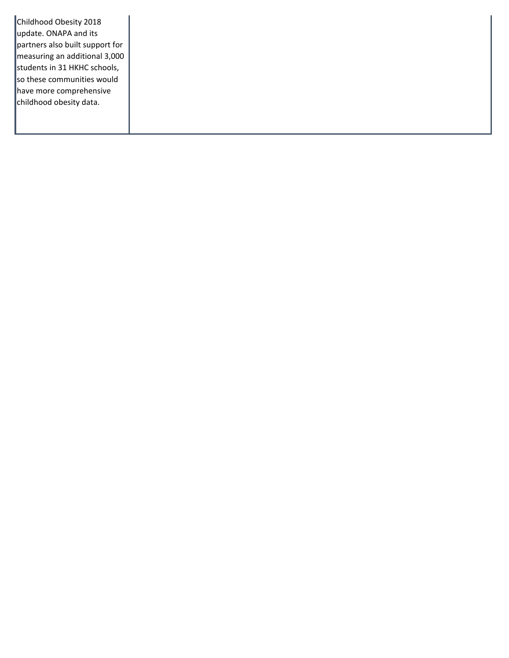Childhood Obesity 2018 update. ONAPA and its partners also built support for measuring an additional 3,000 students in 31 HKHC schools, so these communities would have more comprehensive childhood obesity data.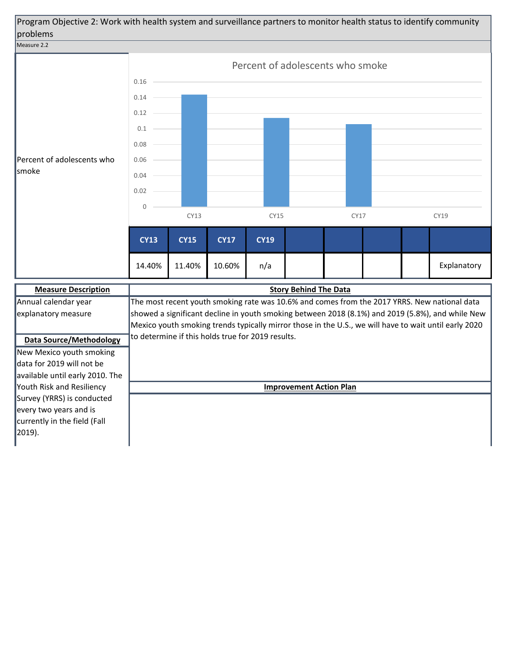

New Mexico youth smoking data for 2019 will not be available until early 2010. The Youth Risk and Resiliency Survey (YRRS) is conducted every two years and is currently in the field (Fall 2019).

**Improvement Action Plan**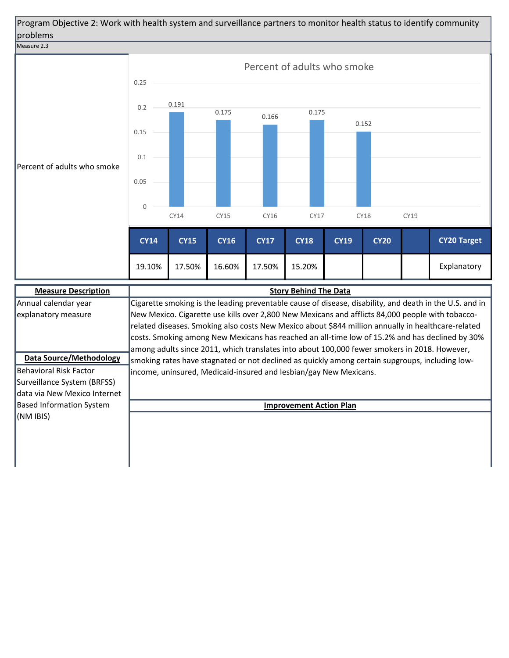Program Objective 2: Work with health system and surveillance partners to monitor health status to identify community problems



data via New Mexico Internet Based Information System

(NM IBIS)

**Improvement Action Plan**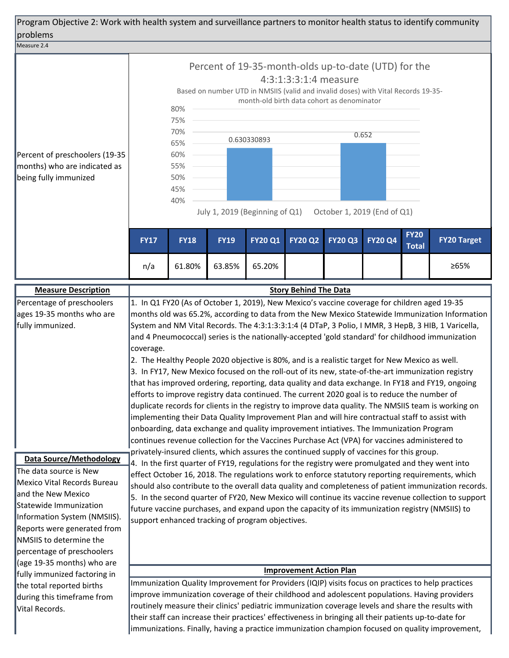| Program Objective 2: Work with health system and surveillance partners to monitor health status to identify community<br>problems                                                                                                                                                             |                                                                                                                                                                                                                                                                                                                                                                                                                                                                                                                                                                                                                                                                                                                                                                                                                                                                                                                                                                                                                                                                                                                                                                                                                                                                       |             |             |                |                                |                |                |                             |                    |  |
|-----------------------------------------------------------------------------------------------------------------------------------------------------------------------------------------------------------------------------------------------------------------------------------------------|-----------------------------------------------------------------------------------------------------------------------------------------------------------------------------------------------------------------------------------------------------------------------------------------------------------------------------------------------------------------------------------------------------------------------------------------------------------------------------------------------------------------------------------------------------------------------------------------------------------------------------------------------------------------------------------------------------------------------------------------------------------------------------------------------------------------------------------------------------------------------------------------------------------------------------------------------------------------------------------------------------------------------------------------------------------------------------------------------------------------------------------------------------------------------------------------------------------------------------------------------------------------------|-------------|-------------|----------------|--------------------------------|----------------|----------------|-----------------------------|--------------------|--|
| Measure 2.4                                                                                                                                                                                                                                                                                   |                                                                                                                                                                                                                                                                                                                                                                                                                                                                                                                                                                                                                                                                                                                                                                                                                                                                                                                                                                                                                                                                                                                                                                                                                                                                       |             |             |                |                                |                |                |                             |                    |  |
| Percent of preschoolers (19-35<br>months) who are indicated as<br>being fully immunized                                                                                                                                                                                                       | Percent of 19-35-month-olds up-to-date (UTD) for the<br>4:3:1:3:3:1:4 measure<br>Based on number UTD in NMSIIS (valid and invalid doses) with Vital Records 19-35-<br>month-old birth data cohort as denominator<br>80%<br>75%<br>70%<br>0.652<br>0.630330893<br>65%<br>60%<br>55%<br>50%<br>45%<br>40%<br>July 1, 2019 (Beginning of Q1)<br>October 1, 2019 (End of Q1)                                                                                                                                                                                                                                                                                                                                                                                                                                                                                                                                                                                                                                                                                                                                                                                                                                                                                              |             |             |                |                                |                |                |                             |                    |  |
|                                                                                                                                                                                                                                                                                               | <b>FY17</b>                                                                                                                                                                                                                                                                                                                                                                                                                                                                                                                                                                                                                                                                                                                                                                                                                                                                                                                                                                                                                                                                                                                                                                                                                                                           | <b>FY18</b> | <b>FY19</b> | <b>FY20 Q1</b> | <b>FY20 Q2</b>                 | <b>FY20 Q3</b> | <b>FY20 Q4</b> | <b>FY20</b><br><b>Total</b> | <b>FY20 Target</b> |  |
|                                                                                                                                                                                                                                                                                               | n/a                                                                                                                                                                                                                                                                                                                                                                                                                                                                                                                                                                                                                                                                                                                                                                                                                                                                                                                                                                                                                                                                                                                                                                                                                                                                   | 61.80%      | 63.85%      | 65.20%         |                                |                |                |                             | ≥65%               |  |
| <b>Measure Description</b>                                                                                                                                                                                                                                                                    |                                                                                                                                                                                                                                                                                                                                                                                                                                                                                                                                                                                                                                                                                                                                                                                                                                                                                                                                                                                                                                                                                                                                                                                                                                                                       |             |             |                | <b>Story Behind The Data</b>   |                |                |                             |                    |  |
| ages 19-35 months who are<br>fully immunized.                                                                                                                                                                                                                                                 | 1. In Q1 FY20 (As of October 1, 2019), New Mexico's vaccine coverage for children aged 19-35<br>Percentage of preschoolers<br>months old was 65.2%, according to data from the New Mexico Statewide Immunization Information<br>System and NM Vital Records. The 4:3:1:3:3:1:4 (4 DTaP, 3 Polio, I MMR, 3 HepB, 3 HIB, 1 Varicella,<br>and 4 Pneumococcal) series is the nationally-accepted 'gold standard' for childhood immunization<br>coverage.<br>2. The Healthy People 2020 objective is 80%, and is a realistic target for New Mexico as well.<br>3. In FY17, New Mexico focused on the roll-out of its new, state-of-the-art immunization registry<br>that has improved ordering, reporting, data quality and data exchange. In FY18 and FY19, ongoing<br>efforts to improve registry data continued. The current 2020 goal is to reduce the number of<br>duplicate records for clients in the registry to improve data quality. The NMSIIS team is working on<br>implementing their Data Quality Improvement Plan and will hire contractual staff to assist with<br>onboarding, data exchange and quality improvement intiatives. The Immunization Program<br>continues revenue collection for the Vaccines Purchase Act (VPA) for vaccines administered to |             |             |                |                                |                |                |                             |                    |  |
| <b>Data Source/Methodology</b><br>The data source is New<br>Mexico Vital Records Bureau<br>and the New Mexico<br>Statewide Immunization<br>Information System (NMSIIS).<br>Reports were generated from<br>NMSIIS to determine the<br>percentage of preschoolers<br>(age 19-35 months) who are | privately-insured clients, which assures the continued supply of vaccines for this group.<br>4. In the first quarter of FY19, regulations for the registry were promulgated and they went into<br>effect October 16, 2018. The regulations work to enforce statutory reporting requirements, which<br>should also contribute to the overall data quality and completeness of patient immunization records.<br>5. In the second quarter of FY20, New Mexico will continue its vaccine revenue collection to support<br>future vaccine purchases, and expand upon the capacity of its immunization registry (NMSIIS) to<br>support enhanced tracking of program objectives.                                                                                                                                                                                                                                                                                                                                                                                                                                                                                                                                                                                             |             |             |                |                                |                |                |                             |                    |  |
| fully immunized factoring in                                                                                                                                                                                                                                                                  |                                                                                                                                                                                                                                                                                                                                                                                                                                                                                                                                                                                                                                                                                                                                                                                                                                                                                                                                                                                                                                                                                                                                                                                                                                                                       |             |             |                | <b>Improvement Action Plan</b> |                |                |                             |                    |  |
| the total reported births<br>during this timeframe from<br>Vital Records.                                                                                                                                                                                                                     | Immunization Quality Improvement for Providers (IQIP) visits focus on practices to help practices<br>improve immunization coverage of their childhood and adolescent populations. Having providers<br>routinely measure their clinics' pediatric immunization coverage levels and share the results with<br>their staff can increase their practices' effectiveness in bringing all their patients up-to-date for<br>immunizations. Finally, having a practice immunization champion focused on quality improvement,                                                                                                                                                                                                                                                                                                                                                                                                                                                                                                                                                                                                                                                                                                                                                  |             |             |                |                                |                |                |                             |                    |  |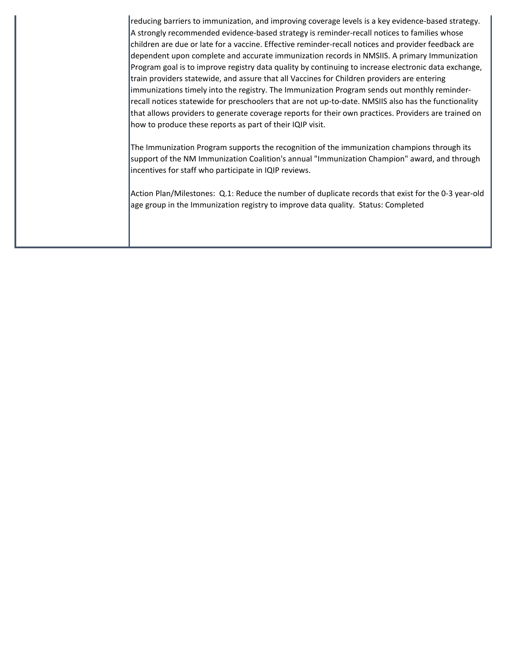reducing barriers to immunization, and improving coverage levels is a key evidence-based strategy. A strongly recommended evidence-based strategy is reminder-recall notices to families whose children are due or late for a vaccine. Effective reminder-recall notices and provider feedback are dependent upon complete and accurate immunization records in NMSIIS. A primary Immunization Program goal is to improve registry data quality by continuing to increase electronic data exchange, train providers statewide, and assure that all Vaccines for Children providers are entering immunizations timely into the registry. The Immunization Program sends out monthly reminderrecall notices statewide for preschoolers that are not up-to-date. NMSIIS also has the functionality that allows providers to generate coverage reports for their own practices. Providers are trained on how to produce these reports as part of their IQIP visit.

The Immunization Program supports the recognition of the immunization champions through its support of the NM Immunization Coalition's annual "Immunization Champion" award, and through incentives for staff who participate in IQIP reviews.

Action Plan/Milestones: Q.1: Reduce the number of duplicate records that exist for the 0-3 year-old age group in the Immunization registry to improve data quality. Status: Completed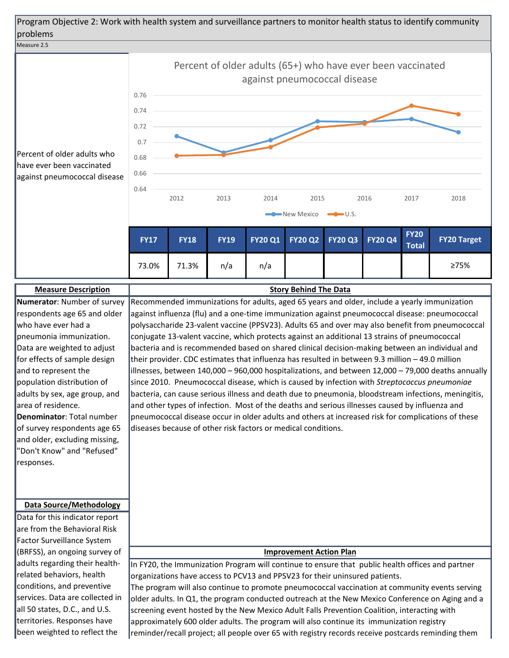



diseases because of other risk factors or medical conditions.

**Denominator**: Total number of survey respondents age 65 and older, excluding missing, "Don't Know" and "Refused" responses.

### **Data Source/Methodology**

Data for this indicator report are from the Behavioral Risk Factor Surveillance System (BRFSS), an ongoing survey of adults regarding their healthrelated behaviors, health conditions, and preventive services. Data are collected in all 50 states, D.C., and U.S. territories. Responses have been weighted to reflect the

### **Improvement Action Plan**

pneumococcal disease occur in older adults and others at increased risk for complications of these

In FY20, the Immunization Program will continue to ensure that public health offices and partner organizations have access to PCV13 and PPSV23 for their uninsured patients. The program will also continue to promote pneumococcal vaccination at community events serving older adults. In Q1, the program conducted outreach at the New Mexico Conference on Aging and a screening event hosted by the New Mexico Adult Falls Prevention Coalition, interacting with approximately 600 older adults. The program will also continue its immunization registry reminder/recall project; all people over 65 with registry records receive postcards reminding them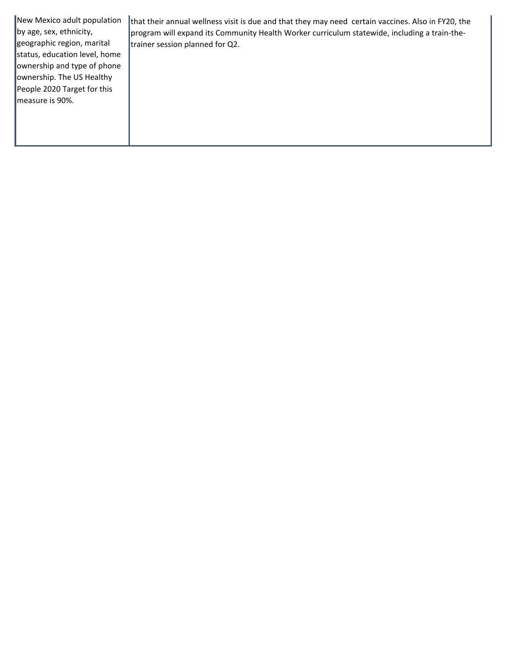New Mexico adult population by age, sex, ethnicity, geographic region, marital status, education level, home ownership and type of phone ownership. The US Healthy People 2020 Target for this measure is 90%. that their annual wellness visit is due and that they may need certain vaccines. Also in FY20, the program will expand its Community Health Worker curriculum statewide, including a train-thetrainer session planned for Q2.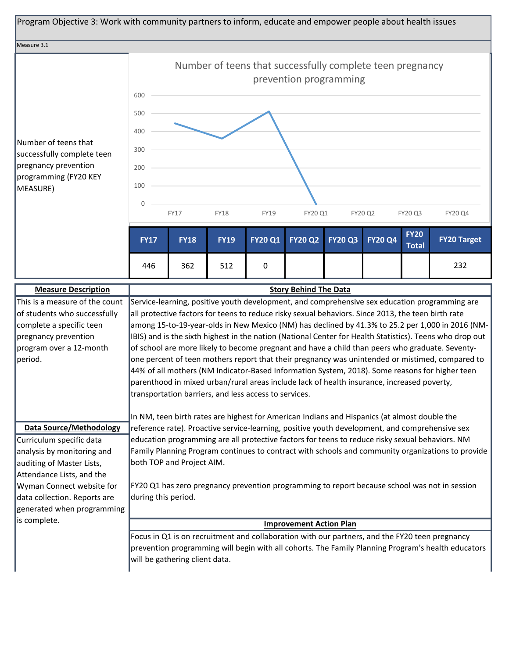

| complete a specific teen<br>pregnancy prevention | an protective nactors for teens to readee holy sexual behaviors. Since 2015, the teen birth rate<br>among 15-to-19-year-olds in New Mexico (NM) has declined by 41.3% to 25.2 per 1,000 in 2016 (NM-<br>IBIS) and is the sixth highest in the nation (National Center for Health Statistics). Teens who drop out                                                                                                                                            |
|--------------------------------------------------|-------------------------------------------------------------------------------------------------------------------------------------------------------------------------------------------------------------------------------------------------------------------------------------------------------------------------------------------------------------------------------------------------------------------------------------------------------------|
| program over a 12-month<br>period.               | of school are more likely to become pregnant and have a child than peers who graduate. Seventy-<br>one percent of teen mothers report that their pregnancy was unintended or mistimed, compared to<br>44% of all mothers (NM Indicator-Based Information System, 2018). Some reasons for higher teen<br>parenthood in mixed urban/rural areas include lack of health insurance, increased poverty,<br>transportation barriers, and less access to services. |
|                                                  | In NM, teen birth rates are highest for American Indians and Hispanics (at almost double the                                                                                                                                                                                                                                                                                                                                                                |
| <b>Data Source/Methodology</b>                   | reference rate). Proactive service-learning, positive youth development, and comprehensive sex                                                                                                                                                                                                                                                                                                                                                              |
| Curriculum specific data                         | education programming are all protective factors for teens to reduce risky sexual behaviors. NM                                                                                                                                                                                                                                                                                                                                                             |
| analysis by monitoring and                       | Family Planning Program continues to contract with schools and community organizations to provide                                                                                                                                                                                                                                                                                                                                                           |
| auditing of Master Lists,                        | both TOP and Project AIM.                                                                                                                                                                                                                                                                                                                                                                                                                                   |
| Attendance Lists, and the                        |                                                                                                                                                                                                                                                                                                                                                                                                                                                             |
| Wyman Connect website for                        | FY20 Q1 has zero pregnancy prevention programming to report because school was not in session                                                                                                                                                                                                                                                                                                                                                               |
| data collection. Reports are                     | during this period.                                                                                                                                                                                                                                                                                                                                                                                                                                         |
| generated when programming                       |                                                                                                                                                                                                                                                                                                                                                                                                                                                             |
| is complete.                                     | <b>Improvement Action Plan</b>                                                                                                                                                                                                                                                                                                                                                                                                                              |
|                                                  | Focus in Q1 is on recruitment and collaboration with our partners, and the FY20 teen pregnancy<br>prevention programming will begin with all cohorts. The Family Planning Program's health educators<br>will be gathering client data.                                                                                                                                                                                                                      |
|                                                  |                                                                                                                                                                                                                                                                                                                                                                                                                                                             |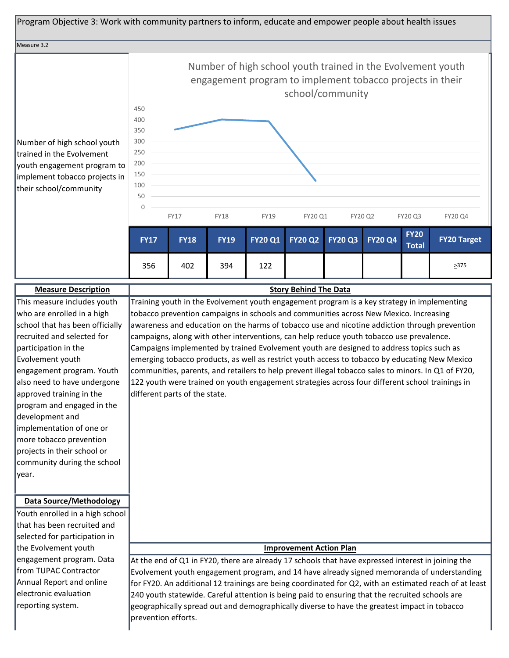

| <b>Measure Description</b>      | <b>Story Behind The Data</b>                                                                           |
|---------------------------------|--------------------------------------------------------------------------------------------------------|
| This measure includes youth     | Training youth in the Evolvement youth engagement program is a key strategy in implementing            |
| who are enrolled in a high      | tobacco prevention campaigns in schools and communities across New Mexico. Increasing                  |
| school that has been officially | awareness and education on the harms of tobacco use and nicotine addiction through prevention          |
| recruited and selected for      | campaigns, along with other interventions, can help reduce youth tobacco use prevalence.               |
| participation in the            | Campaigns implemented by trained Evolvement youth are designed to address topics such as               |
| Evolvement youth                | emerging tobacco products, as well as restrict youth access to tobacco by educating New Mexico         |
| engagement program. Youth       | communities, parents, and retailers to help prevent illegal tobacco sales to minors. In Q1 of FY20,    |
| also need to have undergone     | 122 youth were trained on youth engagement strategies across four different school trainings in        |
| approved training in the        | different parts of the state.                                                                          |
| program and engaged in the      |                                                                                                        |
| development and                 |                                                                                                        |
| implementation of one or        |                                                                                                        |
| more tobacco prevention         |                                                                                                        |
| projects in their school or     |                                                                                                        |
| community during the school     |                                                                                                        |
| year.                           |                                                                                                        |
|                                 |                                                                                                        |
| <b>Data Source/Methodology</b>  |                                                                                                        |
| Youth enrolled in a high school |                                                                                                        |
| that has been recruited and     |                                                                                                        |
| selected for participation in   |                                                                                                        |
| the Evolvement youth            | <b>Improvement Action Plan</b>                                                                         |
| engagement program. Data        | At the end of Q1 in FY20, there are already 17 schools that have expressed interest in joining the     |
| from TUPAC Contractor           | Evolvement youth engagement program, and 14 have already signed memoranda of understanding             |
| Annual Report and online        | for FY20. An additional 12 trainings are being coordinated for Q2, with an estimated reach of at least |
| electronic evaluation           | 240 youth statewide. Careful attention is being paid to ensuring that the recruited schools are        |
| reporting system.               | geographically spread out and demographically diverse to have the greatest impact in tobacco           |
|                                 | prevention efforts.                                                                                    |
|                                 |                                                                                                        |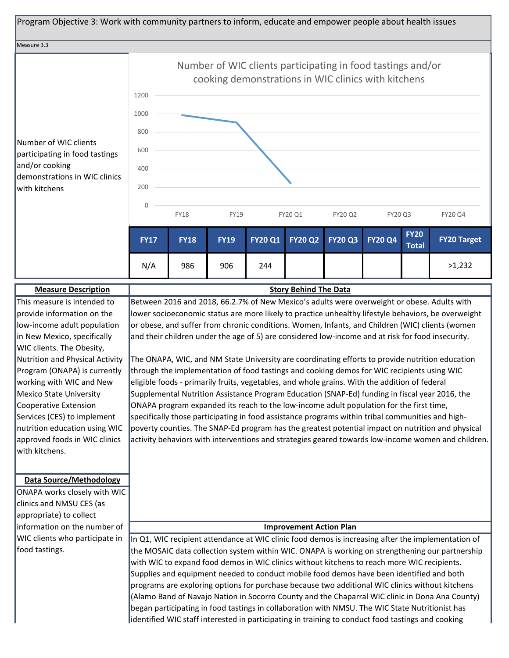

The ONAPA, WIC, and NM State University are coordinating efforts to provide nutrition education through the implementation of food tastings and cooking demos for WIC recipients using WIC eligible foods - primarily fruits, vegetables, and whole grains. With the addition of federal Supplemental Nutrition Assistance Program Education (SNAP-Ed) funding in fiscal year 2016, the ONAPA program expanded its reach to the low-income adult population for the first time, specifically those participating in food assistance programs within tribal communities and highpoverty counties. The SNAP-Ed program has the greatest potential impact on nutrition and physical activity behaviors with interventions and strategies geared towards low-income women and children. nutrition education using WIC

#### **Data Source/Methodology**

approved foods in WIC clinics

with kitchens.

Program (ONAPA) is currently working with WIC and New Mexico State University Cooperative Extension Services (CES) to implement

ONAPA works closely with WIC clinics and NMSU CES (as appropriate) to collect information on the number of WIC clients who participate in food tastings.

### **Improvement Action Plan**

In Q1, WIC recipient attendance at WIC clinic food demos is increasing after the implementation of the MOSAIC data collection system within WIC. ONAPA is working on strengthening our partnership with WIC to expand food demos in WIC clinics without kitchens to reach more WIC recipients. Supplies and equipment needed to conduct mobile food demos have been identified and both programs are exploring options for purchase because two additional WIC clinics without kitchens (Alamo Band of Navajo Nation in Socorro County and the Chaparral WIC clinic in Dona Ana County) began participating in food tastings in collaboration with NMSU. The WIC State Nutritionist has identified WIC staff interested in participating in training to conduct food tastings and cooking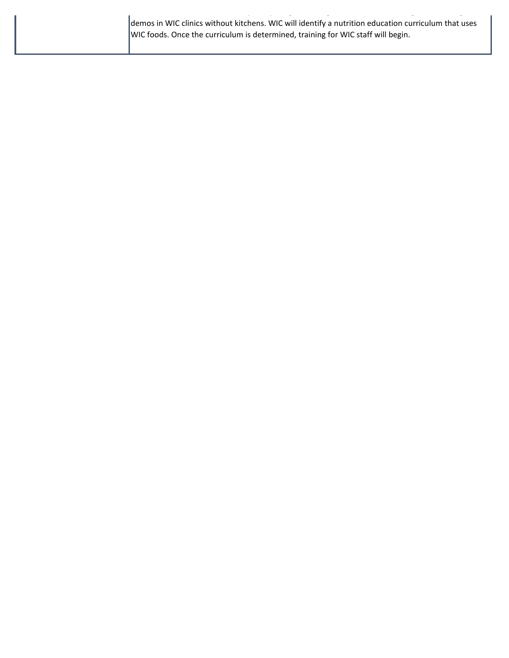| demos in WIC clinics without kitchens. WIC will identify a nutrition education curriculum that uses |  |
|-----------------------------------------------------------------------------------------------------|--|
| WIC foods. Once the curriculum is determined, training for WIC staff will begin.                    |  |
|                                                                                                     |  |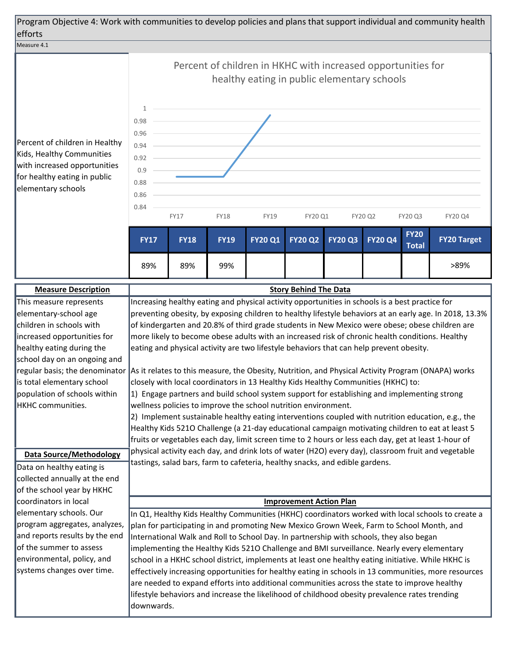

Percent of children in Healthy Kids, Healthy Communities with increased opportunities for healthy eating in public elementary schools



| <b>Measure Description</b>     | <b>Story Behind The Data</b>                                                                                                      |
|--------------------------------|-----------------------------------------------------------------------------------------------------------------------------------|
| This measure represents        | Increasing healthy eating and physical activity opportunities in schools is a best practice for                                   |
| elementary-school age          | preventing obesity, by exposing children to healthy lifestyle behaviors at an early age. In 2018, 13.3%                           |
| children in schools with       | of kindergarten and 20.8% of third grade students in New Mexico were obese; obese children are                                    |
| increased opportunities for    | more likely to become obese adults with an increased risk of chronic health conditions. Healthy                                   |
| healthy eating during the      | eating and physical activity are two lifestyle behaviors that can help prevent obesity.                                           |
| school day on an ongoing and   |                                                                                                                                   |
|                                | regular basis; the denominator As it relates to this measure, the Obesity, Nutrition, and Physical Activity Program (ONAPA) works |
| is total elementary school     | closely with local coordinators in 13 Healthy Kids Healthy Communities (HKHC) to:                                                 |
| population of schools within   | 1) Engage partners and build school system support for establishing and implementing strong                                       |
| HKHC communities.              | wellness policies to improve the school nutrition environment.                                                                    |
|                                | 2) Implement sustainable healthy eating interventions coupled with nutrition education, e.g., the                                 |
|                                | Healthy Kids 5210 Challenge (a 21-day educational campaign motivating children to eat at least 5                                  |
|                                | fruits or vegetables each day, limit screen time to 2 hours or less each day, get at least 1-hour of                              |
| <b>Data Source/Methodology</b> | physical activity each day, and drink lots of water (H2O) every day), classroom fruit and vegetable                               |
| Data on healthy eating is      | tastings, salad bars, farm to cafeteria, healthy snacks, and edible gardens.                                                      |
| collected annually at the end  |                                                                                                                                   |
| of the school year by HKHC     |                                                                                                                                   |
| coordinators in local          | <b>Improvement Action Plan</b>                                                                                                    |
| elementary schools. Our        | In Q1, Healthy Kids Healthy Communities (HKHC) coordinators worked with local schools to create a                                 |
| program aggregates, analyzes,  | plan for participating in and promoting New Mexico Grown Week, Farm to School Month, and                                          |
| and reports results by the end | International Walk and Roll to School Day. In partnership with schools, they also began                                           |
| of the summer to assess        | implementing the Healthy Kids 5210 Challenge and BMI surveillance. Nearly every elementary                                        |
| environmental, policy, and     | school in a HKHC school district, implements at least one healthy eating initiative. While HKHC is                                |
| systems changes over time.     | effectively increasing opportunities for healthy eating in schools in 13 communities, more resources                              |
|                                | are needed to expand efforts into additional communities across the state to improve healthy                                      |
|                                | lifestyle behaviors and increase the likelihood of childhood obesity prevalence rates trending                                    |
|                                | ldownwards.                                                                                                                       |
|                                |                                                                                                                                   |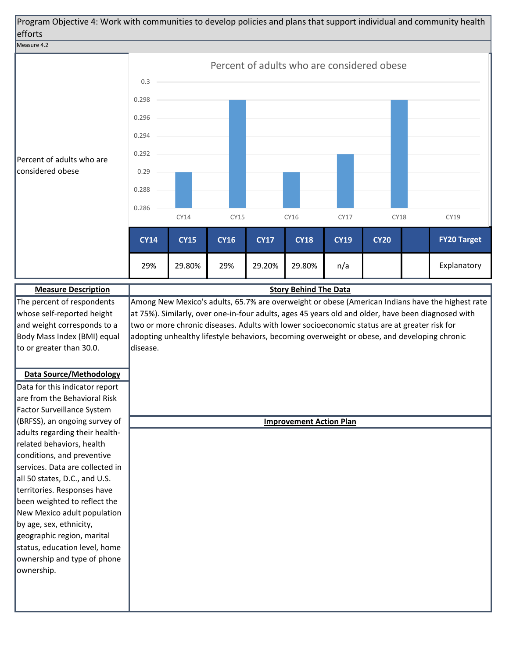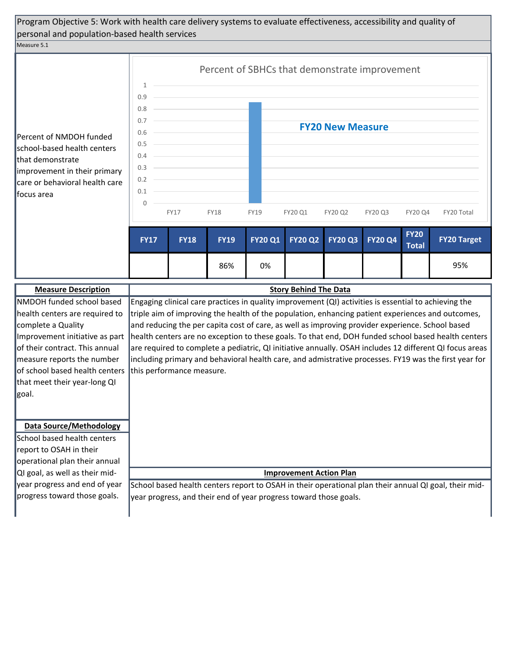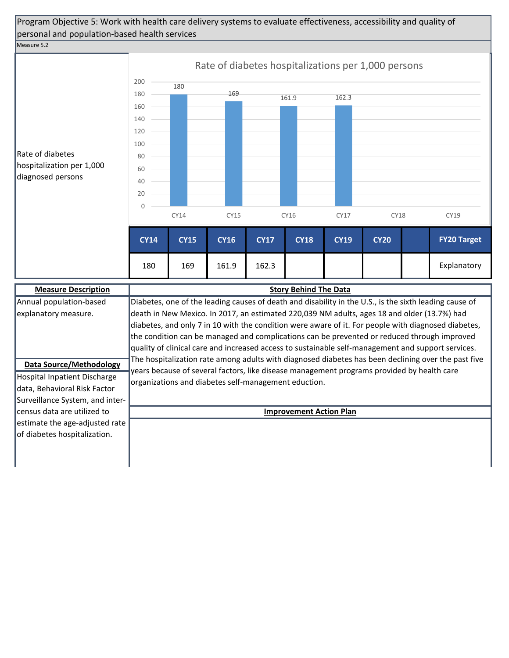# Program Objective 5: Work with health care delivery systems to evaluate effectiveness, accessibility and quality of personal and population-based health services

Measure 5.2



| <b>Measure Description</b>      | <b>Story Behind The Data</b>                                                                           |
|---------------------------------|--------------------------------------------------------------------------------------------------------|
| Annual population-based         | Diabetes, one of the leading causes of death and disability in the U.S., is the sixth leading cause of |
| explanatory measure.            | death in New Mexico. In 2017, an estimated 220,039 NM adults, ages 18 and older (13.7%) had            |
|                                 | diabetes, and only 7 in 10 with the condition were aware of it. For people with diagnosed diabetes,    |
|                                 | the condition can be managed and complications can be prevented or reduced through improved            |
|                                 | quality of clinical care and increased access to sustainable self-management and support services.     |
| <b>Data Source/Methodology</b>  | The hospitalization rate among adults with diagnosed diabetes has been declining over the past five    |
|                                 | years because of several factors, like disease management programs provided by health care             |
| Hospital Inpatient Discharge    | organizations and diabetes self-management eduction.                                                   |
| data, Behavioral Risk Factor    |                                                                                                        |
| Surveillance System, and inter- |                                                                                                        |
| lcensus data are utilized to    | <b>Improvement Action Plan</b>                                                                         |
| estimate the age-adjusted rate  |                                                                                                        |
| of diabetes hospitalization.    |                                                                                                        |
|                                 |                                                                                                        |
|                                 |                                                                                                        |
|                                 |                                                                                                        |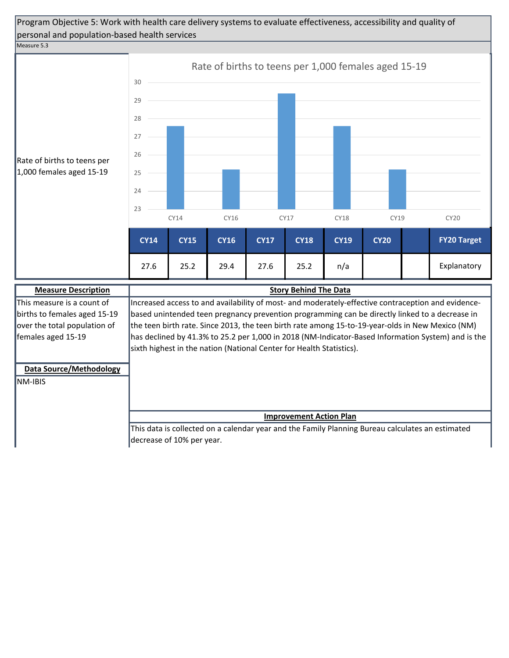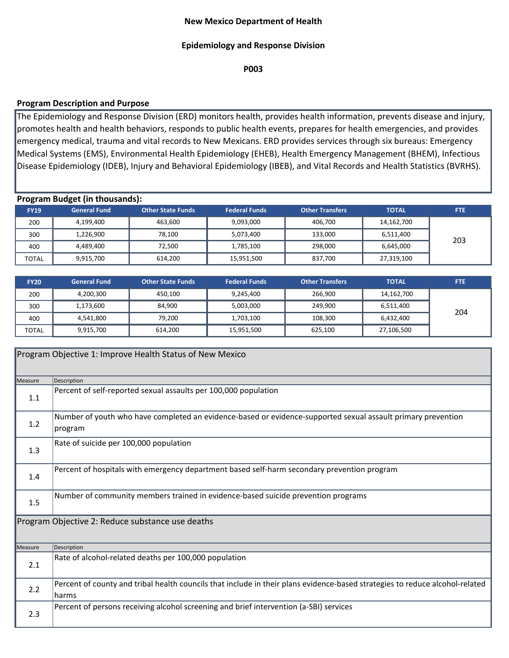## **New Mexico Department of Health**

## **Epidemiology and Response Division**

**P003**

## **Program Description and Purpose**

The Epidemiology and Response Division (ERD) monitors health, provides health information, prevents disease and injury, promotes health and health behaviors, responds to public health events, prepares for health emergencies, and provides emergency medical, trauma and vital records to New Mexicans. ERD provides services through six bureaus: Emergency Medical Systems (EMS), Environmental Health Epidemiology (EHEB), Health Emergency Management (BHEM), Infectious Disease Epidemiology (IDEB), Injury and Behavioral Epidemiology (IBEB), and Vital Records and Health Statistics (BVRHS).

## **Program Budget (in thousands):**

| <b>FY19</b>  | <b>General Fund</b> | <b>Other State Funds</b> | <b>Federal Funds</b> | <b>Other Transfers</b> | <b>TOTAL</b> | <b>FTE</b> |
|--------------|---------------------|--------------------------|----------------------|------------------------|--------------|------------|
| 200          | 4,199,400           | 463,600                  | 9,093,000            | 406,700                | 14,162,700   |            |
| 300          | 1,226,900           | 78,100                   | 5,073,400            | 133,000                | 6,511,400    | 203        |
| 400          | 4,489,400           | 72,500                   | 1,785,100            | 298,000                | 6,645,000    |            |
| <b>TOTAL</b> | 9,915,700           | 614,200                  | 15,951,500           | 837,700                | 27,319,100   |            |

| <b>FY20</b>  | <b>General Fund</b> | Other State Funds | <b>Federal Funds</b> | <b>Other Transfers</b> | <b>TOTAL</b> | <b>FTE</b> |
|--------------|---------------------|-------------------|----------------------|------------------------|--------------|------------|
| 200          | 4,200,300           | 450,100           | 9,245,400            | 266.900                | 14,162,700   |            |
| 300          | 1,173,600           | 84,900            | 5,003,000            | 249.900                | 6,511,400    | 204        |
| 400          | 4,541,800           | 79,200            | 1,703,100            | 108,300                | 6,432,400    |            |
| <b>TOTAL</b> | 9,915,700           | 614,200           | 15,951,500           | 625,100                | 27,106,500   |            |

|                | Program Objective 1: Improve Health Status of New Mexico                                                                              |  |  |  |  |  |  |
|----------------|---------------------------------------------------------------------------------------------------------------------------------------|--|--|--|--|--|--|
| <b>Measure</b> | Description                                                                                                                           |  |  |  |  |  |  |
| 1.1            | Percent of self-reported sexual assaults per 100,000 population                                                                       |  |  |  |  |  |  |
| 1.2            | Number of youth who have completed an evidence-based or evidence-supported sexual assault primary prevention<br>program               |  |  |  |  |  |  |
| 1.3            | Rate of suicide per 100,000 population                                                                                                |  |  |  |  |  |  |
| 1.4            | Percent of hospitals with emergency department based self-harm secondary prevention program                                           |  |  |  |  |  |  |
| 1.5            | Number of community members trained in evidence-based suicide prevention programs                                                     |  |  |  |  |  |  |
|                | Program Objective 2: Reduce substance use deaths                                                                                      |  |  |  |  |  |  |
| Measure        | Description                                                                                                                           |  |  |  |  |  |  |
| 2.1            | Rate of alcohol-related deaths per 100,000 population                                                                                 |  |  |  |  |  |  |
| 2.2            | Percent of county and tribal health councils that include in their plans evidence-based strategies to reduce alcohol-related<br>harms |  |  |  |  |  |  |
| 2.3            | Percent of persons receiving alcohol screening and brief intervention (a-SBI) services                                                |  |  |  |  |  |  |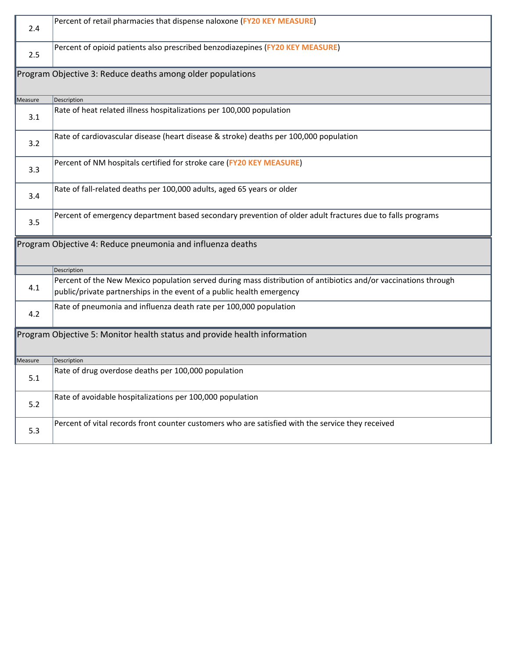| 2.4     | Percent of retail pharmacies that dispense naloxone (FY20 KEY MEASURE)                                                                                                                   |
|---------|------------------------------------------------------------------------------------------------------------------------------------------------------------------------------------------|
| 2.5     | Percent of opioid patients also prescribed benzodiazepines (FY20 KEY MEASURE)                                                                                                            |
|         | Program Objective 3: Reduce deaths among older populations                                                                                                                               |
| Measure | Description                                                                                                                                                                              |
| 3.1     | Rate of heat related illness hospitalizations per 100,000 population                                                                                                                     |
| 3.2     | Rate of cardiovascular disease (heart disease & stroke) deaths per 100,000 population                                                                                                    |
| 3.3     | Percent of NM hospitals certified for stroke care (FY20 KEY MEASURE)                                                                                                                     |
| 3.4     | Rate of fall-related deaths per 100,000 adults, aged 65 years or older                                                                                                                   |
| 3.5     | Percent of emergency department based secondary prevention of older adult fractures due to falls programs                                                                                |
|         | Program Objective 4: Reduce pneumonia and influenza deaths                                                                                                                               |
|         | Description                                                                                                                                                                              |
| 4.1     | Percent of the New Mexico population served during mass distribution of antibiotics and/or vaccinations through<br>public/private partnerships in the event of a public health emergency |
|         |                                                                                                                                                                                          |
| 4.2     | Rate of pneumonia and influenza death rate per 100,000 population                                                                                                                        |
|         | Program Objective 5: Monitor health status and provide health information                                                                                                                |
| Measure | Description                                                                                                                                                                              |
| 5.1     | Rate of drug overdose deaths per 100,000 population                                                                                                                                      |
| 5.2     | Rate of avoidable hospitalizations per 100,000 population                                                                                                                                |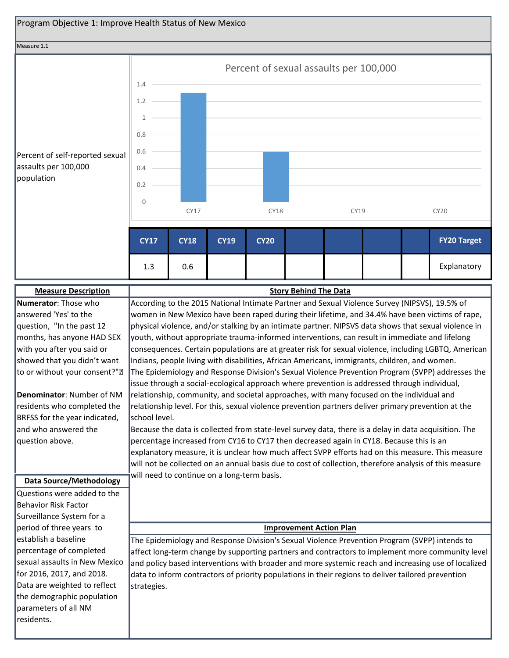![](_page_29_Figure_0.jpeg)

Surveillance System for a period of three years to establish a baseline percentage of completed sexual assaults in New Mexico for 2016, 2017, and 2018. Data are weighted to reflect the demographic population parameters of all NM residents.

### **Improvement Action Plan**

The Epidemiology and Response Division's Sexual Violence Prevention Program (SVPP) intends to affect long-term change by supporting partners and contractors to implement more community level and policy based interventions with broader and more systemic reach and increasing use of localized data to inform contractors of priority populations in their regions to deliver tailored prevention strategies.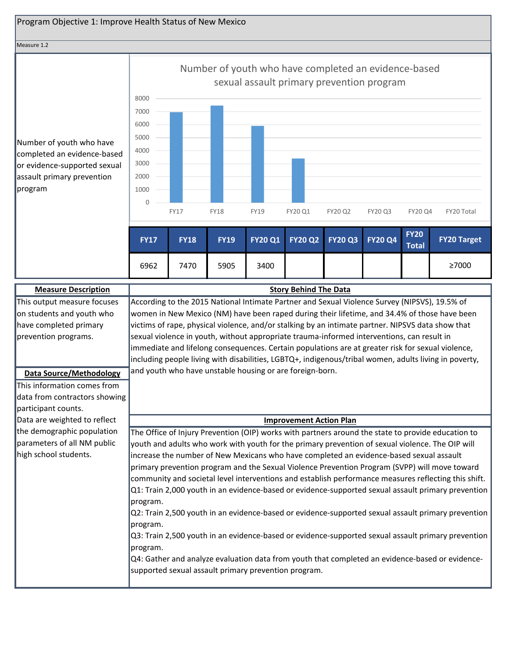#### Measure 1.2

Number of youth who have completed an evidence-based or evidence-supported sexual assault primary prevention program

|             | Number of youth who have completed an evidence-based<br>sexual assault primary prevention program |             |                |                |                |                |              |                    |
|-------------|---------------------------------------------------------------------------------------------------|-------------|----------------|----------------|----------------|----------------|--------------|--------------------|
| 8000        |                                                                                                   |             |                |                |                |                |              |                    |
| 7000        |                                                                                                   |             |                |                |                |                |              |                    |
| 6000        |                                                                                                   |             |                |                |                |                |              |                    |
| 5000        |                                                                                                   |             |                |                |                |                |              |                    |
| 4000        |                                                                                                   |             |                |                |                |                |              |                    |
| 3000        |                                                                                                   |             |                |                |                |                |              |                    |
| 2000        |                                                                                                   |             |                |                |                |                |              |                    |
| 1000        |                                                                                                   |             |                |                |                |                |              |                    |
| 0           |                                                                                                   |             |                |                |                |                |              |                    |
|             | <b>FY17</b>                                                                                       | <b>FY18</b> | <b>FY19</b>    | FY20 Q1        | FY20 Q2        | FY20 Q3        | FY20 Q4      | FY20 Total         |
|             |                                                                                                   |             |                |                |                |                | <b>FY20</b>  |                    |
| <b>FY17</b> | <b>FY18</b>                                                                                       | <b>FY19</b> | <b>FY20 Q1</b> | <b>FY20 Q2</b> | <b>FY20 Q3</b> | <b>FY20 Q4</b> | <b>Total</b> | <b>FY20 Target</b> |
| 6962        | 7470                                                                                              | 5905        | 3400           |                |                |                |              | ≥7000              |

| <b>Measure Description</b>     | <b>Story Behind The Data</b>                                                                          |
|--------------------------------|-------------------------------------------------------------------------------------------------------|
| This output measure focuses    | According to the 2015 National Intimate Partner and Sexual Violence Survey (NIPSVS), 19.5% of         |
| on students and youth who      | women in New Mexico (NM) have been raped during their lifetime, and 34.4% of those have been          |
| have completed primary         | victims of rape, physical violence, and/or stalking by an intimate partner. NIPSVS data show that     |
| prevention programs.           | sexual violence in youth, without appropriate trauma-informed interventions, can result in            |
|                                | immediate and lifelong consequences. Certain populations are at greater risk for sexual violence,     |
|                                | including people living with disabilities, LGBTQ+, indigenous/tribal women, adults living in poverty, |
| <b>Data Source/Methodology</b> | and youth who have unstable housing or are foreign-born.                                              |
| This information comes from    |                                                                                                       |
| data from contractors showing  |                                                                                                       |
| participant counts.            |                                                                                                       |
| Data are weighted to reflect   | <b>Improvement Action Plan</b>                                                                        |
| the demographic population     | The Office of Injury Prevention (OIP) works with partners around the state to provide education to    |
| parameters of all NM public    | youth and adults who work with youth for the primary prevention of sexual violence. The OIP will      |
| high school students.          | increase the number of New Mexicans who have completed an evidence-based sexual assault               |
|                                | primary prevention program and the Sexual Violence Prevention Program (SVPP) will move toward         |
|                                | community and societal level interventions and establish performance measures reflecting this shift.  |
|                                | Q1: Train 2,000 youth in an evidence-based or evidence-supported sexual assault primary prevention    |
|                                | program.                                                                                              |
|                                | Q2: Train 2,500 youth in an evidence-based or evidence-supported sexual assault primary prevention    |
|                                | program.                                                                                              |
|                                | Q3: Train 2,500 youth in an evidence-based or evidence-supported sexual assault primary prevention    |
|                                | program.                                                                                              |
|                                | Q4: Gather and analyze evaluation data from youth that completed an evidence-based or evidence-       |
|                                | supported sexual assault primary prevention program.                                                  |
|                                |                                                                                                       |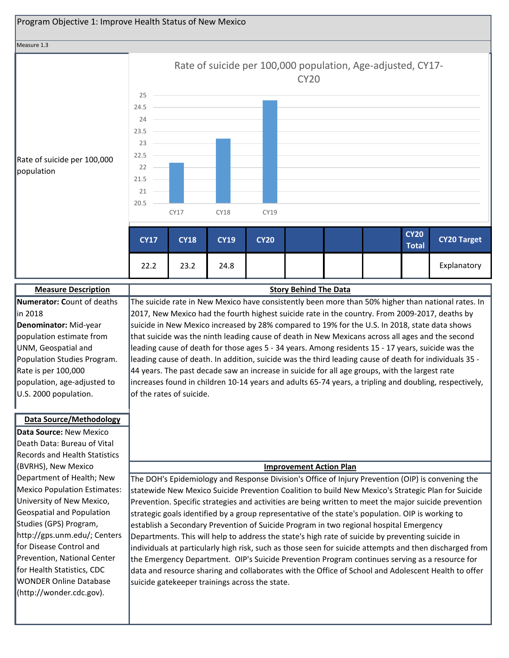![](_page_31_Figure_0.jpeg)

| <b>Measure Description</b>           | <b>Story Behind The Data</b>                                                                            |
|--------------------------------------|---------------------------------------------------------------------------------------------------------|
| Numerator: Count of deaths           | The suicide rate in New Mexico have consistently been more than 50% higher than national rates. In      |
| in 2018                              | 2017, New Mexico had the fourth highest suicide rate in the country. From 2009-2017, deaths by          |
| Denominator: Mid-year                | suicide in New Mexico increased by 28% compared to 19% for the U.S. In 2018, state data shows           |
| population estimate from             | that suicide was the ninth leading cause of death in New Mexicans across all ages and the second        |
| UNM, Geospatial and                  | leading cause of death for those ages 5 - 34 years. Among residents 15 - 17 years, suicide was the      |
| Population Studies Program.          | leading cause of death. In addition, suicide was the third leading cause of death for individuals 35 -  |
| Rate is per 100,000                  | 44 years. The past decade saw an increase in suicide for all age groups, with the largest rate          |
| population, age-adjusted to          | increases found in children 10-14 years and adults 65-74 years, a tripling and doubling, respectively,  |
| U.S. 2000 population.                | of the rates of suicide.                                                                                |
|                                      |                                                                                                         |
| <b>Data Source/Methodology</b>       |                                                                                                         |
| Data Source: New Mexico              |                                                                                                         |
| Death Data: Bureau of Vital          |                                                                                                         |
| <b>Records and Health Statistics</b> |                                                                                                         |
| (BVRHS), New Mexico                  | <b>Improvement Action Plan</b>                                                                          |
| Department of Health; New            | The DOH's Epidemiology and Response Division's Office of Injury Prevention (OIP) is convening the       |
| Mexico Population Estimates:         | statewide New Mexico Suicide Prevention Coalition to build New Mexico's Strategic Plan for Suicide      |
| University of New Mexico,            | Prevention. Specific strategies and activities are being written to meet the major suicide prevention   |
| Geospatial and Population            | strategic goals identified by a group representative of the state's population. OIP is working to       |
| Studies (GPS) Program,               | establish a Secondary Prevention of Suicide Program in two regional hospital Emergency                  |
| http://gps.unm.edu/; Centers         | Departments. This will help to address the state's high rate of suicide by preventing suicide in        |
| for Disease Control and              | individuals at particularly high risk, such as those seen for suicide attempts and then discharged from |
| Prevention, National Center          | the Emergency Department. OIP's Suicide Prevention Program continues serving as a resource for          |
| for Health Statistics, CDC           | data and resource sharing and collaborates with the Office of School and Adolescent Health to offer     |
| <b>WONDER Online Database</b>        | suicide gatekeeper trainings across the state.                                                          |
| (http://wonder.cdc.gov).             |                                                                                                         |
|                                      |                                                                                                         |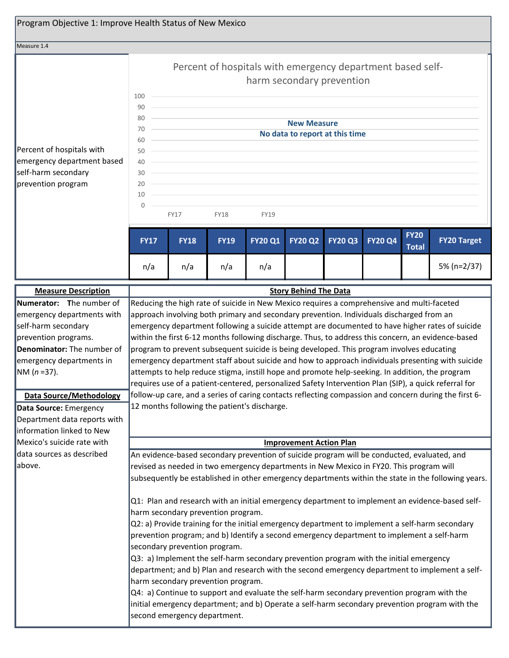| Program Objective 1: Improve Health Status of New Mexico                                                                                                                                                                                                                                                 |                                                                                                                                                                                                                                                                                                                                                                                                                                                                                                                                                                                                                                                                                                                                                                                                                                                                                                                                                                                                           |                              |             |                |                                |                                |                |                             |                                                                                                |
|----------------------------------------------------------------------------------------------------------------------------------------------------------------------------------------------------------------------------------------------------------------------------------------------------------|-----------------------------------------------------------------------------------------------------------------------------------------------------------------------------------------------------------------------------------------------------------------------------------------------------------------------------------------------------------------------------------------------------------------------------------------------------------------------------------------------------------------------------------------------------------------------------------------------------------------------------------------------------------------------------------------------------------------------------------------------------------------------------------------------------------------------------------------------------------------------------------------------------------------------------------------------------------------------------------------------------------|------------------------------|-------------|----------------|--------------------------------|--------------------------------|----------------|-----------------------------|------------------------------------------------------------------------------------------------|
| Measure 1.4                                                                                                                                                                                                                                                                                              |                                                                                                                                                                                                                                                                                                                                                                                                                                                                                                                                                                                                                                                                                                                                                                                                                                                                                                                                                                                                           |                              |             |                |                                |                                |                |                             |                                                                                                |
|                                                                                                                                                                                                                                                                                                          | Percent of hospitals with emergency department based self-<br>harm secondary prevention                                                                                                                                                                                                                                                                                                                                                                                                                                                                                                                                                                                                                                                                                                                                                                                                                                                                                                                   |                              |             |                |                                |                                |                |                             |                                                                                                |
| Percent of hospitals with<br>emergency department based<br>self-harm secondary<br>prevention program                                                                                                                                                                                                     | 100<br>90<br>80<br>70<br>60<br>50<br>40<br>30<br>20<br>10<br>0                                                                                                                                                                                                                                                                                                                                                                                                                                                                                                                                                                                                                                                                                                                                                                                                                                                                                                                                            | <b>FY17</b>                  | <b>FY18</b> | <b>FY19</b>    | <b>New Measure</b>             | No data to report at this time |                |                             |                                                                                                |
|                                                                                                                                                                                                                                                                                                          | <b>FY17</b>                                                                                                                                                                                                                                                                                                                                                                                                                                                                                                                                                                                                                                                                                                                                                                                                                                                                                                                                                                                               | <b>FY18</b>                  | <b>FY19</b> | <b>FY20 Q1</b> | <b>FY20 Q2</b>                 | <b>FY20 Q3</b>                 | <b>FY20 Q4</b> | <b>FY20</b><br><b>Total</b> | <b>FY20 Target</b>                                                                             |
|                                                                                                                                                                                                                                                                                                          | n/a                                                                                                                                                                                                                                                                                                                                                                                                                                                                                                                                                                                                                                                                                                                                                                                                                                                                                                                                                                                                       | n/a                          | n/a         | n/a            |                                |                                |                |                             | 5% (n=2/37)                                                                                    |
| <b>Measure Description</b>                                                                                                                                                                                                                                                                               |                                                                                                                                                                                                                                                                                                                                                                                                                                                                                                                                                                                                                                                                                                                                                                                                                                                                                                                                                                                                           |                              |             |                | <b>Story Behind The Data</b>   |                                |                |                             |                                                                                                |
| Numerator: The number of<br>emergency departments with<br>self-harm secondary<br>prevention programs.<br>Denominator: The number of<br>emergency departments in<br>$NM (n=37).$<br><b>Data Source/Methodology</b><br>Data Source: Emergency<br>Department data reports with<br>information linked to New | Reducing the high rate of suicide in New Mexico requires a comprehensive and multi-faceted<br>approach involving both primary and secondary prevention. Individuals discharged from an<br>emergency department following a suicide attempt are documented to have higher rates of suicide<br>within the first 6-12 months following discharge. Thus, to address this concern, an evidence-based<br>program to prevent subsequent suicide is being developed. This program involves educating<br>emergency department staff about suicide and how to approach individuals presenting with suicide<br>attempts to help reduce stigma, instill hope and promote help-seeking. In addition, the program<br>requires use of a patient-centered, personalized Safety Intervention Plan (SIP), a quick referral for<br>follow-up care, and a series of caring contacts reflecting compassion and concern during the first 6-<br>12 months following the patient's discharge.                                     |                              |             |                |                                |                                |                |                             |                                                                                                |
| Mexico's suicide rate with                                                                                                                                                                                                                                                                               |                                                                                                                                                                                                                                                                                                                                                                                                                                                                                                                                                                                                                                                                                                                                                                                                                                                                                                                                                                                                           |                              |             |                | <b>Improvement Action Plan</b> |                                |                |                             |                                                                                                |
| data sources as described<br>above.                                                                                                                                                                                                                                                                      | An evidence-based secondary prevention of suicide program will be conducted, evaluated, and<br>revised as needed in two emergency departments in New Mexico in FY20. This program will<br>subsequently be established in other emergency departments within the state in the following years.<br>Q1: Plan and research with an initial emergency department to implement an evidence-based self-<br>harm secondary prevention program.<br>Q2: a) Provide training for the initial emergency department to implement a self-harm secondary<br>prevention program; and b) Identify a second emergency department to implement a self-harm<br>secondary prevention program.<br>Q3: a) Implement the self-harm secondary prevention program with the initial emergency<br>department; and b) Plan and research with the second emergency department to implement a self-<br>harm secondary prevention program.<br>Q4: a) Continue to support and evaluate the self-harm secondary prevention program with the |                              |             |                |                                |                                |                |                             |                                                                                                |
|                                                                                                                                                                                                                                                                                                          |                                                                                                                                                                                                                                                                                                                                                                                                                                                                                                                                                                                                                                                                                                                                                                                                                                                                                                                                                                                                           | second emergency department. |             |                |                                |                                |                |                             | initial emergency department; and b) Operate a self-harm secondary prevention program with the |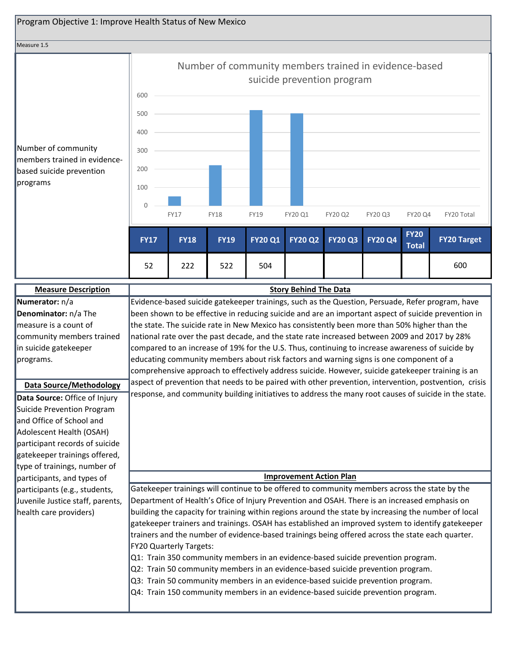![](_page_33_Figure_0.jpeg)

| <b>Measure Description</b>       | <b>Story Behind The Data</b>                                                                          |
|----------------------------------|-------------------------------------------------------------------------------------------------------|
| Numerator: n/a                   | Evidence-based suicide gatekeeper trainings, such as the Question, Persuade, Refer program, have      |
| Denominator: n/a The             | been shown to be effective in reducing suicide and are an important aspect of suicide prevention in   |
| measure is a count of            | the state. The suicide rate in New Mexico has consistently been more than 50% higher than the         |
| community members trained        | national rate over the past decade, and the state rate increased between 2009 and 2017 by 28%         |
| in suicide gatekeeper            | compared to an increase of 19% for the U.S. Thus, continuing to increase awareness of suicide by      |
| programs.                        | educating community members about risk factors and warning signs is one component of a                |
|                                  | comprehensive approach to effectively address suicide. However, suicide gatekeeper training is an     |
| <b>Data Source/Methodology</b>   | aspect of prevention that needs to be paired with other prevention, intervention, postvention, crisis |
| Data Source: Office of Injury    | response, and community building initiatives to address the many root causes of suicide in the state. |
| Suicide Prevention Program       |                                                                                                       |
| and Office of School and         |                                                                                                       |
| Adolescent Health (OSAH)         |                                                                                                       |
| participant records of suicide   |                                                                                                       |
| gatekeeper trainings offered,    |                                                                                                       |
| type of trainings, number of     |                                                                                                       |
| participants, and types of       | <b>Improvement Action Plan</b>                                                                        |
| participants (e.g., students,    | Gatekeeper trainings will continue to be offered to community members across the state by the         |
| Juvenile Justice staff, parents, | Department of Health's Ofice of Injury Prevention and OSAH. There is an increased emphasis on         |
| health care providers)           | building the capacity for training within regions around the state by increasing the number of local  |
|                                  | gatekeeper trainers and trainings. OSAH has established an improved system to identify gatekeeper     |
|                                  | trainers and the number of evidence-based trainings being offered across the state each quarter.      |
|                                  | <b>FY20 Quarterly Targets:</b>                                                                        |
|                                  | Q1: Train 350 community members in an evidence-based suicide prevention program.                      |
|                                  | Q2: Train 50 community members in an evidence-based suicide prevention program.                       |
|                                  | Q3: Train 50 community members in an evidence-based suicide prevention program.                       |
|                                  | Q4: Train 150 community members in an evidence-based suicide prevention program.                      |
|                                  |                                                                                                       |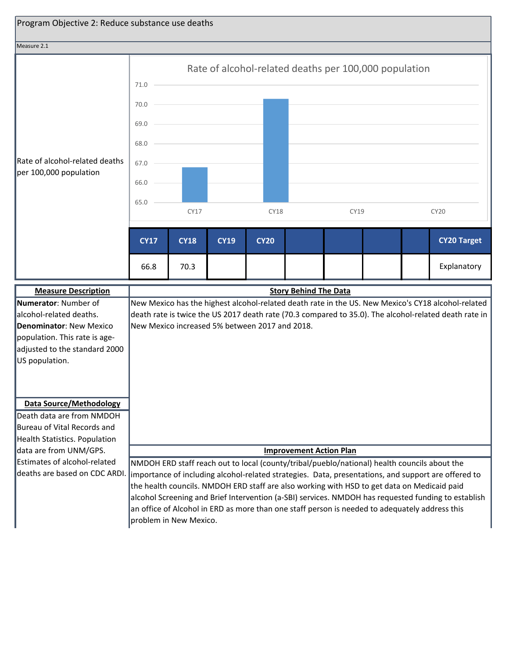![](_page_34_Figure_0.jpeg)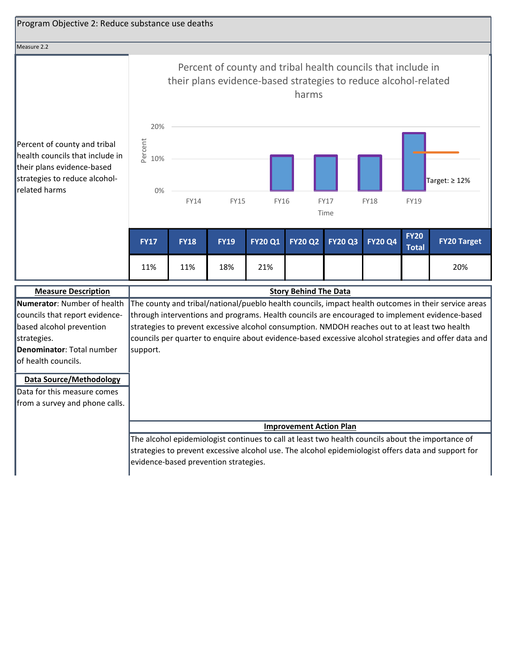| Program Objective 2: Reduce substance use deaths                                                                                                             |                                                                                                                                                                                                                                                                                                                                                                                                                             |             |             |                |                |                     |                |                             |                     |
|--------------------------------------------------------------------------------------------------------------------------------------------------------------|-----------------------------------------------------------------------------------------------------------------------------------------------------------------------------------------------------------------------------------------------------------------------------------------------------------------------------------------------------------------------------------------------------------------------------|-------------|-------------|----------------|----------------|---------------------|----------------|-----------------------------|---------------------|
| Measure 2.2                                                                                                                                                  |                                                                                                                                                                                                                                                                                                                                                                                                                             |             |             |                |                |                     |                |                             |                     |
| Percent of county and tribal<br>health councils that include in<br>their plans evidence-based<br>strategies to reduce alcohol-<br>related harms              | Percent of county and tribal health councils that include in<br>their plans evidence-based strategies to reduce alcohol-related<br>harms<br>20%                                                                                                                                                                                                                                                                             |             |             |                |                |                     |                |                             |                     |
|                                                                                                                                                              | Percent<br>10%<br>0%                                                                                                                                                                                                                                                                                                                                                                                                        | <b>FY14</b> | <b>FY15</b> | <b>FY16</b>    |                | <b>FY17</b><br>Time | <b>FY18</b>    | <b>FY19</b>                 | Target: $\geq 12\%$ |
|                                                                                                                                                              | <b>FY17</b>                                                                                                                                                                                                                                                                                                                                                                                                                 | <b>FY18</b> | <b>FY19</b> | <b>FY20 Q1</b> | <b>FY20 Q2</b> | <b>FY20 Q3</b>      | <b>FY20 Q4</b> | <b>FY20</b><br><b>Total</b> | <b>FY20 Target</b>  |
|                                                                                                                                                              | 11%                                                                                                                                                                                                                                                                                                                                                                                                                         | 11%         | 18%         | 21%            |                |                     |                |                             | 20%                 |
| <b>Measure Description</b>                                                                                                                                   | <b>Story Behind The Data</b>                                                                                                                                                                                                                                                                                                                                                                                                |             |             |                |                |                     |                |                             |                     |
| Numerator: Number of health<br>councils that report evidence-<br>based alcohol prevention<br>strategies.<br>Denominator: Total number<br>of health councils. | The county and tribal/national/pueblo health councils, impact health outcomes in their service areas<br>through interventions and programs. Health councils are encouraged to implement evidence-based<br>strategies to prevent excessive alcohol consumption. NMDOH reaches out to at least two health<br>councils per quarter to enquire about evidence-based excessive alcohol strategies and offer data and<br>support. |             |             |                |                |                     |                |                             |                     |
| <b>Data Source/Methodology</b><br>Data for this measure comes<br>from a survey and phone calls.                                                              |                                                                                                                                                                                                                                                                                                                                                                                                                             |             |             |                |                |                     |                |                             |                     |
|                                                                                                                                                              | <b>Improvement Action Plan</b>                                                                                                                                                                                                                                                                                                                                                                                              |             |             |                |                |                     |                |                             |                     |
|                                                                                                                                                              | The alcohol epidemiologist continues to call at least two health councils about the importance of<br>strategies to prevent excessive alcohol use. The alcohol epidemiologist offers data and support for<br>evidence-based prevention strategies.                                                                                                                                                                           |             |             |                |                |                     |                |                             |                     |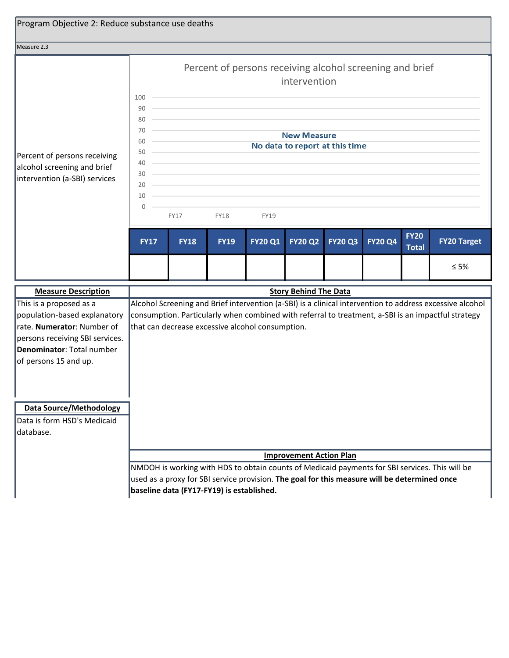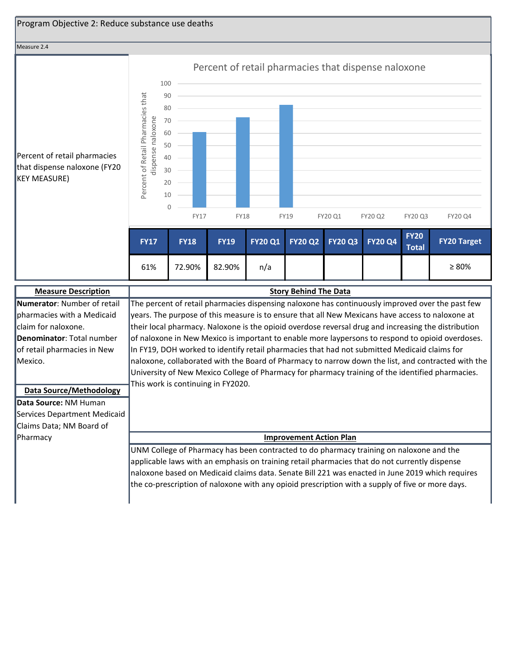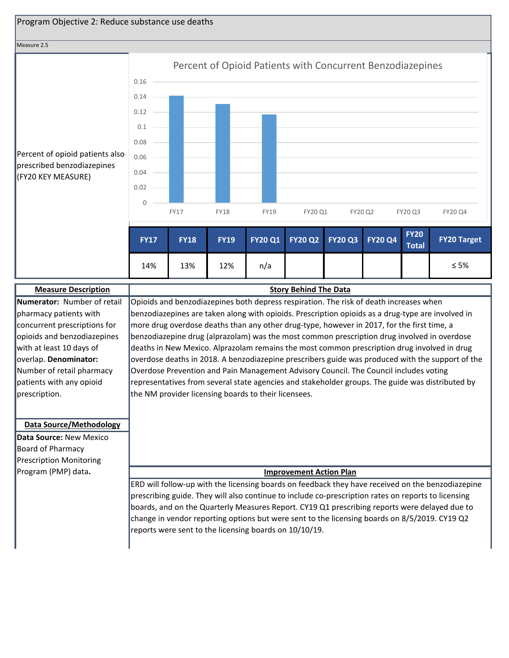

#### Measure 2.5

(FY20 KEY MEASURE)



| <b>Measure Description</b>     | <b>Story Behind The Data</b>                                                                        |  |  |  |  |  |  |  |  |
|--------------------------------|-----------------------------------------------------------------------------------------------------|--|--|--|--|--|--|--|--|
| Numerator: Number of retail    | Opioids and benzodiazepines both depress respiration. The risk of death increases when              |  |  |  |  |  |  |  |  |
| pharmacy patients with         | benzodiazepines are taken along with opioids. Prescription opioids as a drug-type are involved in   |  |  |  |  |  |  |  |  |
| concurrent prescriptions for   | more drug overdose deaths than any other drug-type, however in 2017, for the first time, a          |  |  |  |  |  |  |  |  |
| opioids and benzodiazepines    | benzodiazepine drug (alprazolam) was the most common prescription drug involved in overdose         |  |  |  |  |  |  |  |  |
| with at least 10 days of       | deaths in New Mexico. Alprazolam remains the most common prescription drug involved in drug         |  |  |  |  |  |  |  |  |
| overlap. Denominator:          | overdose deaths in 2018. A benzodiazepine prescribers guide was produced with the support of the    |  |  |  |  |  |  |  |  |
| Number of retail pharmacy      | Overdose Prevention and Pain Management Advisory Council. The Council includes voting               |  |  |  |  |  |  |  |  |
| patients with any opioid       | representatives from several state agencies and stakeholder groups. The guide was distributed by    |  |  |  |  |  |  |  |  |
| prescription.                  | the NM provider licensing boards to their licensees.                                                |  |  |  |  |  |  |  |  |
|                                |                                                                                                     |  |  |  |  |  |  |  |  |
|                                |                                                                                                     |  |  |  |  |  |  |  |  |
| <b>Data Source/Methodology</b> |                                                                                                     |  |  |  |  |  |  |  |  |
| Data Source: New Mexico        |                                                                                                     |  |  |  |  |  |  |  |  |
| Board of Pharmacy              |                                                                                                     |  |  |  |  |  |  |  |  |
| <b>Prescription Monitoring</b> |                                                                                                     |  |  |  |  |  |  |  |  |
| Program (PMP) data.            | <b>Improvement Action Plan</b>                                                                      |  |  |  |  |  |  |  |  |
|                                | ERD will follow-up with the licensing boards on feedback they have received on the benzodiazepine   |  |  |  |  |  |  |  |  |
|                                | prescribing guide. They will also continue to include co-prescription rates on reports to licensing |  |  |  |  |  |  |  |  |
|                                | boards, and on the Quarterly Measures Report. CY19 Q1 prescribing reports were delayed due to       |  |  |  |  |  |  |  |  |
|                                | change in vendor reporting options but were sent to the licensing boards on 8/5/2019. CY19 Q2       |  |  |  |  |  |  |  |  |
|                                | reports were sent to the licensing boards on 10/10/19.                                              |  |  |  |  |  |  |  |  |
|                                |                                                                                                     |  |  |  |  |  |  |  |  |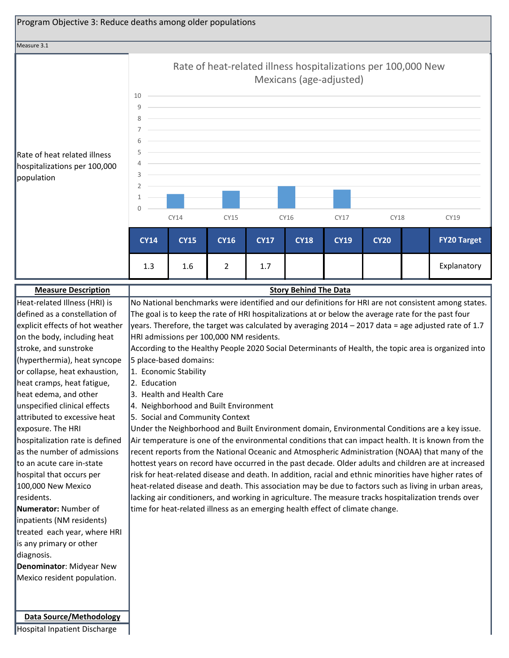

| <b>Measure Description</b>      | <b>Story Behind The Data</b>                                                                            |
|---------------------------------|---------------------------------------------------------------------------------------------------------|
| Heat-related Illness (HRI) is   | No National benchmarks were identified and our definitions for HRI are not consistent among states.     |
| defined as a constellation of   | The goal is to keep the rate of HRI hospitalizations at or below the average rate for the past four     |
| explicit effects of hot weather | years. Therefore, the target was calculated by averaging 2014 - 2017 data = age adjusted rate of 1.7    |
| on the body, including heat     | HRI admissions per 100,000 NM residents.                                                                |
| stroke, and sunstroke           | According to the Healthy People 2020 Social Determinants of Health, the topic area is organized into    |
| (hyperthermia), heat syncope    | 5 place-based domains:                                                                                  |
| or collapse, heat exhaustion,   | 1. Economic Stability                                                                                   |
| heat cramps, heat fatigue,      | 2. Education                                                                                            |
| heat edema, and other           | 3. Health and Health Care                                                                               |
| unspecified clinical effects    | 4. Neighborhood and Built Environment                                                                   |
| attributed to excessive heat    | 5. Social and Community Context                                                                         |
| exposure. The HRI               | Under the Neighborhood and Built Environment domain, Environmental Conditions are a key issue.          |
| hospitalization rate is defined | Air temperature is one of the environmental conditions that can impact health. It is known from the     |
| as the number of admissions     | recent reports from the National Oceanic and Atmospheric Administration (NOAA) that many of the         |
| to an acute care in-state       | hottest years on record have occurred in the past decade. Older adults and children are at increased    |
| hospital that occurs per        | risk for heat-related disease and death. In addition, racial and ethnic minorities have higher rates of |
| 100,000 New Mexico              | heat-related disease and death. This association may be due to factors such as living in urban areas,   |
| residents.                      | lacking air conditioners, and working in agriculture. The measure tracks hospitalization trends over    |
| Numerator: Number of            | time for heat-related illness as an emerging health effect of climate change.                           |
| inpatients (NM residents)       |                                                                                                         |
| treated each year, where HRI    |                                                                                                         |
| is any primary or other         |                                                                                                         |
| diagnosis.                      |                                                                                                         |
| Denominator: Midyear New        |                                                                                                         |
| Mexico resident population.     |                                                                                                         |
|                                 |                                                                                                         |
|                                 |                                                                                                         |
| <b>Data Source/Methodology</b>  |                                                                                                         |

Hospital Inpatient Discharge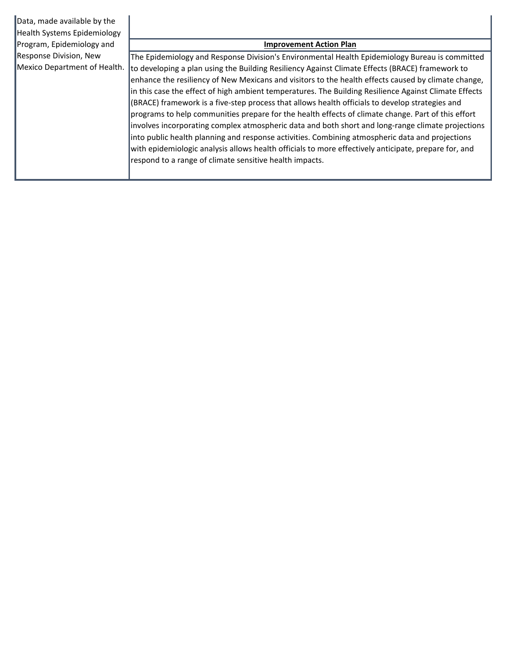| Data, made available by the<br><b>Health Systems Epidemiology</b> |                                                                                                                                                                                                                                                                                                                                                                                                                                                                                                                                                                                                                                                                                                                                                                                                                                                                                                     |
|-------------------------------------------------------------------|-----------------------------------------------------------------------------------------------------------------------------------------------------------------------------------------------------------------------------------------------------------------------------------------------------------------------------------------------------------------------------------------------------------------------------------------------------------------------------------------------------------------------------------------------------------------------------------------------------------------------------------------------------------------------------------------------------------------------------------------------------------------------------------------------------------------------------------------------------------------------------------------------------|
| Program, Epidemiology and                                         | <b>Improvement Action Plan</b>                                                                                                                                                                                                                                                                                                                                                                                                                                                                                                                                                                                                                                                                                                                                                                                                                                                                      |
| Response Division, New                                            | The Epidemiology and Response Division's Environmental Health Epidemiology Bureau is committed                                                                                                                                                                                                                                                                                                                                                                                                                                                                                                                                                                                                                                                                                                                                                                                                      |
| Mexico Department of Health.                                      | to developing a plan using the Building Resiliency Against Climate Effects (BRACE) framework to<br>enhance the resiliency of New Mexicans and visitors to the health effects caused by climate change,<br>in this case the effect of high ambient temperatures. The Building Resilience Against Climate Effects<br>(BRACE) framework is a five-step process that allows health officials to develop strategies and<br>programs to help communities prepare for the health effects of climate change. Part of this effort<br>involves incorporating complex atmospheric data and both short and long-range climate projections<br>into public health planning and response activities. Combining atmospheric data and projections<br>with epidemiologic analysis allows health officials to more effectively anticipate, prepare for, and<br>respond to a range of climate sensitive health impacts. |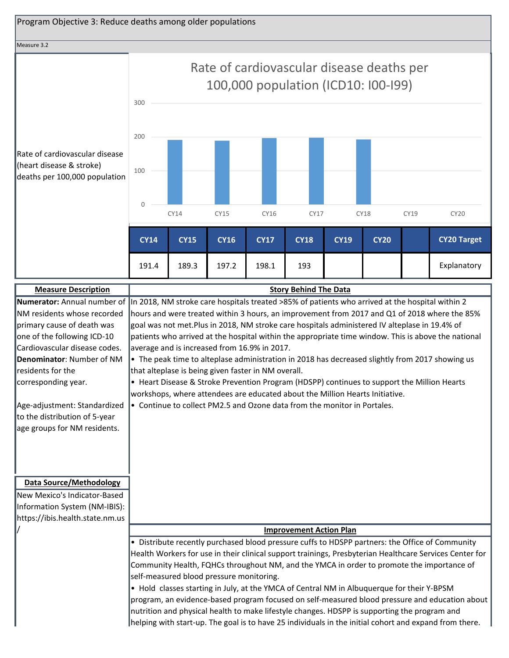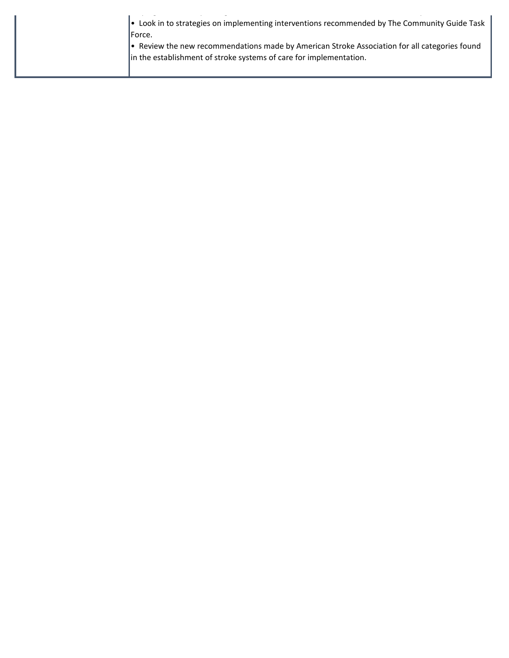| • Look in to strategies on implementing interventions recommended by The Community Guide Task |
|-----------------------------------------------------------------------------------------------|
| lForce.                                                                                       |
| Review the new recommendations made by American Stroke Association for all categories found   |
| in the establishment of stroke systems of care for implementation.                            |
|                                                                                               |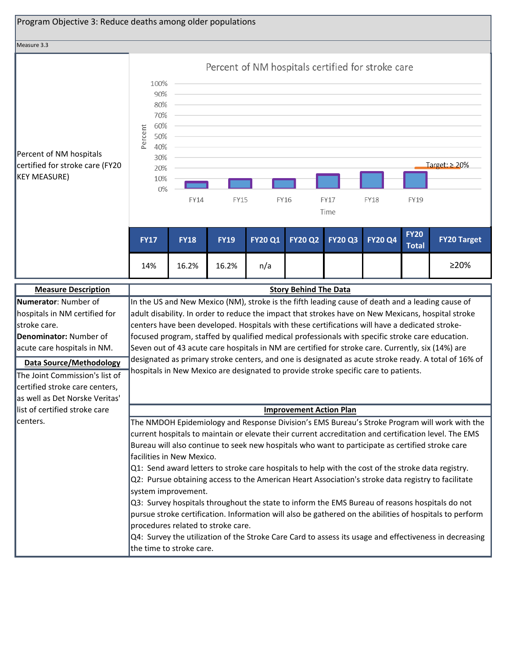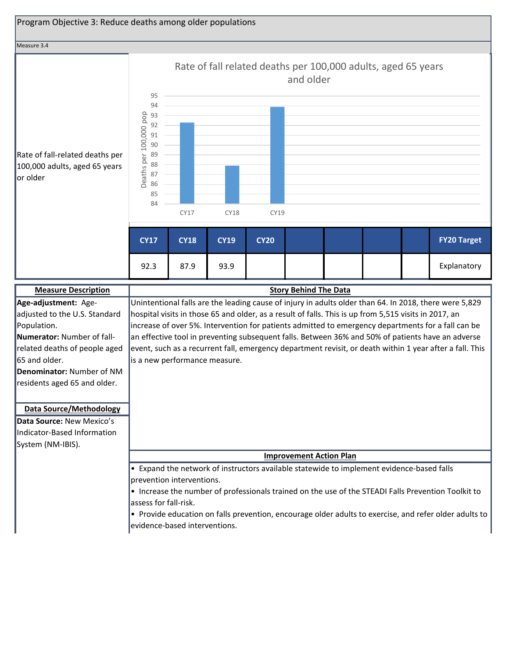

**Denominator:** Number of NM residents aged 65 and older.

#### **Data Source/Methodology**

**Data Source:** New Mexico's Indicator-Based Information System (NM-IBIS).

**Improvement Action Plan**

• Expand the network of instructors available statewide to implement evidence-based falls prevention interventions.

• Increase the number of professionals trained on the use of the STEADI Falls Prevention Toolkit to assess for fall-risk.

• Provide education on falls prevention, encourage older adults to exercise, and refer older adults to evidence-based interventions.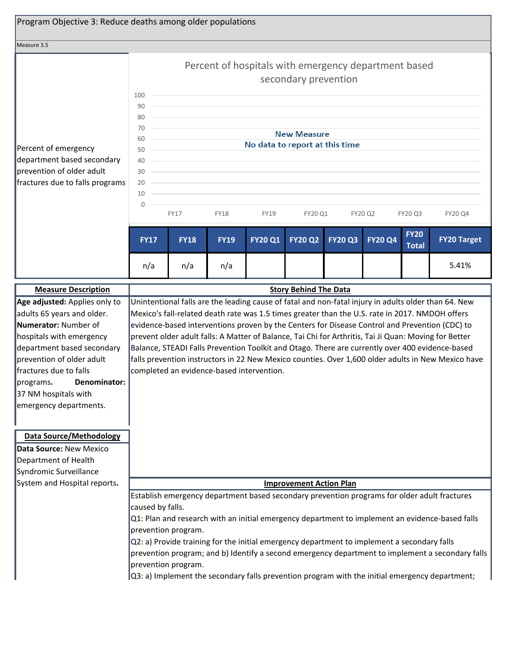| Program Objective 3: Reduce deaths among older populations                                                                                                                                                                                                                       |                                                                                                                                                                                                                                                                                                                                                                                                                                                                                                                                                                                                                                                                          |                                                                                                                                                                                                                                                                           |             |                                                      |                              |                |                |                             |                    |  |
|----------------------------------------------------------------------------------------------------------------------------------------------------------------------------------------------------------------------------------------------------------------------------------|--------------------------------------------------------------------------------------------------------------------------------------------------------------------------------------------------------------------------------------------------------------------------------------------------------------------------------------------------------------------------------------------------------------------------------------------------------------------------------------------------------------------------------------------------------------------------------------------------------------------------------------------------------------------------|---------------------------------------------------------------------------------------------------------------------------------------------------------------------------------------------------------------------------------------------------------------------------|-------------|------------------------------------------------------|------------------------------|----------------|----------------|-----------------------------|--------------------|--|
| Measure 3.5                                                                                                                                                                                                                                                                      |                                                                                                                                                                                                                                                                                                                                                                                                                                                                                                                                                                                                                                                                          |                                                                                                                                                                                                                                                                           |             |                                                      |                              |                |                |                             |                    |  |
|                                                                                                                                                                                                                                                                                  |                                                                                                                                                                                                                                                                                                                                                                                                                                                                                                                                                                                                                                                                          |                                                                                                                                                                                                                                                                           |             | Percent of hospitals with emergency department based | secondary prevention         |                |                |                             |                    |  |
| Percent of emergency<br>department based secondary<br>prevention of older adult<br>fractures due to falls programs                                                                                                                                                               | 100<br>90<br>80<br>70<br>60<br>50<br>40<br>30<br>20<br>10<br>$\mathbf 0$                                                                                                                                                                                                                                                                                                                                                                                                                                                                                                                                                                                                 | <b>New Measure</b><br>No data to report at this time<br>and the control of the control of the control of the control of the control of the control of<br>and the control of the control of the control of the control of the control of the control of the control of the |             |                                                      |                              |                |                |                             |                    |  |
|                                                                                                                                                                                                                                                                                  |                                                                                                                                                                                                                                                                                                                                                                                                                                                                                                                                                                                                                                                                          | <b>FY17</b>                                                                                                                                                                                                                                                               | <b>FY18</b> | <b>FY19</b>                                          | FY20 Q1                      |                | FY20 Q2        | FY20 Q3                     | FY20 Q4            |  |
|                                                                                                                                                                                                                                                                                  | <b>FY17</b>                                                                                                                                                                                                                                                                                                                                                                                                                                                                                                                                                                                                                                                              | <b>FY18</b>                                                                                                                                                                                                                                                               | <b>FY19</b> | <b>FY20 Q1</b>                                       | <b>FY20 Q2</b>               | <b>FY20 Q3</b> | <b>FY20 Q4</b> | <b>FY20</b><br><b>Total</b> | <b>FY20 Target</b> |  |
|                                                                                                                                                                                                                                                                                  | n/a                                                                                                                                                                                                                                                                                                                                                                                                                                                                                                                                                                                                                                                                      | n/a                                                                                                                                                                                                                                                                       | n/a         |                                                      |                              |                |                |                             | 5.41%              |  |
| <b>Measure Description</b>                                                                                                                                                                                                                                                       |                                                                                                                                                                                                                                                                                                                                                                                                                                                                                                                                                                                                                                                                          |                                                                                                                                                                                                                                                                           |             |                                                      | <b>Story Behind The Data</b> |                |                |                             |                    |  |
| Age adjusted: Applies only to<br>adults 65 years and older.<br>Numerator: Number of<br>hospitals with emergency<br>department based secondary<br>prevention of older adult<br>fractures due to falls<br>programs. Denominator:<br>37 NM hospitals with<br>emergency departments. | Unintentional falls are the leading cause of fatal and non-fatal injury in adults older than 64. New<br>Mexico's fall-related death rate was 1.5 times greater than the U.S. rate in 2017. NMDOH offers<br>evidence-based interventions proven by the Centers for Disease Control and Prevention (CDC) to<br>prevent older adult falls: A Matter of Balance, Tai Chi for Arthritis, Tai Ji Quan: Moving for Better<br>Balance, STEADI Falls Prevention Toolkit and Otago. There are currently over 400 evidence-based<br>falls prevention instructors in 22 New Mexico counties. Over 1,600 older adults in New Mexico have<br>completed an evidence-based intervention. |                                                                                                                                                                                                                                                                           |             |                                                      |                              |                |                |                             |                    |  |
| <b>Data Source/Methodology</b><br>Data Source: New Mexico<br>Department of Health<br>Syndromic Surveillance<br>System and Hospital reports.                                                                                                                                      | <b>Improvement Action Plan</b><br>Establish emergency department based secondary prevention programs for older adult fractures<br>caused by falls.<br>Q1: Plan and research with an initial emergency department to implement an evidence-based falls<br>prevention program.<br>Q2: a) Provide training for the initial emergency department to implement a secondary falls<br>prevention program; and b) Identify a second emergency department to implement a secondary falls<br>prevention program.                                                                                                                                                                   |                                                                                                                                                                                                                                                                           |             |                                                      |                              |                |                |                             |                    |  |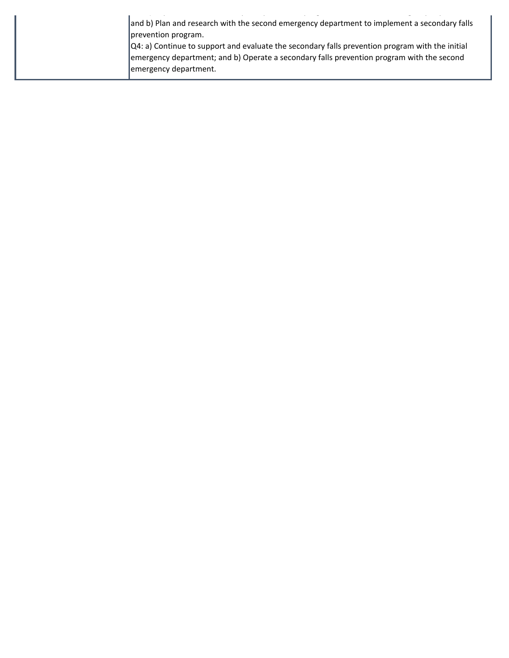| and b) Plan and research with the second emergency department to implement a secondary falls<br>prevention program.                                                                                  |  |
|------------------------------------------------------------------------------------------------------------------------------------------------------------------------------------------------------|--|
| $\vert$ Q4: a) Continue to support and evaluate the secondary falls prevention program with the initial<br>emergency department; and b) Operate a secondary falls prevention program with the second |  |
| emergency department.                                                                                                                                                                                |  |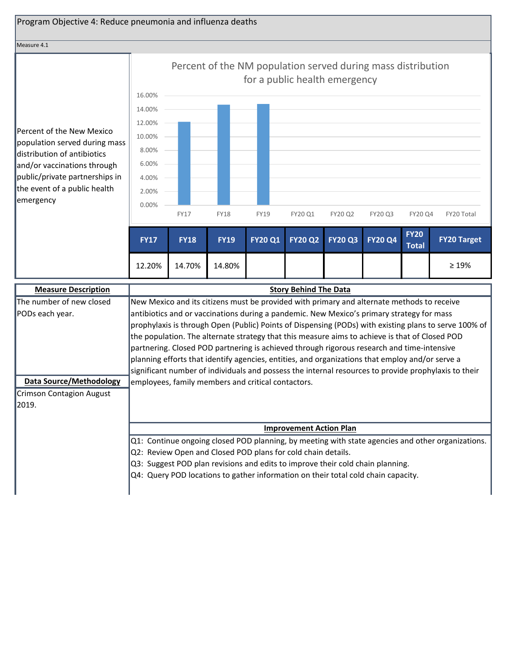

12.20% 14.70% 14.80%

| <b>Measure Description</b>      | <b>Story Behind The Data</b>                                                                          |  |  |  |  |  |  |  |  |  |  |
|---------------------------------|-------------------------------------------------------------------------------------------------------|--|--|--|--|--|--|--|--|--|--|
| The number of new closed        | New Mexico and its citizens must be provided with primary and alternate methods to receive            |  |  |  |  |  |  |  |  |  |  |
| <b>PODs each year.</b>          | antibiotics and or vaccinations during a pandemic. New Mexico's primary strategy for mass             |  |  |  |  |  |  |  |  |  |  |
|                                 | prophylaxis is through Open (Public) Points of Dispensing (PODs) with existing plans to serve 100% of |  |  |  |  |  |  |  |  |  |  |
|                                 | the population. The alternate strategy that this measure aims to achieve is that of Closed POD        |  |  |  |  |  |  |  |  |  |  |
|                                 | partnering. Closed POD partnering is achieved through rigorous research and time-intensive            |  |  |  |  |  |  |  |  |  |  |
|                                 | planning efforts that identify agencies, entities, and organizations that employ and/or serve a       |  |  |  |  |  |  |  |  |  |  |
|                                 | significant number of individuals and possess the internal resources to provide prophylaxis to their  |  |  |  |  |  |  |  |  |  |  |
| <b>Data Source/Methodology</b>  | employees, family members and critical contactors.                                                    |  |  |  |  |  |  |  |  |  |  |
| <b>Crimson Contagion August</b> |                                                                                                       |  |  |  |  |  |  |  |  |  |  |
| 12019.                          |                                                                                                       |  |  |  |  |  |  |  |  |  |  |
|                                 |                                                                                                       |  |  |  |  |  |  |  |  |  |  |
|                                 | <b>Improvement Action Plan</b>                                                                        |  |  |  |  |  |  |  |  |  |  |
|                                 | Q1: Continue ongoing closed POD planning, by meeting with state agencies and other organizations.     |  |  |  |  |  |  |  |  |  |  |
|                                 | Q2: Review Open and Closed POD plans for cold chain details.                                          |  |  |  |  |  |  |  |  |  |  |
|                                 | Q3: Suggest POD plan revisions and edits to improve their cold chain planning.                        |  |  |  |  |  |  |  |  |  |  |
|                                 | Q4: Query POD locations to gather information on their total cold chain capacity.                     |  |  |  |  |  |  |  |  |  |  |
|                                 |                                                                                                       |  |  |  |  |  |  |  |  |  |  |

≥ 19%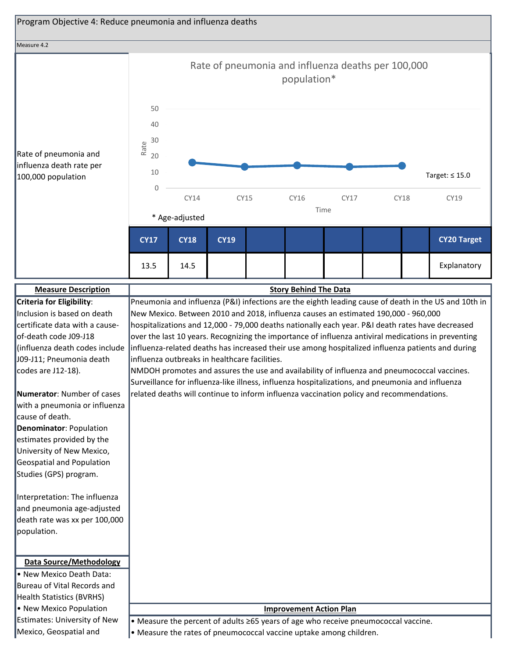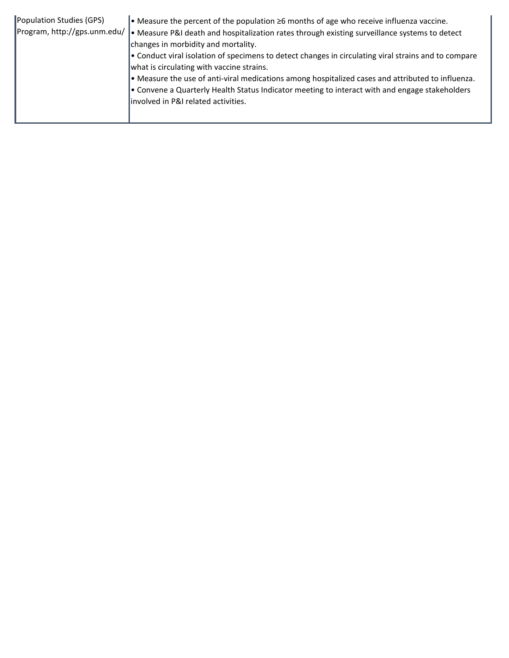| Population Studies (GPS) | • Measure the percent of the population $\geq 6$ months of age who receive influenza vaccine.<br>Program, http://gps.unm.edu/   • Measure P&I death and hospitalization rates through existing surveillance systems to detect<br>changes in morbidity and mortality.<br>• Conduct viral isolation of specimens to detect changes in circulating viral strains and to compare<br>what is circulating with vaccine strains.<br>$\bullet$ Measure the use of anti-viral medications among hospitalized cases and attributed to influenza.<br>. Convene a Quarterly Health Status Indicator meeting to interact with and engage stakeholders<br>involved in P&I related activities. |
|--------------------------|---------------------------------------------------------------------------------------------------------------------------------------------------------------------------------------------------------------------------------------------------------------------------------------------------------------------------------------------------------------------------------------------------------------------------------------------------------------------------------------------------------------------------------------------------------------------------------------------------------------------------------------------------------------------------------|
|--------------------------|---------------------------------------------------------------------------------------------------------------------------------------------------------------------------------------------------------------------------------------------------------------------------------------------------------------------------------------------------------------------------------------------------------------------------------------------------------------------------------------------------------------------------------------------------------------------------------------------------------------------------------------------------------------------------------|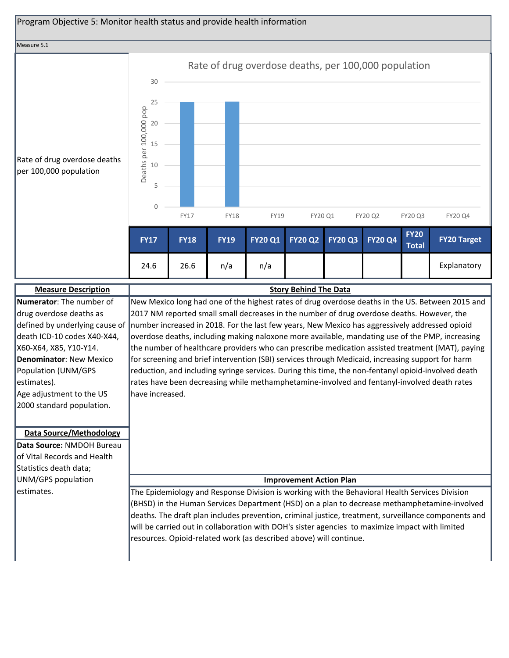

| <b>Measure Description</b>     | <b>Story Behind The Data</b>                                                                                                   |
|--------------------------------|--------------------------------------------------------------------------------------------------------------------------------|
| Numerator: The number of       | New Mexico long had one of the highest rates of drug overdose deaths in the US. Between 2015 and                               |
| drug overdose deaths as        | 2017 NM reported small small decreases in the number of drug overdose deaths. However, the                                     |
|                                | defined by underlying cause of  number increased in 2018. For the last few years, New Mexico has aggressively addressed opioid |
| death ICD-10 codes X40-X44,    | overdose deaths, including making naloxone more available, mandating use of the PMP, increasing                                |
| X60-X64, X85, Y10-Y14.         | the number of healthcare providers who can prescribe medication assisted treatment (MAT), paying                               |
| <b>Denominator: New Mexico</b> | for screening and brief intervention (SBI) services through Medicaid, increasing support for harm                              |
| Population (UNM/GPS            | reduction, and including syringe services. During this time, the non-fentanyl opioid-involved death                            |
| estimates).                    | rates have been decreasing while methamphetamine-involved and fentanyl-involved death rates                                    |
| Age adjustment to the US       | lhave increased.                                                                                                               |
| 2000 standard population.      |                                                                                                                                |
|                                |                                                                                                                                |
| <b>Data Source/Methodology</b> |                                                                                                                                |
| Data Source: NMDOH Bureau      |                                                                                                                                |
| of Vital Records and Health    |                                                                                                                                |
| Statistics death data;         |                                                                                                                                |
| UNM/GPS population             | <b>Improvement Action Plan</b>                                                                                                 |
| lestimates.                    |                                                                                                                                |
|                                | The Epidemiology and Response Division is working with the Behavioral Health Services Division                                 |
|                                | (BHSD) in the Human Services Department (HSD) on a plan to decrease methamphetamine-involved                                   |
|                                | deaths. The draft plan includes prevention, criminal justice, treatment, surveillance components and                           |
|                                | will be carried out in collaboration with DOH's sister agencies to maximize impact with limited                                |
|                                | resources. Opioid-related work (as described above) will continue.                                                             |
|                                |                                                                                                                                |
|                                |                                                                                                                                |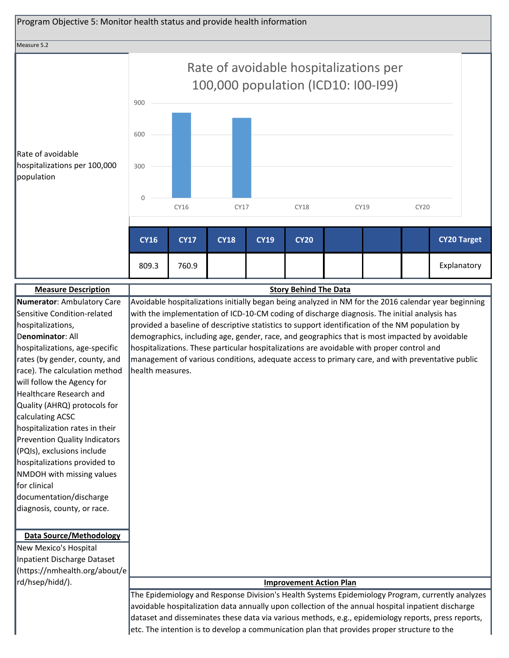

race). The calculation method will follow the Agency for Healthcare Research and Quality (AHRQ) protocols for calculating ACSC hospitalization rates in their Prevention Quality Indicators (PQIs), exclusions include hospitalizations provided to NMDOH with missing values for clinical documentation/discharge diagnosis, county, or race. health measures.

**Data Source/Methodology**

New Mexico's Hospital Inpatient Discharge Dataset (https://nmhealth.org/about/e rd/hsep/hidd/). **Improvement Action Plan**

The Epidemiology and Response Division's Health Systems Epidemiology Program, currently analyzes avoidable hospitalization data annually upon collection of the annual hospital inpatient discharge dataset and disseminates these data via various methods, e.g., epidemiology reports, press reports, etc. The intention is to develop a communication plan that provides proper structure to the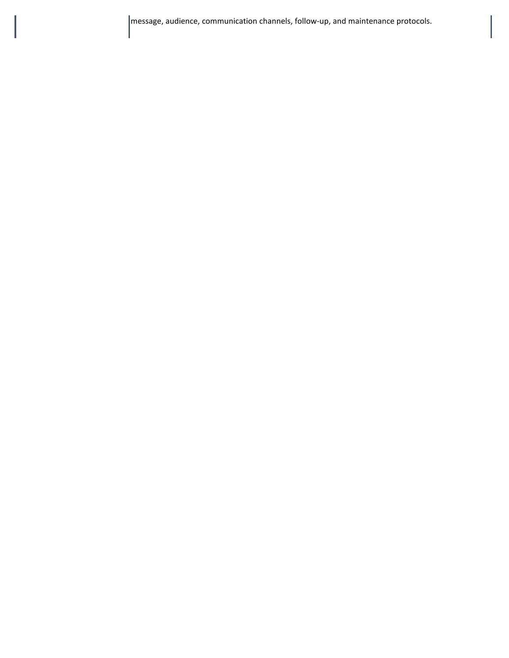message, audience, communication channels, follow-up, and maintenance protocols.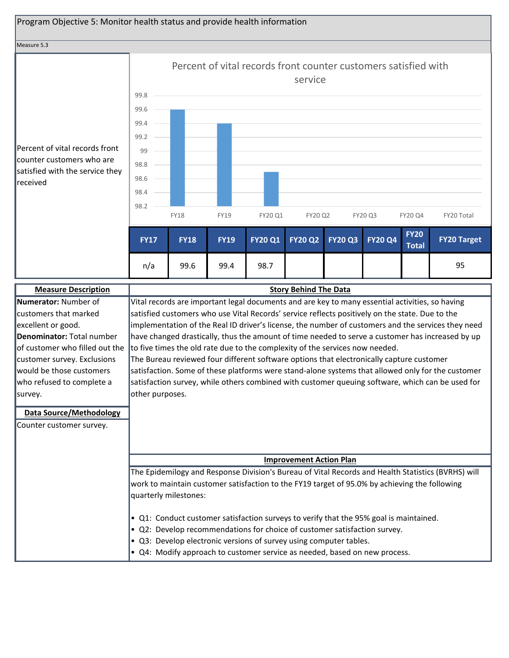

| <b>Measure Description</b>     | <b>Story Behind The Data</b>                                                                                |
|--------------------------------|-------------------------------------------------------------------------------------------------------------|
| Numerator: Number of           | Vital records are important legal documents and are key to many essential activities, so having             |
| customers that marked          | satisfied customers who use Vital Records' service reflects positively on the state. Due to the             |
| excellent or good.             | implementation of the Real ID driver's license, the number of customers and the services they need          |
| Denominator: Total number      | have changed drastically, thus the amount of time needed to serve a customer has increased by up            |
|                                | of customer who filled out the to five times the old rate due to the complexity of the services now needed. |
| customer survey. Exclusions    | The Bureau reviewed four different software options that electronically capture customer                    |
| would be those customers       | satisfaction. Some of these platforms were stand-alone systems that allowed only for the customer           |
| who refused to complete a      | satisfaction survey, while others combined with customer queuing software, which can be used for            |
| survey.                        | other purposes.                                                                                             |
| <b>Data Source/Methodology</b> |                                                                                                             |
| Counter customer survey.       |                                                                                                             |
|                                |                                                                                                             |
|                                |                                                                                                             |
|                                | <b>Improvement Action Plan</b>                                                                              |
|                                | The Epidemilogy and Response Division's Bureau of Vital Records and Health Statistics (BVRHS) will          |
|                                | work to maintain customer satisfaction to the FY19 target of 95.0% by achieving the following               |
|                                | quarterly milestones:                                                                                       |
|                                |                                                                                                             |
|                                | • Q1: Conduct customer satisfaction surveys to verify that the 95% goal is maintained.                      |
|                                | • Q2: Develop recommendations for choice of customer satisfaction survey.                                   |
|                                | • Q3: Develop electronic versions of survey using computer tables.                                          |
|                                | • Q4: Modify approach to customer service as needed, based on new process.                                  |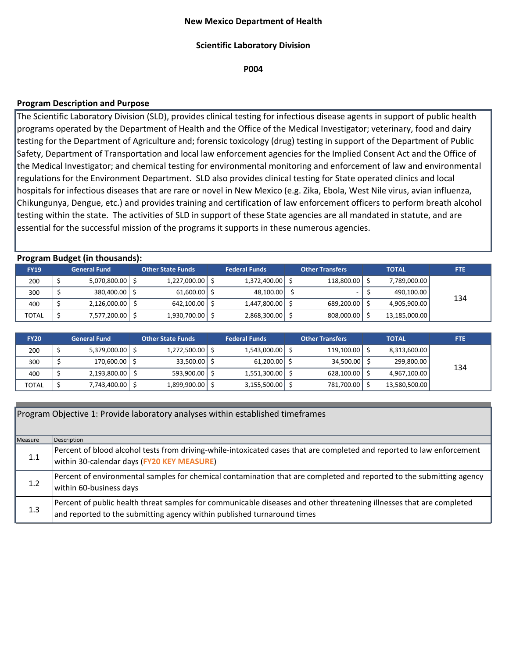## **New Mexico Department of Health**

## **Scientific Laboratory Division**

**P004**

# **Program Description and Purpose**

The Scientific Laboratory Division (SLD), provides clinical testing for infectious disease agents in support of public health programs operated by the Department of Health and the Office of the Medical Investigator; veterinary, food and dairy testing for the Department of Agriculture and; forensic toxicology (drug) testing in support of the Department of Public Safety, Department of Transportation and local law enforcement agencies for the Implied Consent Act and the Office of the Medical Investigator; and chemical testing for environmental monitoring and enforcement of law and environmental regulations for the Environment Department. SLD also provides clinical testing for State operated clinics and local hospitals for infectious diseases that are rare or novel in New Mexico (e.g. Zika, Ebola, West Nile virus, avian influenza, Chikungunya, Dengue, etc.) and provides training and certification of law enforcement officers to perform breath alcohol testing within the state. The activities of SLD in support of these State agencies are all mandated in statute, and are essential for the successful mission of the programs it supports in these numerous agencies.

| <b>Program Budget (in thousands):</b> |  |                          |  |                          |  |                      |  |                        |  |               |            |
|---------------------------------------|--|--------------------------|--|--------------------------|--|----------------------|--|------------------------|--|---------------|------------|
| <b>FY19</b>                           |  | <b>General Fund</b>      |  | <b>Other State Funds</b> |  | <b>Federal Funds</b> |  | <b>Other Transfers</b> |  | <b>TOTAL</b>  | <b>FTE</b> |
| 200                                   |  | $5,070,800.00$ $\mid$ \$ |  | 1,227,000.00             |  | 1,372,400.00         |  | 118,800.00 \$          |  | 7,789,000.00  |            |
| 300                                   |  | 380,400.00   \$          |  | $61,600.00$ \$           |  | 48,100.00            |  |                        |  | 490,100.00    | 134        |
| 400                                   |  | 2,126,000.00             |  | 642,100.00               |  | 1,447,800.00         |  | 689,200.00 \$          |  | 4,905,900.00  |            |
| <b>TOTAL</b>                          |  | 7,577,200.00 \$          |  | 1,930,700.00             |  | 2,868,300.00         |  | 808,000.00   \$        |  | 13,185,000.00 |            |

| <b>FY20</b>  | <b>General Fund</b>      | <b>Other State Funds</b> |                     | <b>Federal Funds</b> |              | <b>Other Transfers</b> |                        | <b>TOTAL</b> |               | <b>FTE</b> |
|--------------|--------------------------|--------------------------|---------------------|----------------------|--------------|------------------------|------------------------|--------------|---------------|------------|
| 200          | $5,379,000.00$ $\mid$ \$ |                          | $1,272,500.00$   \$ |                      | 1,543,000.00 |                        | $119,100.00$ $\mid$ \$ |              | 8,313,600.00  |            |
| 300          | 170,600.00   \$          |                          | 33,500.00 \$        |                      | 61,200.00    |                        | 34,500.00 \$           |              | 299,800.00    | 134        |
| 400          | 2,193,800.00 \$          |                          | 593,900.00          |                      | 1,551,300.00 |                        | $628,100.00$ $\mid$ \$ |              | 4,967,100.00  |            |
| <b>TOTAL</b> | 7,743,400.00 \$          |                          | 1,899,900.00        |                      | 3,155,500.00 |                        | 781,700.00   \$        |              | 13,580,500.00 |            |

|         | Program Objective 1: Provide laboratory analyses within established timeframes                                                                                                                  |
|---------|-------------------------------------------------------------------------------------------------------------------------------------------------------------------------------------------------|
| Measure | Description                                                                                                                                                                                     |
| 1.1     | Percent of blood alcohol tests from driving-while-intoxicated cases that are completed and reported to law enforcement<br>within 30-calendar days (FY20 KEY MEASURE)                            |
| 1.2     | Percent of environmental samples for chemical contamination that are completed and reported to the submitting agency<br>within 60-business days                                                 |
| 1.3     | Percent of public health threat samples for communicable diseases and other threatening illnesses that are completed<br>and reported to the submitting agency within published turnaround times |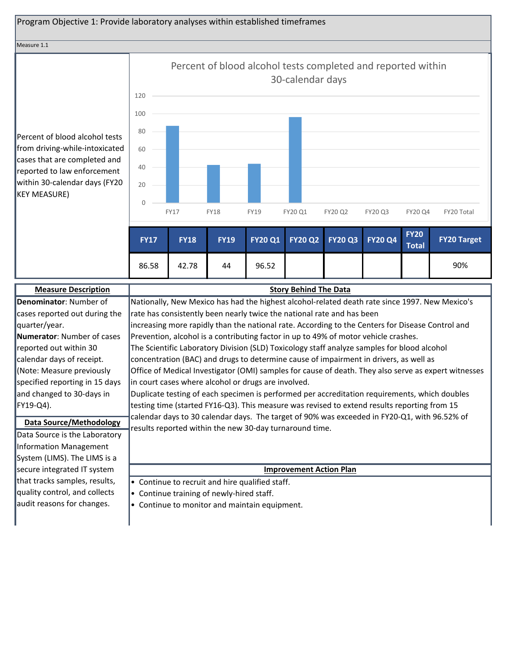# Program Objective 1: Provide laboratory analyses within established timeframes

#### Measure 1.1

Percent of blood alcohol tests from driving-while-intoxicated cases that are completed and reported to law enforcement within 30-calendar days (FY20 KEY MEASURE)



| <b>Measure Description</b>     | <b>Story Behind The Data</b>                                                                         |
|--------------------------------|------------------------------------------------------------------------------------------------------|
| Denominator: Number of         | Nationally, New Mexico has had the highest alcohol-related death rate since 1997. New Mexico's       |
| cases reported out during the  | rate has consistently been nearly twice the national rate and has been                               |
| quarter/year.                  | increasing more rapidly than the national rate. According to the Centers for Disease Control and     |
| Numerator: Number of cases     | Prevention, alcohol is a contributing factor in up to 49% of motor vehicle crashes.                  |
| reported out within 30         | The Scientific Laboratory Division (SLD) Toxicology staff analyze samples for blood alcohol          |
| calendar days of receipt.      | concentration (BAC) and drugs to determine cause of impairment in drivers, as well as                |
| (Note: Measure previously      | Office of Medical Investigator (OMI) samples for cause of death. They also serve as expert witnesses |
| specified reporting in 15 days | in court cases where alcohol or drugs are involved.                                                  |
| and changed to 30-days in      | Duplicate testing of each specimen is performed per accreditation requirements, which doubles        |
| FY19-Q4).                      | testing time (started FY16-Q3). This measure was revised to extend results reporting from 15         |
| <b>Data Source/Methodology</b> | calendar days to 30 calendar days. The target of 90% was exceeded in FY20-Q1, with 96.52% of         |
| Data Source is the Laboratory  | results reported within the new 30-day turnaround time.                                              |
| Information Management         |                                                                                                      |
| System (LIMS). The LIMS is a   |                                                                                                      |
| secure integrated IT system    | <b>Improvement Action Plan</b>                                                                       |
| that tracks samples, results,  | • Continue to recruit and hire qualified staff.                                                      |
| quality control, and collects  | • Continue training of newly-hired staff.                                                            |
| audit reasons for changes.     | • Continue to monitor and maintain equipment.                                                        |
|                                |                                                                                                      |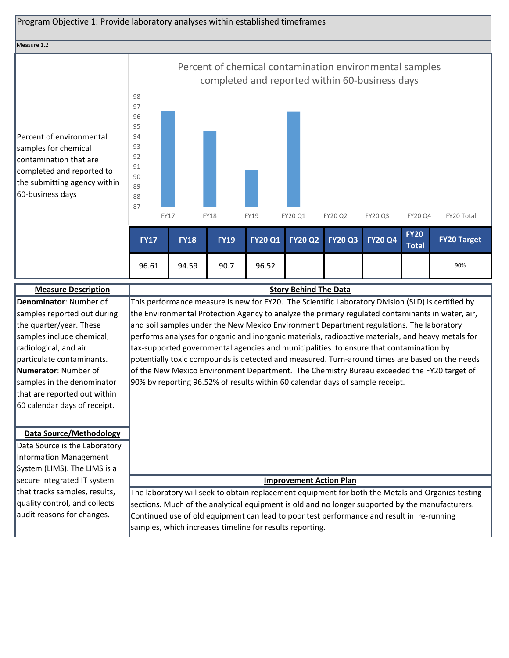# Program Objective 1: Provide laboratory analyses within established timeframes

Measure 1.2

Percent of environmental samples for chemical contamination that are completed and reported to the submitting agency within 60-business days



| <b>Measure Description</b>     | <b>Story Behind The Data</b>                                                                       |
|--------------------------------|----------------------------------------------------------------------------------------------------|
| Denominator: Number of         | This performance measure is new for FY20. The Scientific Laboratory Division (SLD) is certified by |
| samples reported out during    | the Environmental Protection Agency to analyze the primary regulated contaminants in water, air,   |
| the quarter/year. These        | and soil samples under the New Mexico Environment Department regulations. The laboratory           |
| samples include chemical,      | performs analyses for organic and inorganic materials, radioactive materials, and heavy metals for |
| radiological, and air          | tax-supported governmental agencies and municipalities to ensure that contamination by             |
| particulate contaminants.      | potentially toxic compounds is detected and measured. Turn-around times are based on the needs     |
| <b>Numerator:</b> Number of    | of the New Mexico Environment Department. The Chemistry Bureau exceeded the FY20 target of         |
| samples in the denominator     | 90% by reporting 96.52% of results within 60 calendar days of sample receipt.                      |
| that are reported out within   |                                                                                                    |
| 60 calendar days of receipt.   |                                                                                                    |
|                                |                                                                                                    |
| <b>Data Source/Methodology</b> |                                                                                                    |
| Data Source is the Laboratory  |                                                                                                    |
| Information Management         |                                                                                                    |
| System (LIMS). The LIMS is a   |                                                                                                    |
| secure integrated IT system    | <b>Improvement Action Plan</b>                                                                     |
| that tracks samples, results,  | The laboratory will seek to obtain replacement equipment for both the Metals and Organics testing  |
| quality control, and collects  | sections. Much of the analytical equipment is old and no longer supported by the manufacturers.    |
| audit reasons for changes.     | Continued use of old equipment can lead to poor test performance and result in re-running          |
|                                | samples, which increases timeline for results reporting.                                           |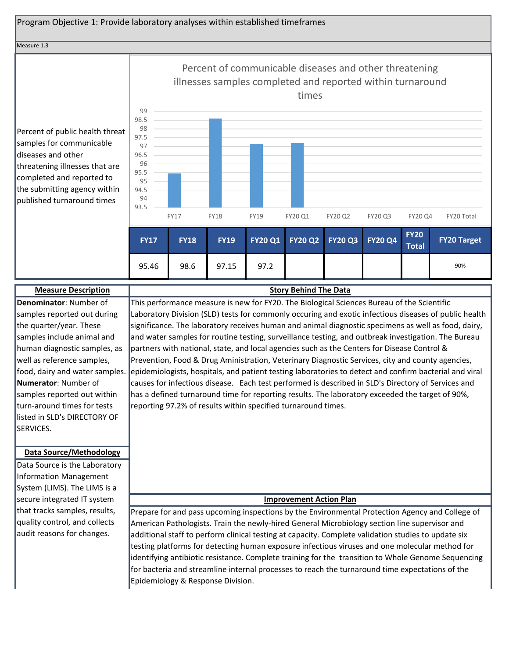#### Program Objective 1: Provide laboratory analyses within established timeframes Measure 1.3 Percent of public health threat samples for communicable diseases and other threatening illnesses that are completed and reported to CREATE GRAPH HERE 94.5 95 95.5 96 96.5 97 97.5 99 98.5 99 Percent of communicable diseases and other threatening illnesses samples completed and reported within turnaround times

the submitting agency within published turnaround times



# **Measure Description Story Behind The Data Denominator**: Number of samples reported out during the quarter/year. These samples include animal and human diagnostic samples, as well as reference samples, food, dairy and water samples. **Numerator**: Number of samples reported out within turn-around times for tests listed in SLD's DIRECTORY OF SERVICES.

## **Data Source/Methodology**

Data Source is the Laboratory Information Management System (LIMS). The LIMS is a secure integrated IT system that tracks samples, results, quality control, and collects audit reasons for changes.

This performance measure is new for FY20. The Biological Sciences Bureau of the Scientific Laboratory Division (SLD) tests for commonly occuring and exotic infectious diseases of public health significance. The laboratory receives human and animal diagnostic specimens as well as food, dairy, and water samples for routine testing, surveillance testing, and outbreak investigation. The Bureau partners with national, state, and local agencies such as the Centers for Disease Control & Prevention, Food & Drug Aministration, Veterinary Diagnostic Services, city and county agencies, epidemiologists, hospitals, and patient testing laboratories to detect and confirm bacterial and viral causes for infectious disease. Each test performed is described in SLD's Directory of Services and has a defined turnaround time for reporting results. The laboratory exceeded the target of 90%, reporting 97.2% of results within specified turnaround times.

## **Improvement Action Plan**

Prepare for and pass upcoming inspections by the Environmental Protection Agency and College of American Pathologists. Train the newly-hired General Microbiology section line supervisor and additional staff to perform clinical testing at capacity. Complete validation studies to update six testing platforms for detecting human exposure infectious viruses and one molecular method for identifying antibiotic resistance. Complete training for the transition to Whole Genome Sequencing for bacteria and streamline internal processes to reach the turnaround time expectations of the Epidemiology & Response Division.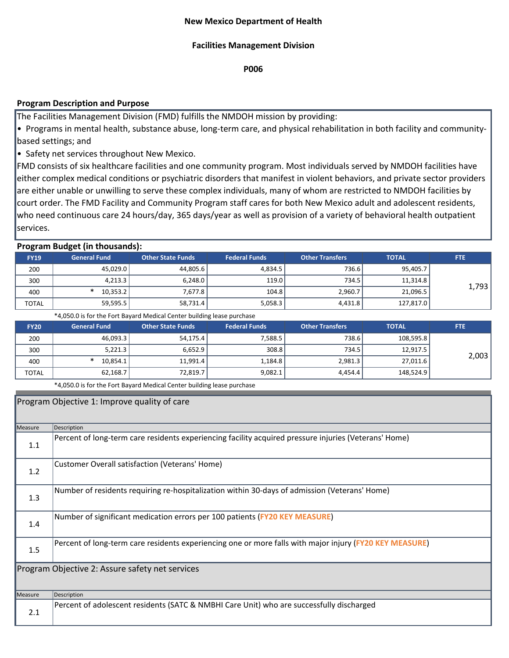## **Facilities Management Division**

**P006**

## **Program Description and Purpose**

The Facilities Management Division (FMD) fulfills the NMDOH mission by providing:

• Programs in mental health, substance abuse, long-term care, and physical rehabilitation in both facility and communitybased settings; and

• Safety net services throughout New Mexico.

FMD consists of six healthcare facilities and one community program. Most individuals served by NMDOH facilities have either complex medical conditions or psychiatric disorders that manifest in violent behaviors, and private sector providers are either unable or unwilling to serve these complex individuals, many of whom are restricted to NMDOH facilities by court order. The FMD Facility and Community Program staff cares for both New Mexico adult and adolescent residents, who need continuous care 24 hours/day, 365 days/year as well as provision of a variety of behavioral health outpatient services.

## **Program Budget (in thousands):**

| . .          |                     |                   |                      |                        |              |            |
|--------------|---------------------|-------------------|----------------------|------------------------|--------------|------------|
| <b>FY19</b>  | <b>General Fund</b> | Other State Funds | <b>Federal Funds</b> | <b>Other Transfers</b> | <b>TOTAL</b> | <b>FTE</b> |
| 200          | 45,029.0            | 44,805.6          | 4,834.5              | 736.6                  | 95,405.7     |            |
| 300          | 4,213.3             | 6,248.0           | 119.0                | 734.5                  | 11,314.8     | 1,793      |
| 400          | 10,353.2            | 7,677.8           | 104.8                | 2,960.7                | 21,096.5     |            |
| <b>TOTAL</b> | 59,595.5            | 58,731.4          | 5,058.3              | 4,431.8                | 127,817.0    |            |

\*4,050.0 is for the Fort Bayard Medical Center building lease purchase

| <b>FY20</b>  | <b>General Fund</b> | <b>Other State Funds</b> | <b>Federal Funds</b> | <b>Other Transfers</b> | <b>TOTAL</b> | <b>FTE</b> |
|--------------|---------------------|--------------------------|----------------------|------------------------|--------------|------------|
| 200          | 46,093.3            | 54,175.4                 | 7,588.5              | 738.6                  | 108,595.8    |            |
| 300          | 5,221.3             | 6,652.9                  | 308.8                | 734.5                  | 12,917.5     | 2,003      |
| 400          | 10,854.1            | 11,991.4                 | 1,184.8              | 2,981.3                | 27,011.6     |            |
| <b>TOTAL</b> | 62,168.7            | 72,819.7                 | 9,082.1              | 4.454.4                | 148,524.9    |            |

\*4,050.0 is for the Fort Bayard Medical Center building lease purchase

|         | Program Objective 1: Improve quality of care                                                            |
|---------|---------------------------------------------------------------------------------------------------------|
| Measure | Description                                                                                             |
| 1.1     | Percent of long-term care residents experiencing facility acquired pressure injuries (Veterans' Home)   |
| 1.2     | Customer Overall satisfaction (Veterans' Home)                                                          |
| 1.3     | Number of residents requiring re-hospitalization within 30-days of admission (Veterans' Home)           |
| 1.4     | Number of significant medication errors per 100 patients (FY20 KEY MEASURE)                             |
| 1.5     | Percent of long-term care residents experiencing one or more falls with major injury (FY20 KEY MEASURE) |
|         | Program Objective 2: Assure safety net services                                                         |
| Measure | Description                                                                                             |
| 2.1     | Percent of adolescent residents (SATC & NMBHI Care Unit) who are successfully discharged                |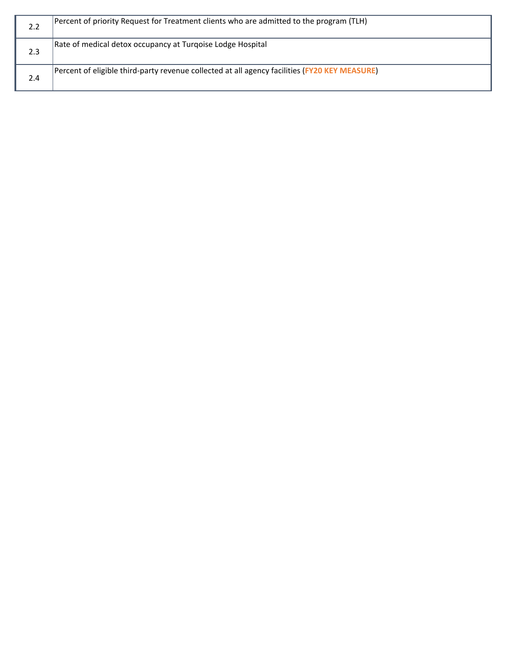| 2.2 | [Percent of priority Request for Treatment clients who are admitted to the program (TLH)      |
|-----|-----------------------------------------------------------------------------------------------|
| 2.3 | Rate of medical detox occupancy at Turgoise Lodge Hospital                                    |
| 2.4 | Percent of eligible third-party revenue collected at all agency facilities (FY20 KEY MEASURE) |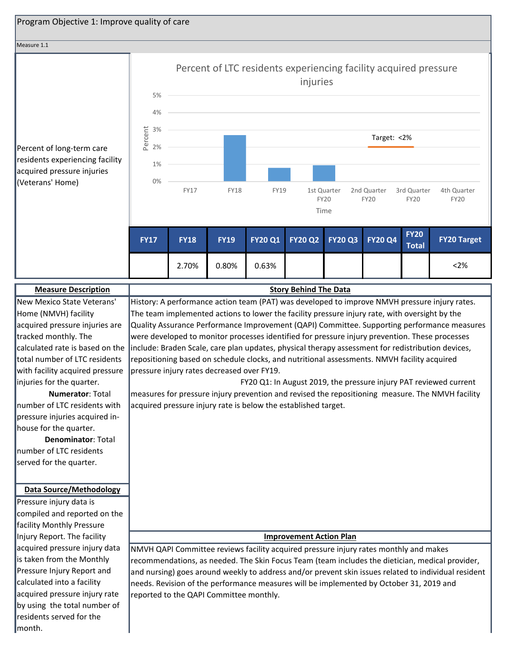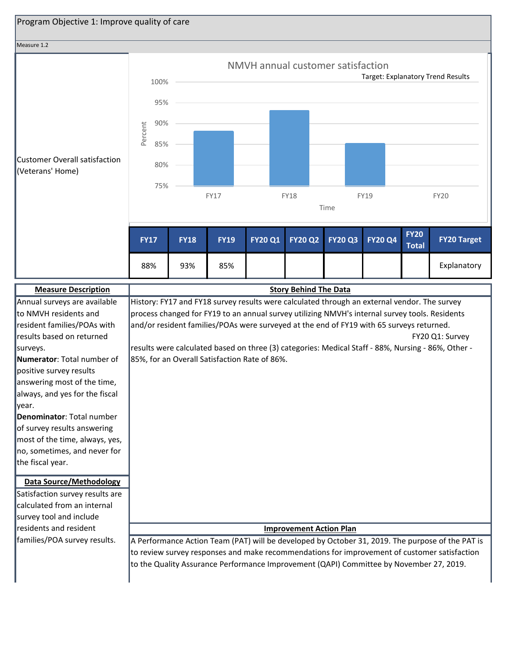

| Annual surveys are available      | History: FY17 and FY18 survey results were calculated through an external vendor. The survey       |
|-----------------------------------|----------------------------------------------------------------------------------------------------|
| to NMVH residents and             | process changed for FY19 to an annual survey utilizing NMVH's internal survey tools. Residents     |
| resident families/POAs with       | and/or resident families/POAs were surveyed at the end of FY19 with 65 surveys returned.           |
| results based on returned         | FY20 Q1: Survey                                                                                    |
| surveys.                          | results were calculated based on three (3) categories: Medical Staff - 88%, Nursing - 86%, Other - |
| <b>Numerator:</b> Total number of | 85%, for an Overall Satisfaction Rate of 86%.                                                      |
| positive survey results           |                                                                                                    |
| answering most of the time,       |                                                                                                    |
| always, and yes for the fiscal    |                                                                                                    |
| lyear.                            |                                                                                                    |
| Denominator: Total number         |                                                                                                    |
| of survey results answering       |                                                                                                    |
| most of the time, always, yes,    |                                                                                                    |
| no, sometimes, and never for      |                                                                                                    |
| the fiscal year.                  |                                                                                                    |
|                                   |                                                                                                    |
| <b>Data Source/Methodology</b>    |                                                                                                    |
| Satisfaction survey results are   |                                                                                                    |
| calculated from an internal       |                                                                                                    |
| survey tool and include           |                                                                                                    |
| residents and resident            | <b>Improvement Action Plan</b>                                                                     |
| families/POA survey results.      | A Performance Action Team (PAT) will be developed by October 31, 2019. The purpose of the PAT is   |
|                                   | to review survey responses and make recommendations for improvement of customer satisfaction       |
|                                   | to the Quality Assurance Performance Improvement (QAPI) Committee by November 27, 2019.            |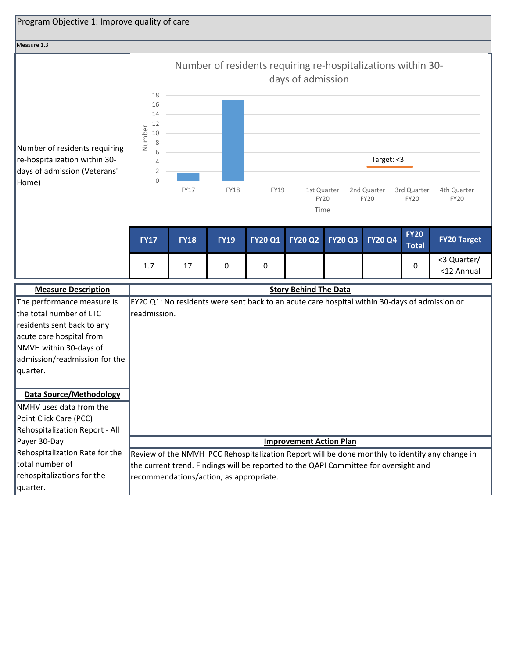| Program Objective 1: Improve quality of care                                                                                                                                           |                                                                                                                                 |                              |             |                                                                                               |                                    |                |                            |                             |                            |
|----------------------------------------------------------------------------------------------------------------------------------------------------------------------------------------|---------------------------------------------------------------------------------------------------------------------------------|------------------------------|-------------|-----------------------------------------------------------------------------------------------|------------------------------------|----------------|----------------------------|-----------------------------|----------------------------|
|                                                                                                                                                                                        |                                                                                                                                 |                              |             |                                                                                               |                                    |                |                            |                             |                            |
| Measure 1.3                                                                                                                                                                            |                                                                                                                                 |                              |             |                                                                                               |                                    |                |                            |                             |                            |
|                                                                                                                                                                                        | 18<br>16<br>14                                                                                                                  |                              |             | Number of residents requiring re-hospitalizations within 30-                                  | days of admission                  |                |                            |                             |                            |
| Number of residents requiring<br>re-hospitalization within 30-<br>days of admission (Veterans'                                                                                         | 12<br>Number<br>10<br>8<br>6<br>4<br>2                                                                                          |                              |             |                                                                                               |                                    |                | Target: <3                 |                             |                            |
| Home)                                                                                                                                                                                  | $\Omega$                                                                                                                        | <b>FY17</b>                  | <b>FY18</b> | <b>FY19</b>                                                                                   | 1st Quarter<br><b>FY20</b><br>Time |                | 2nd Quarter<br><b>FY20</b> | 3rd Quarter<br><b>FY20</b>  | 4th Quarter<br><b>FY20</b> |
|                                                                                                                                                                                        | <b>FY17</b>                                                                                                                     | <b>FY18</b>                  | <b>FY19</b> | <b>FY20 Q1</b>                                                                                | <b>FY20 Q2</b>                     | <b>FY20 Q3</b> | <b>FY20 Q4</b>             | <b>FY20</b><br><b>Total</b> | <b>FY20 Target</b>         |
|                                                                                                                                                                                        | 1.7                                                                                                                             | 17                           | 0           | 0                                                                                             |                                    |                |                            | 0                           | <3 Quarter/<br><12 Annual  |
| <b>Measure Description</b>                                                                                                                                                             |                                                                                                                                 | <b>Story Behind The Data</b> |             |                                                                                               |                                    |                |                            |                             |                            |
| The performance measure is<br>the total number of LTC<br>residents sent back to any<br>acute care hospital from<br>NMVH within 30-days of<br>admission/readmission for the<br>quarter. | readmission.                                                                                                                    |                              |             | FY20 Q1: No residents were sent back to an acute care hospital within 30-days of admission or |                                    |                |                            |                             |                            |
| <b>Data Source/Methodology</b><br>NMHV uses data from the<br>Point Click Care (PCC)<br>Rehospitalization Report - All                                                                  |                                                                                                                                 |                              |             |                                                                                               |                                    |                |                            |                             |                            |
| Payer 30-Day                                                                                                                                                                           |                                                                                                                                 |                              |             |                                                                                               | <b>Improvement Action Plan</b>     |                |                            |                             |                            |
| Rehospitalization Rate for the                                                                                                                                                         | Review of the NMVH PCC Rehospitalization Report will be done monthly to identify any change in                                  |                              |             |                                                                                               |                                    |                |                            |                             |                            |
| total number of<br>rehospitalizations for the                                                                                                                                          | the current trend. Findings will be reported to the QAPI Committee for oversight and<br>recommendations/action, as appropriate. |                              |             |                                                                                               |                                    |                |                            |                             |                            |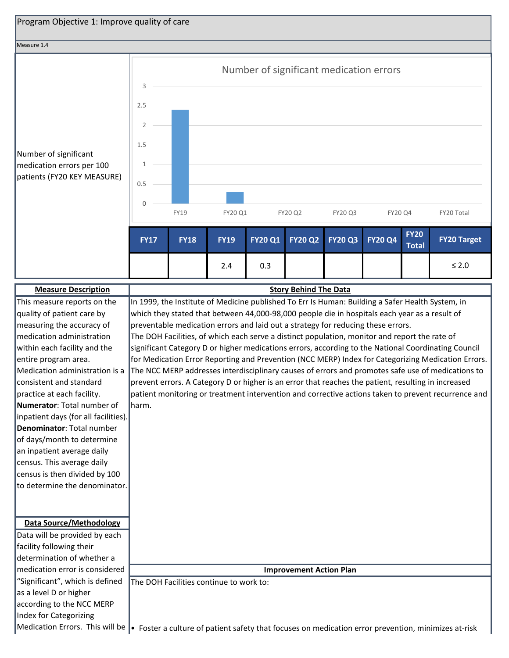

The DOH Facilities continue to work to:

"Significant", which is defined

as a level D or higher according to the NCC MERP Index for Categorizing

Medication Errors. This will be  $\cdot$  Foster a culture of patient safety that focuses on medication error prevention, minimizes at-risk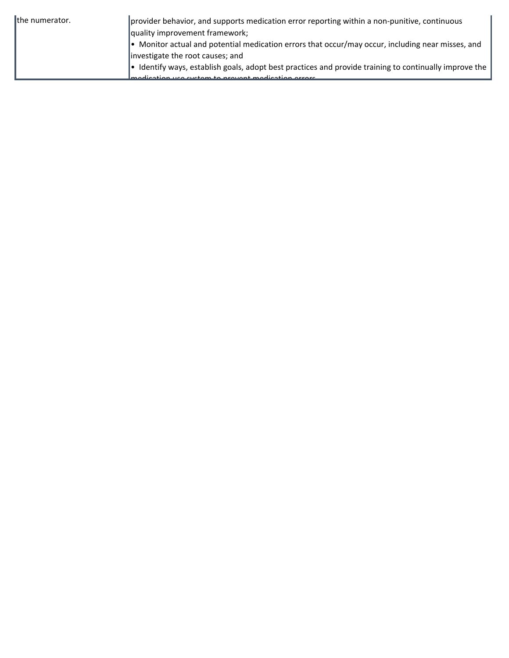| the numerator. | provider behavior, and supports medication error reporting within a non-punitive, continuous              |
|----------------|-----------------------------------------------------------------------------------------------------------|
|                | quality improvement framework;                                                                            |
|                | $\bullet$ Monitor actual and potential medication errors that occur/may occur, including near misses, and |
|                | investigate the root causes; and                                                                          |
|                | Identify ways, establish goals, adopt best practices and provide training to continually improve the      |
|                | use sustain to provent modication errors                                                                  |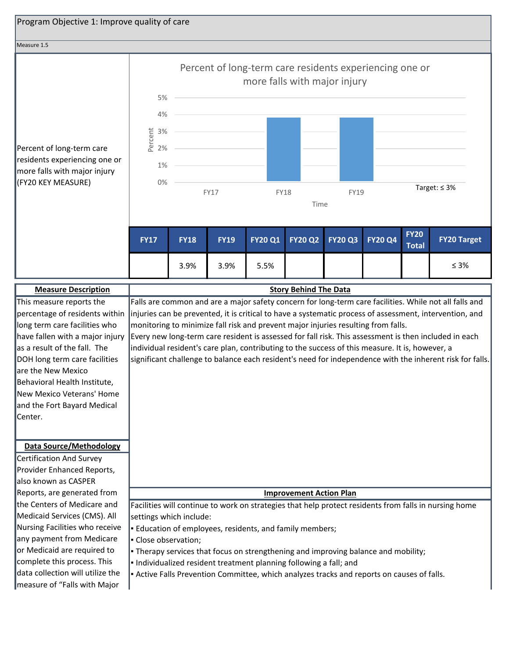

Certification And Survey Provider Enhanced Reports, also known as CASPER Reports, are generated from the Centers of Medicare and Medicaid Services (CMS). All Nursing Facilities who receive any payment from Medicare or Medicaid are required to complete this process. This data collection will utilize the measure of "Falls with Major

**Improvement Action Plan**

Facilities will continue to work on strategies that help protect residents from falls in nursing home settings which include:

**Education of employees, residents, and family members;** 

▪ Close observation;

**• Therapy services that focus on strengthening and improving balance and mobility;** 

▪ Individualized resident treatment planning following a fall; and

▪ Active Falls Prevention Committee, which analyzes tracks and reports on causes of falls.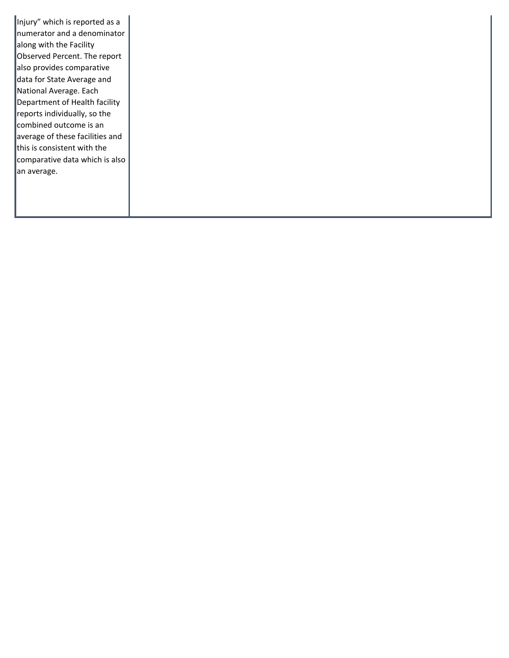Injury" which is reported as a numerator and a denominator along with the Facility Observed Percent. The report also provides comparative data for State Average and National Average. Each Department of Health facility reports individually, so the combined outcome is an average of these facilities and this is consistent with the comparative data which is also an average.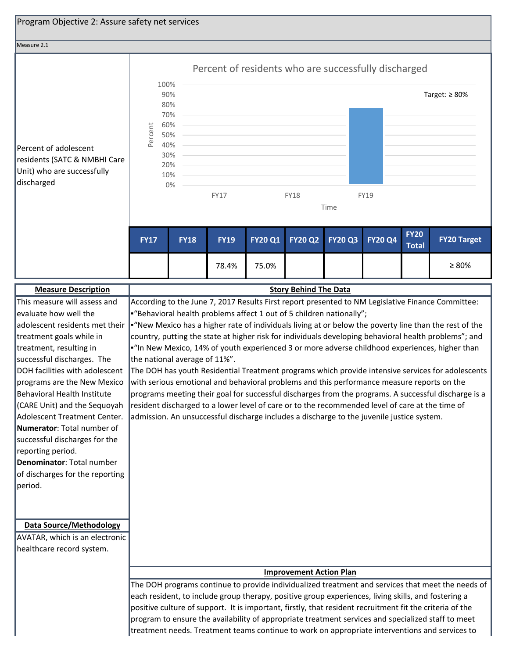| Program Objective 2: Assure safety net services                                                                                                                                                                                                                                                                                                                                                                                                                             |                               |                                                                   |                                                                                                                                                                                                                                                                                                                                                                   |                |                                |                |                |                             |                                                                                                                                                                                                                                                                                                                                                                                                                                                                                                                              |
|-----------------------------------------------------------------------------------------------------------------------------------------------------------------------------------------------------------------------------------------------------------------------------------------------------------------------------------------------------------------------------------------------------------------------------------------------------------------------------|-------------------------------|-------------------------------------------------------------------|-------------------------------------------------------------------------------------------------------------------------------------------------------------------------------------------------------------------------------------------------------------------------------------------------------------------------------------------------------------------|----------------|--------------------------------|----------------|----------------|-----------------------------|------------------------------------------------------------------------------------------------------------------------------------------------------------------------------------------------------------------------------------------------------------------------------------------------------------------------------------------------------------------------------------------------------------------------------------------------------------------------------------------------------------------------------|
| Measure 2.1                                                                                                                                                                                                                                                                                                                                                                                                                                                                 |                               |                                                                   |                                                                                                                                                                                                                                                                                                                                                                   |                |                                |                |                |                             |                                                                                                                                                                                                                                                                                                                                                                                                                                                                                                                              |
| Percent of adolescent<br>residents (SATC & NMBHI Care<br>Unit) who are successfully<br>discharged                                                                                                                                                                                                                                                                                                                                                                           | 100%<br>Percent               | 90%<br>80%<br>70%<br>60%<br>50%<br>40%<br>30%<br>20%<br>10%<br>0% | Percent of residents who are successfully discharged<br><b>FY17</b>                                                                                                                                                                                                                                                                                               |                | <b>FY18</b>                    | Time           | <b>FY19</b>    |                             | Target: $\geq 80\%$                                                                                                                                                                                                                                                                                                                                                                                                                                                                                                          |
|                                                                                                                                                                                                                                                                                                                                                                                                                                                                             | <b>FY17</b>                   | <b>FY18</b>                                                       | <b>FY19</b>                                                                                                                                                                                                                                                                                                                                                       | <b>FY20 Q1</b> | <b>FY20 Q2</b>                 | <b>FY20 Q3</b> | <b>FY20 Q4</b> | <b>FY20</b><br><b>Total</b> | <b>FY20 Target</b>                                                                                                                                                                                                                                                                                                                                                                                                                                                                                                           |
|                                                                                                                                                                                                                                                                                                                                                                                                                                                                             |                               |                                                                   | 78.4%                                                                                                                                                                                                                                                                                                                                                             | 75.0%          |                                |                |                |                             | $\geq 80\%$                                                                                                                                                                                                                                                                                                                                                                                                                                                                                                                  |
| <b>Measure Description</b>                                                                                                                                                                                                                                                                                                                                                                                                                                                  |                               |                                                                   |                                                                                                                                                                                                                                                                                                                                                                   |                | <b>Story Behind The Data</b>   |                |                |                             |                                                                                                                                                                                                                                                                                                                                                                                                                                                                                                                              |
| evaluate how well the<br>adolescent residents met their<br>treatment goals while in<br>treatment, resulting in<br>successful discharges. The<br>DOH facilities with adolescent<br>programs are the New Mexico<br>Behavioral Health Institute<br>(CARE Unit) and the Sequoyah<br>Adolescent Treatment Center.<br>Numerator: Total number of<br>successful discharges for the<br>reporting period.<br>Denominator: Total number<br>of discharges for the reporting<br>period. | the national average of 11%". |                                                                   | "Behavioral health problems affect 1 out of 5 children nationally";<br>with serious emotional and behavioral problems and this performance measure reports on the<br>resident discharged to a lower level of care or to the recommended level of care at the time of<br>admission. An unsuccessful discharge includes a discharge to the juvenile justice system. |                |                                |                |                |                             | "New Mexico has a higher rate of individuals living at or below the poverty line than the rest of the<br>country, putting the state at higher risk for individuals developing behavioral health problems"; and<br>"In New Mexico, 14% of youth experienced 3 or more adverse childhood experiences, higher than<br>The DOH has youth Residential Treatment programs which provide intensive services for adolescents<br>programs meeting their goal for successful discharges from the programs. A successful discharge is a |
| <b>Data Source/Methodology</b><br>AVATAR, which is an electronic<br>healthcare record system.                                                                                                                                                                                                                                                                                                                                                                               |                               |                                                                   | each resident, to include group therapy, positive group experiences, living skills, and fostering a<br>positive culture of support. It is important, firstly, that resident recruitment fit the criteria of the                                                                                                                                                   |                | <b>Improvement Action Plan</b> |                |                |                             | The DOH programs continue to provide individualized treatment and services that meet the needs of<br>program to ensure the availability of appropriate treatment services and specialized staff to meet<br>treatment needs. Treatment teams continue to work on appropriate interventions and services to                                                                                                                                                                                                                    |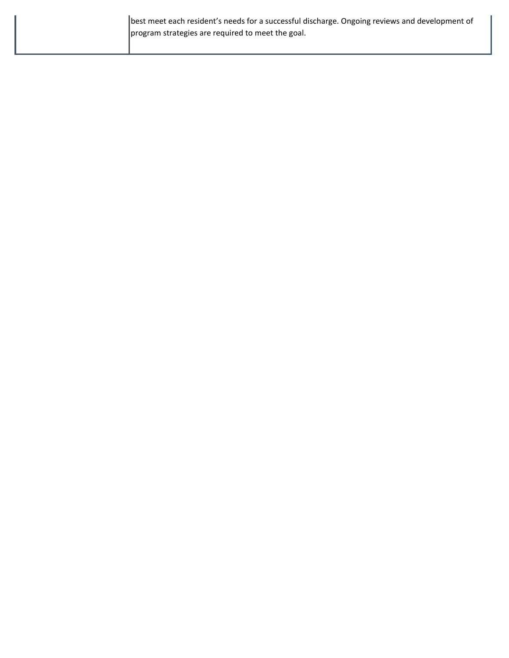| best meet each resident's needs for a successful discharge. Ongoing reviews and development of |
|------------------------------------------------------------------------------------------------|
| program strategies are required to meet the goal.                                              |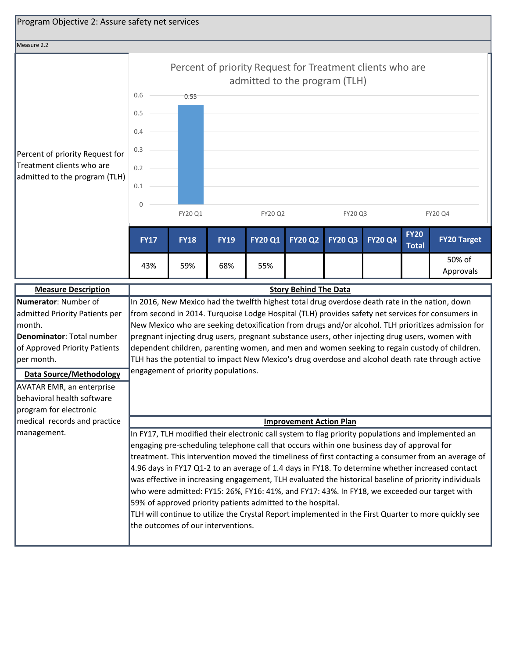

| <b>Measure Description</b>       | <b>Story Behind The Data</b>                                                                          |
|----------------------------------|-------------------------------------------------------------------------------------------------------|
| Numerator: Number of             | In 2016, New Mexico had the twelfth highest total drug overdose death rate in the nation, down        |
| admitted Priority Patients per   | from second in 2014. Turquoise Lodge Hospital (TLH) provides safety net services for consumers in     |
| lmonth.                          | New Mexico who are seeking detoxification from drugs and/or alcohol. TLH prioritizes admission for    |
| Denominator: Total number        | pregnant injecting drug users, pregnant substance users, other injecting drug users, women with       |
| of Approved Priority Patients    | dependent children, parenting women, and men and women seeking to regain custody of children.         |
| ∥per month.                      | TLH has the potential to impact New Mexico's drug overdose and alcohol death rate through active      |
| <b>Data Source/Methodology</b>   | engagement of priority populations.                                                                   |
| <b>AVATAR EMR, an enterprise</b> |                                                                                                       |
| behavioral health software       |                                                                                                       |
| program for electronic           |                                                                                                       |
|                                  |                                                                                                       |
| medical records and practice     | <b>Improvement Action Plan</b>                                                                        |
| management.                      | In FY17, TLH modified their electronic call system to flag priority populations and implemented an    |
|                                  | engaging pre-scheduling telephone call that occurs within one business day of approval for            |
|                                  | treatment. This intervention moved the timeliness of first contacting a consumer from an average of   |
|                                  | 4.96 days in FY17 Q1-2 to an average of 1.4 days in FY18. To determine whether increased contact      |
|                                  | was effective in increasing engagement, TLH evaluated the historical baseline of priority individuals |
|                                  | who were admitted: FY15: 26%, FY16: 41%, and FY17: 43%. In FY18, we exceeded our target with          |
|                                  | 59% of approved priority patients admitted to the hospital.                                           |
|                                  | TLH will continue to utilize the Crystal Report implemented in the First Quarter to more quickly see  |
|                                  | the outcomes of our interventions.                                                                    |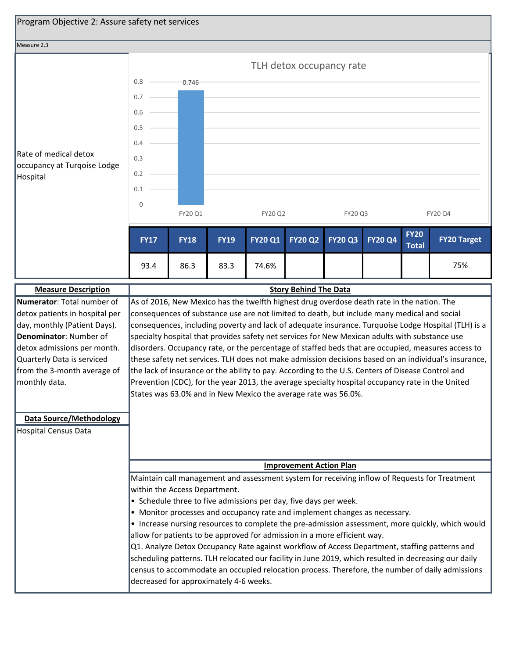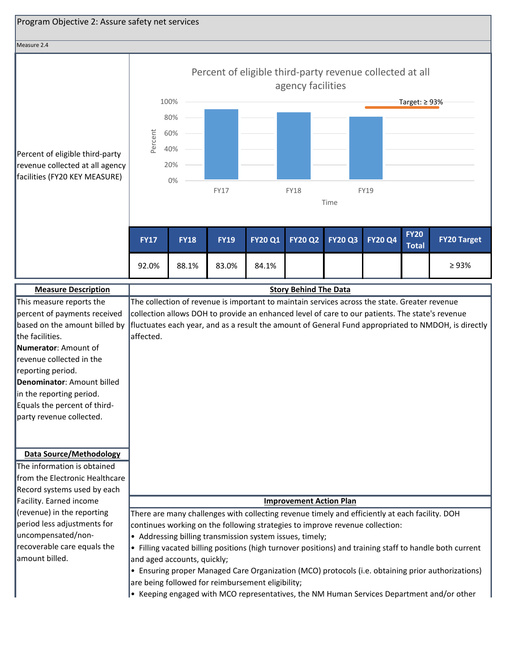

| This measure reports the       | The collection of revenue is important to maintain services across the state. Greater revenue           |
|--------------------------------|---------------------------------------------------------------------------------------------------------|
| percent of payments received   | collection allows DOH to provide an enhanced level of care to our patients. The state's revenue         |
| based on the amount billed by  | fluctuates each year, and as a result the amount of General Fund appropriated to NMDOH, is directly     |
| the facilities.                | affected.                                                                                               |
| Numerator: Amount of           |                                                                                                         |
| revenue collected in the       |                                                                                                         |
| reporting period.              |                                                                                                         |
| Denominator: Amount billed     |                                                                                                         |
| in the reporting period.       |                                                                                                         |
| Equals the percent of third-   |                                                                                                         |
| party revenue collected.       |                                                                                                         |
|                                |                                                                                                         |
|                                |                                                                                                         |
| <b>Data Source/Methodology</b> |                                                                                                         |
| The information is obtained    |                                                                                                         |
| from the Electronic Healthcare |                                                                                                         |
| Record systems used by each    |                                                                                                         |
| Facility. Earned income        | <b>Improvement Action Plan</b>                                                                          |
| (revenue) in the reporting     | There are many challenges with collecting revenue timely and efficiently at each facility. DOH          |
| period less adjustments for    | continues working on the following strategies to improve revenue collection:                            |
| uncompensated/non-             | • Addressing billing transmission system issues, timely;                                                |
| recoverable care equals the    | • Filling vacated billing positions (high turnover positions) and training staff to handle both current |
| amount billed.                 | land aged accounts muickly:                                                                             |

and aged accounts, quickly; • Ensuring proper Managed Care Organization (MCO) protocols (i.e. obtaining prior authorizations) are being followed for reimbursement eligibility;

• Keeping engaged with MCO representatives, the NM Human Services Department and/or other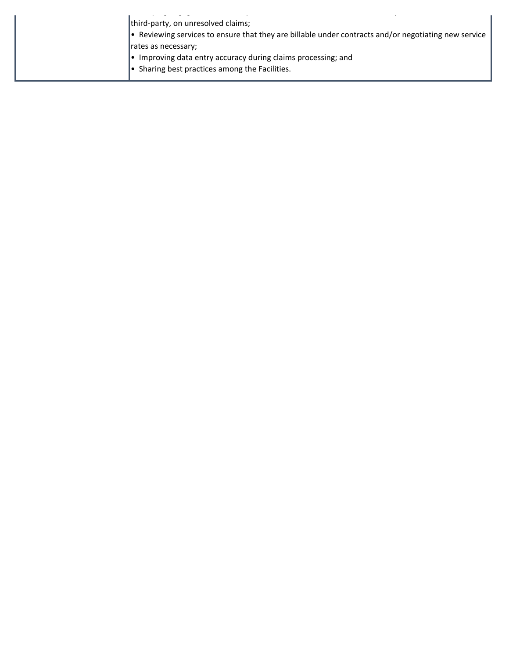| third-party, on unresolved claims;                                                                   |
|------------------------------------------------------------------------------------------------------|
| • Reviewing services to ensure that they are billable under contracts and/or negotiating new service |
| rates as necessary;                                                                                  |
| • Improving data entry accuracy during claims processing; and                                        |
| $\bullet$ Sharing best practices among the Facilities.                                               |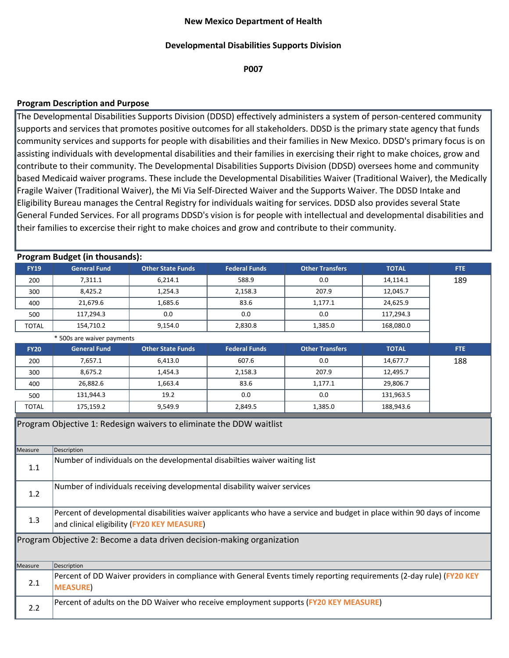## **Developmental Disabilities Supports Division**

**P007**

## **Program Description and Purpose**

The Developmental Disabilities Supports Division (DDSD) effectively administers a system of person-centered community supports and services that promotes positive outcomes for all stakeholders. DDSD is the primary state agency that funds community services and supports for people with disabilities and their families in New Mexico. DDSD's primary focus is on assisting individuals with developmental disabilities and their families in exercising their right to make choices, grow and contribute to their community. The Developmental Disabilities Supports Division (DDSD) oversees home and community based Medicaid waiver programs. These include the Developmental Disabilities Waiver (Traditional Waiver), the Medically Fragile Waiver (Traditional Waiver), the Mi Via Self-Directed Waiver and the Supports Waiver. The DDSD Intake and Eligibility Bureau manages the Central Registry for individuals waiting for services. DDSD also provides several State General Funded Services. For all programs DDSD's vision is for people with intellectual and developmental disabilities and their families to excercise their right to make choices and grow and contribute to their community.

|              | <b>Program Budget (in thousands):</b>                                                                                                                                  |                          |                      |                                                                                                                       |              |      |
|--------------|------------------------------------------------------------------------------------------------------------------------------------------------------------------------|--------------------------|----------------------|-----------------------------------------------------------------------------------------------------------------------|--------------|------|
| <b>FY19</b>  | <b>General Fund</b>                                                                                                                                                    | <b>Other State Funds</b> | <b>Federal Funds</b> | <b>Other Transfers</b>                                                                                                | <b>TOTAL</b> | FTE. |
| 200          | 7,311.1                                                                                                                                                                | 6,214.1                  | 588.9                | 0.0                                                                                                                   | 14,114.1     | 189  |
| 300          | 8,425.2                                                                                                                                                                | 1,254.3                  | 2,158.3              | 207.9                                                                                                                 | 12,045.7     |      |
| 400          | 21,679.6                                                                                                                                                               | 1,685.6                  | 83.6                 | 1,177.1                                                                                                               | 24,625.9     |      |
| 500          | 117,294.3                                                                                                                                                              | 0.0                      | 0.0                  | 0.0                                                                                                                   | 117,294.3    |      |
| <b>TOTAL</b> | 154,710.2                                                                                                                                                              | 9,154.0                  | 2,830.8              | 1,385.0                                                                                                               | 168,080.0    |      |
|              | * 500s are waiver payments                                                                                                                                             |                          |                      |                                                                                                                       |              |      |
| <b>FY20</b>  | <b>General Fund</b>                                                                                                                                                    | <b>Other State Funds</b> | <b>Federal Funds</b> | <b>Other Transfers</b>                                                                                                | <b>TOTAL</b> | FTE: |
| 200          | 7,657.1                                                                                                                                                                | 6,413.0                  | 607.6                | 0.0                                                                                                                   | 14,677.7     | 188  |
| 300          | 8,675.2                                                                                                                                                                | 1,454.3                  | 2,158.3              | 207.9                                                                                                                 | 12,495.7     |      |
| 400          | 26,882.6                                                                                                                                                               | 1,663.4                  | 83.6                 | 1,177.1                                                                                                               | 29,806.7     |      |
| 500          | 131,944.3                                                                                                                                                              | 19.2                     | 0.0                  | 0.0                                                                                                                   | 131,963.5    |      |
| <b>TOTAL</b> | 175,159.2                                                                                                                                                              | 9,549.9                  | 2,849.5              | 1,385.0                                                                                                               | 188,943.6    |      |
|              | Program Objective 1: Redesign waivers to eliminate the DDW waitlist                                                                                                    |                          |                      |                                                                                                                       |              |      |
| Measure      | Description                                                                                                                                                            |                          |                      |                                                                                                                       |              |      |
| 1.1          | Number of individuals on the developmental disabilties waiver waiting list                                                                                             |                          |                      |                                                                                                                       |              |      |
| 1.2          | Number of individuals receiving developmental disability waiver services                                                                                               |                          |                      |                                                                                                                       |              |      |
| 1.3          | Percent of developmental disabilities waiver applicants who have a service and budget in place within 90 days of income<br>and clinical eligibility (FY20 KEY MEASURE) |                          |                      |                                                                                                                       |              |      |
|              | Program Objective 2: Become a data driven decision-making organization                                                                                                 |                          |                      |                                                                                                                       |              |      |
| Measure      | Description                                                                                                                                                            |                          |                      |                                                                                                                       |              |      |
| 2.1          | <b>MEASURE)</b>                                                                                                                                                        |                          |                      | Percent of DD Waiver providers in compliance with General Events timely reporting requirements (2-day rule) (FY20 KEY |              |      |
| 2.2          |                                                                                                                                                                        |                          |                      | Percent of adults on the DD Waiver who receive employment supports (FY20 KEY MEASURE)                                 |              |      |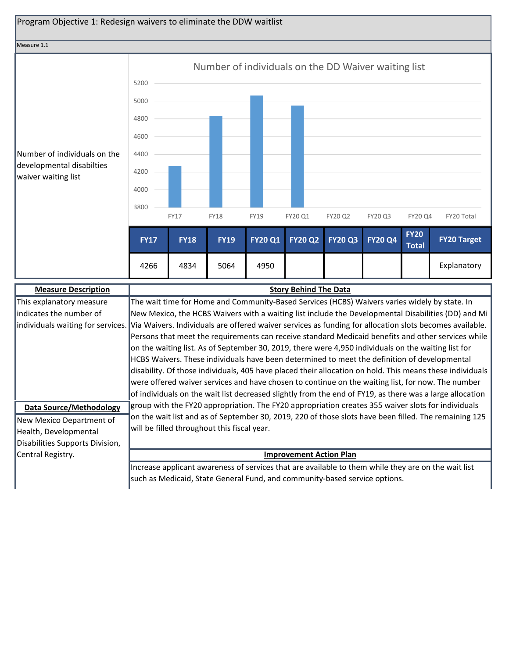

| <b>Measure Description</b>      | <b>Story Behind The Data</b>                                                                                                              |
|---------------------------------|-------------------------------------------------------------------------------------------------------------------------------------------|
| This explanatory measure        | The wait time for Home and Community-Based Services (HCBS) Waivers varies widely by state. In                                             |
| lindicates the number of        | New Mexico, the HCBS Waivers with a waiting list include the Developmental Disabilities (DD) and Mi                                       |
|                                 | individuals waiting for services. Via Waivers. Individuals are offered waiver services as funding for allocation slots becomes available. |
|                                 | Persons that meet the requirements can receive standard Medicaid benefits and other services while                                        |
|                                 | on the waiting list. As of September 30, 2019, there were 4,950 individuals on the waiting list for                                       |
|                                 | HCBS Waivers. These individuals have been determined to meet the definition of developmental                                              |
|                                 | disability. Of those individuals, 405 have placed their allocation on hold. This means these individuals                                  |
|                                 | were offered waiver services and have chosen to continue on the waiting list, for now. The number                                         |
|                                 | of individuals on the wait list decreased slightly from the end of FY19, as there was a large allocation                                  |
| <b>Data Source/Methodology</b>  | group with the FY20 appropriation. The FY20 appropriation creates 355 waiver slots for individuals                                        |
| New Mexico Department of        | on the wait list and as of September 30, 2019, 220 of those slots have been filled. The remaining 125                                     |
| Health, Developmental           | will be filled throughout this fiscal year.                                                                                               |
| Disabilities Supports Division, |                                                                                                                                           |
| Central Registry.               | <b>Improvement Action Plan</b>                                                                                                            |
|                                 | Increase applicant awareness of services that are available to them while they are on the wait list                                       |
|                                 | such as Medicaid, State General Fund, and community-based service options.                                                                |
|                                 |                                                                                                                                           |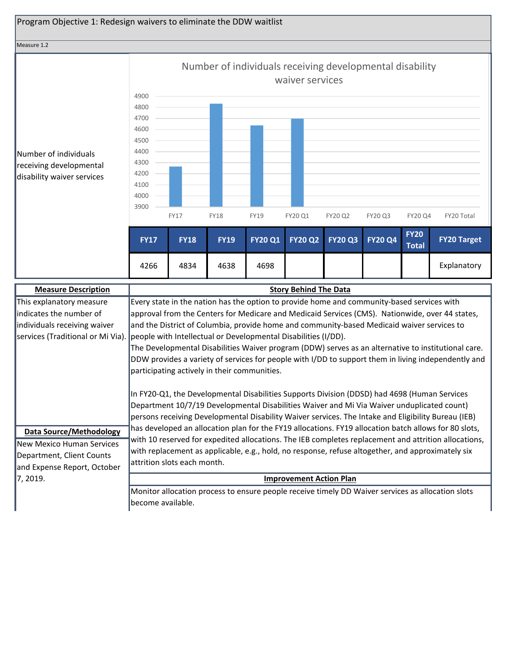

| <b>Measure Description</b>       | <b>Story Behind The Data</b>                                                                          |
|----------------------------------|-------------------------------------------------------------------------------------------------------|
| This explanatory measure         | Every state in the nation has the option to provide home and community-based services with            |
| lindicates the number of         | approval from the Centers for Medicare and Medicaid Services (CMS). Nationwide, over 44 states,       |
| individuals receiving waiver     | and the District of Columbia, provide home and community-based Medicaid waiver services to            |
|                                  | services (Traditional or Mi Via). people with Intellectual or Developmental Disabilities (I/DD).      |
|                                  | The Developmental Disabilities Waiver program (DDW) serves as an alternative to institutional care.   |
|                                  | DDW provides a variety of services for people with I/DD to support them in living independently and   |
|                                  | participating actively in their communities.                                                          |
|                                  |                                                                                                       |
|                                  | In FY20-Q1, the Developmental Disabilities Supports Division (DDSD) had 4698 (Human Services          |
|                                  | Department 10/7/19 Developmental Disabilities Waiver and Mi Via Waiver unduplicated count)            |
|                                  | persons receiving Developmental Disability Waiver services. The Intake and Eligibility Bureau (IEB)   |
| <b>Data Source/Methodology</b>   | has developed an allocation plan for the FY19 allocations. FY19 allocation batch allows for 80 slots, |
| <b>New Mexico Human Services</b> | with 10 reserved for expedited allocations. The IEB completes replacement and attrition allocations,  |
| Department, Client Counts        | with replacement as applicable, e.g., hold, no response, refuse altogether, and approximately six     |
| and Expense Report, October      | attrition slots each month.                                                                           |
| 17, 2019.                        | <b>Improvement Action Plan</b>                                                                        |
|                                  |                                                                                                       |
|                                  | Monitor allocation process to ensure people receive timely DD Waiver services as allocation slots     |
|                                  | lbecome available.                                                                                    |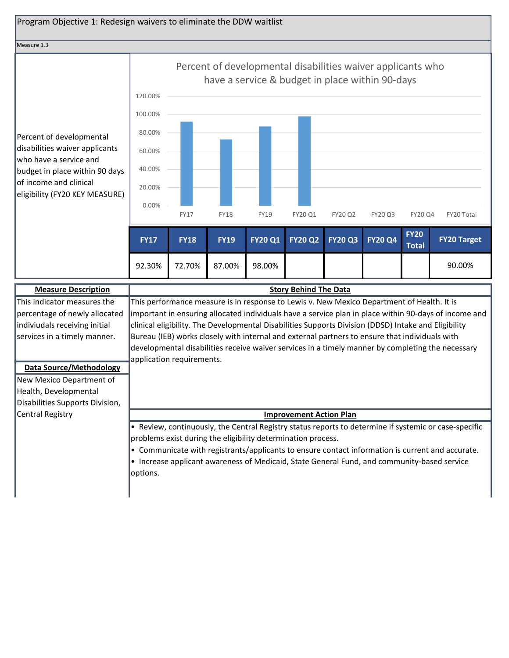#### Measure 1.3

Percent of developmental disabilities waiver applicants who have a service and budget in place within 90 days of income and clinical eligibility (FY20 KEY MEASURE)



| <b>Measure Description</b>      | <b>Story Behind The Data</b>                                                                          |
|---------------------------------|-------------------------------------------------------------------------------------------------------|
| This indicator measures the     | This performance measure is in response to Lewis v. New Mexico Department of Health. It is            |
| percentage of newly allocated   | important in ensuring allocated individuals have a service plan in place within 90-days of income and |
| indiviudals receiving initial   | clinical eligibility. The Developmental Disabilities Supports Division (DDSD) Intake and Eligibility  |
| services in a timely manner.    | Bureau (IEB) works closely with internal and external partners to ensure that individuals with        |
|                                 | developmental disabilities receive waiver services in a timely manner by completing the necessary     |
|                                 | application requirements.                                                                             |
| <b>Data Source/Methodology</b>  |                                                                                                       |
| New Mexico Department of        |                                                                                                       |
| Health, Developmental           |                                                                                                       |
| Disabilities Supports Division, |                                                                                                       |
| Central Registry                | <b>Improvement Action Plan</b>                                                                        |
|                                 | • Review, continuously, the Central Registry status reports to determine if systemic or case-specific |
|                                 | problems exist during the eligibility determination process.                                          |
|                                 | • Communicate with registrants/applicants to ensure contact information is current and accurate.      |
|                                 | • Increase applicant awareness of Medicaid, State General Fund, and community-based service           |
|                                 | options.                                                                                              |
|                                 |                                                                                                       |
|                                 |                                                                                                       |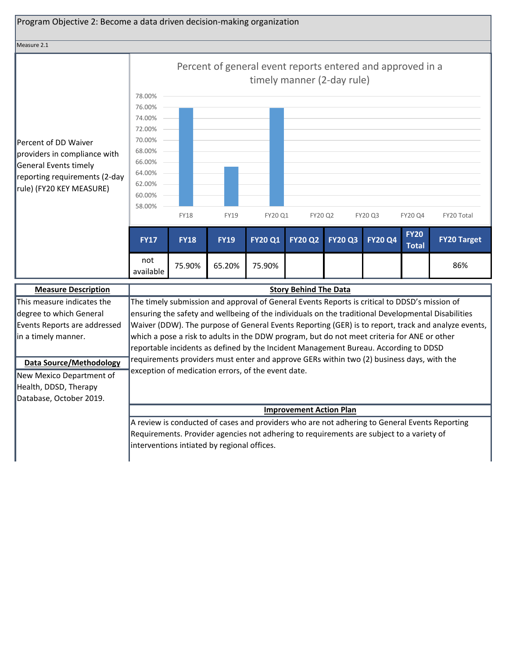

requirements providers must enter and approve GERs within two (2) business days, with the exception of medication errors, of the event date. **Data Source/Methodology** New Mexico Department of Health, DDSD, Therapy Database, October 2019.

## **Improvement Action Plan**

A review is conducted of cases and providers who are not adhering to General Events Reporting Requirements. Provider agencies not adhering to requirements are subject to a variety of interventions intiated by regional offices.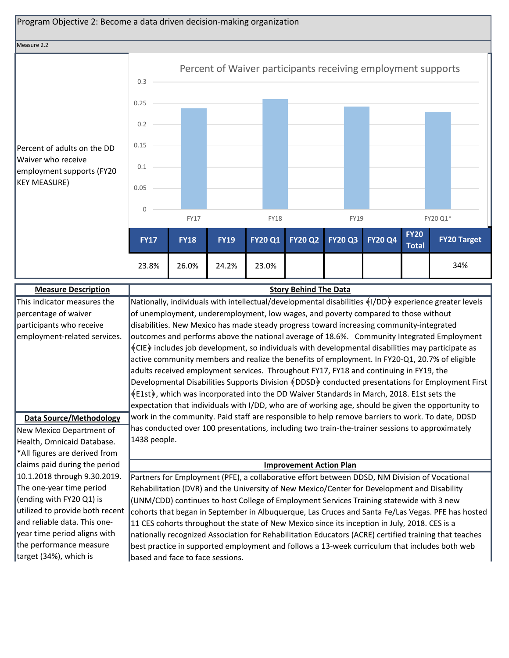

# Waiver who receive employment supports (F KEY MEASURE)

|      | 23.8%        | 26.0%       | 24.2%       | 23.0%          |                |                |                |                             | 34%                |  |
|------|--------------|-------------|-------------|----------------|----------------|----------------|----------------|-----------------------------|--------------------|--|
|      | <b>FY17</b>  | <b>FY18</b> | <b>FY19</b> | <b>FY20 Q1</b> | <b>FY20 Q2</b> | <b>FY20 Q3</b> | <b>FY20 Q4</b> | <b>FY20</b><br><b>Total</b> | <b>FY20 Target</b> |  |
|      |              | <b>FY17</b> |             | <b>FY18</b>    |                | <b>FY19</b>    |                |                             | FY20 Q1*           |  |
|      | $\mathbf{0}$ |             |             |                |                |                |                |                             |                    |  |
|      | 0.05         |             |             |                |                |                |                |                             |                    |  |
| YY20 | 0.1          |             |             |                |                |                |                |                             |                    |  |
| DD:  | 0.15         |             |             |                |                |                |                |                             |                    |  |
|      | 0.2          |             |             |                |                |                |                |                             |                    |  |

| <b>Measure Description</b>      | <b>Story Behind The Data</b>                                                                            |
|---------------------------------|---------------------------------------------------------------------------------------------------------|
| This indicator measures the     | Nationally, individuals with intellectual/developmental disabilities $(1/DD)$ experience greater levels |
| percentage of waiver            | of unemployment, underemployment, low wages, and poverty compared to those without                      |
| participants who receive        | disabilities. New Mexico has made steady progress toward increasing community-integrated                |
| employment-related services.    | outcomes and performs above the national average of 18.6%. Community Integrated Employment              |
|                                 | (CIE) includes job development, so individuals with developmental disabilities may participate as       |
|                                 | active community members and realize the benefits of employment. In FY20-Q1, 20.7% of eligible          |
|                                 | adults received employment services. Throughout FY17, FY18 and continuing in FY19, the                  |
|                                 | Developmental Disabilities Supports Division §DDSD > conducted presentations for Employment First       |
|                                 | §E1st, which was incorporated into the DD Waiver Standards in March, 2018. E1st sets the                |
|                                 | expectation that individuals with I/DD, who are of working age, should be given the opportunity to      |
| <b>Data Source/Methodology</b>  | work in the community. Paid staff are responsible to help remove barriers to work. To date, DDSD        |
| New Mexico Department of        | has conducted over 100 presentations, including two train-the-trainer sessions to approximately         |
| Health, Omnicaid Database.      | 1438 people.                                                                                            |
| *All figures are derived from   |                                                                                                         |
| claims paid during the period   | <b>Improvement Action Plan</b>                                                                          |
| 10.1.2018 through 9.30.2019.    | Partners for Employment (PFE), a collaborative effort between DDSD, NM Division of Vocational           |
| The one-year time period        | Rehabilitation (DVR) and the University of New Mexico/Center for Development and Disability             |
| (ending with FY20 Q1) is        | (UNM/CDD) continues to host College of Employment Services Training statewide with 3 new                |
| utilized to provide both recent | cohorts that began in September in Albuquerque, Las Cruces and Santa Fe/Las Vegas. PFE has hosted       |
| and reliable data. This one-    | 11 CES cohorts throughout the state of New Mexico since its inception in July, 2018. CES is a           |
| year time period aligns with    | nationally recognized Association for Rehabilitation Educators (ACRE) certified training that teaches   |
| the performance measure         | best practice in supported employment and follows a 13-week curriculum that includes both web           |
| target (34%), which is          | based and face to face sessions.                                                                        |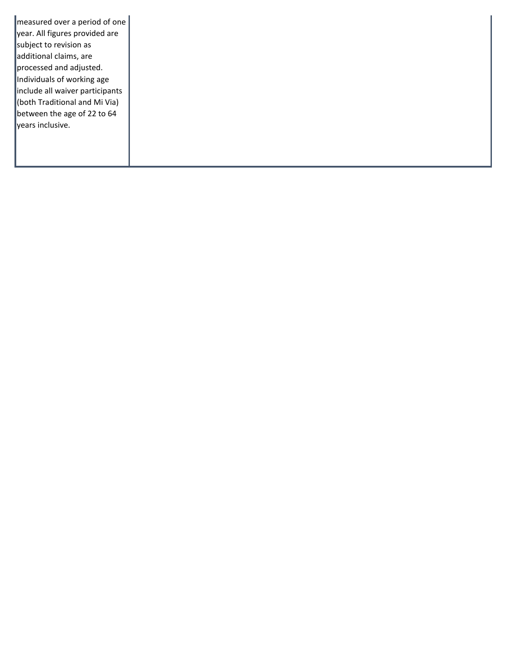measured over a period of one year. All figures provided are subject to revision as additional claims, are processed and adjusted. Individuals of working age include all waiver participants (both Traditional and Mi Via) between the age of 22 to 64 years inclusive.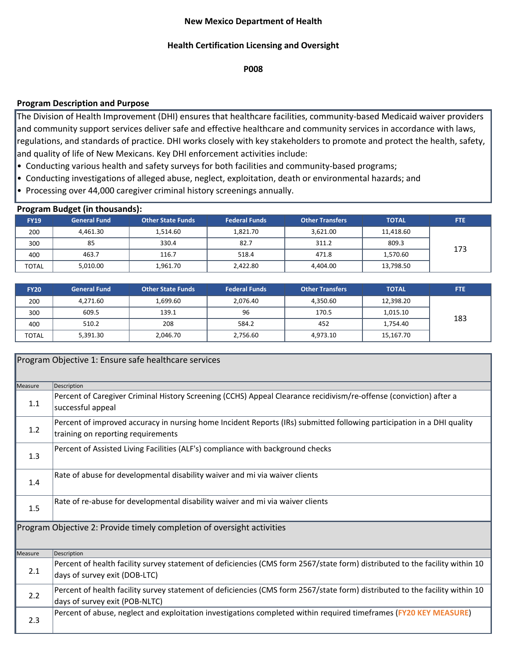## **New Mexico Department of Health**

## **Health Certification Licensing and Oversight**

**P008**

## **Program Description and Purpose**

The Division of Health Improvement (DHI) ensures that healthcare facilities, community-based Medicaid waiver providers and community support services deliver safe and effective healthcare and community services in accordance with laws, regulations, and standards of practice. DHI works closely with key stakeholders to promote and protect the health, safety, and quality of life of New Mexicans. Key DHI enforcement activities include:

- Conducting various health and safety surveys for both facilities and community-based programs;
- Conducting investigations of alleged abuse, neglect, exploitation, death or environmental hazards; and
- Processing over 44,000 caregiver criminal history screenings annually.

|              | <b>Program Budget (in thousands):</b> |                          |                      |                        |              |            |
|--------------|---------------------------------------|--------------------------|----------------------|------------------------|--------------|------------|
| <b>FY19</b>  | <b>General Fund</b>                   | <b>Other State Funds</b> | <b>Federal Funds</b> | <b>Other Transfers</b> | <b>TOTAL</b> | <b>FTE</b> |
| 200          | 4,461.30                              | 1,514.60                 | 1,821.70             | 3,621.00               | 11,418.60    |            |
| 300          | 85                                    | 330.4                    | 82.7                 | 311.2                  | 809.3        | 173        |
| 400          | 463.7                                 | 116.7                    | 518.4                | 471.8                  | 1,570.60     |            |
| <b>TOTAL</b> | 5,010.00                              | 1,961.70                 | 2,422.80             | 4,404.00               | 13,798.50    |            |

| <b>FY20</b>  | <b>General Fund</b> | <b>Other State Funds</b> | <b>Federal Funds</b> | <b>Other Transfers</b> | <b>TOTAL</b> | <b>FTE</b> |
|--------------|---------------------|--------------------------|----------------------|------------------------|--------------|------------|
| 200          | 4,271.60            | 1,699.60                 | 2,076.40             | 4,350.60               | 12,398.20    |            |
| 300          | 609.5               | 139.1                    | 96                   | 170.5                  | 1,015.10     | 183        |
| 400          | 510.2               | 208                      | 584.2                | 452                    | 1,754.40     |            |
| <b>TOTAL</b> | 5,391.30            | 2,046.70                 | 2,756.60             | 4,973.10               | 15,167.70    |            |

|         | Program Objective 1: Ensure safe healthcare services                                                                                                           |
|---------|----------------------------------------------------------------------------------------------------------------------------------------------------------------|
| Measure | Description                                                                                                                                                    |
| 1.1     | Percent of Caregiver Criminal History Screening (CCHS) Appeal Clearance recidivism/re-offense (conviction) after a<br>successful appeal                        |
| 1.2     | Percent of improved accuracy in nursing home Incident Reports (IRs) submitted following participation in a DHI quality<br>training on reporting requirements   |
| 1.3     | Percent of Assisted Living Facilities (ALF's) compliance with background checks                                                                                |
| 1.4     | Rate of abuse for developmental disability waiver and mi via waiver clients                                                                                    |
| 1.5     | Rate of re-abuse for developmental disability waiver and mi via waiver clients                                                                                 |
|         | Program Objective 2: Provide timely completion of oversight activities                                                                                         |
| Measure | Description                                                                                                                                                    |
| 2.1     | Percent of health facility survey statement of deficiencies (CMS form 2567/state form) distributed to the facility within 10<br>days of survey exit (DOB-LTC)  |
| 2.2     | Percent of health facility survey statement of deficiencies (CMS form 2567/state form) distributed to the facility within 10<br>days of survey exit (POB-NLTC) |
| 2.3     | Percent of abuse, neglect and exploitation investigations completed within required timeframes (FY20 KEY MEASURE)                                              |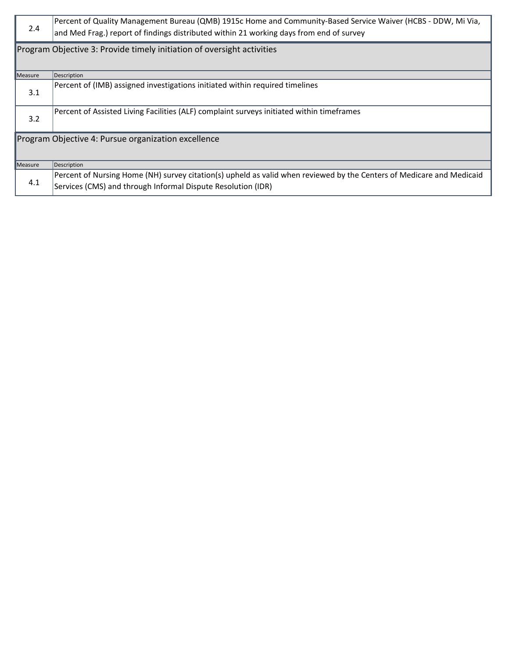| 2.4     | Percent of Quality Management Bureau (QMB) 1915c Home and Community-Based Service Waiver (HCBS - DDW, Mi Via,<br>and Med Frag.) report of findings distributed within 21 working days from end of survey |
|---------|----------------------------------------------------------------------------------------------------------------------------------------------------------------------------------------------------------|
|         | Program Objective 3: Provide timely initiation of oversight activities                                                                                                                                   |
| Measure | Description                                                                                                                                                                                              |
| 3.1     | Percent of (IMB) assigned investigations initiated within required timelines                                                                                                                             |
| 3.2     | Percent of Assisted Living Facilities (ALF) complaint surveys initiated within timeframes                                                                                                                |
|         | Program Objective 4: Pursue organization excellence                                                                                                                                                      |
| Measure | Description                                                                                                                                                                                              |
| 4.1     | Percent of Nursing Home (NH) survey citation(s) upheld as valid when reviewed by the Centers of Medicare and Medicaid<br>Services (CMS) and through Informal Dispute Resolution (IDR)                    |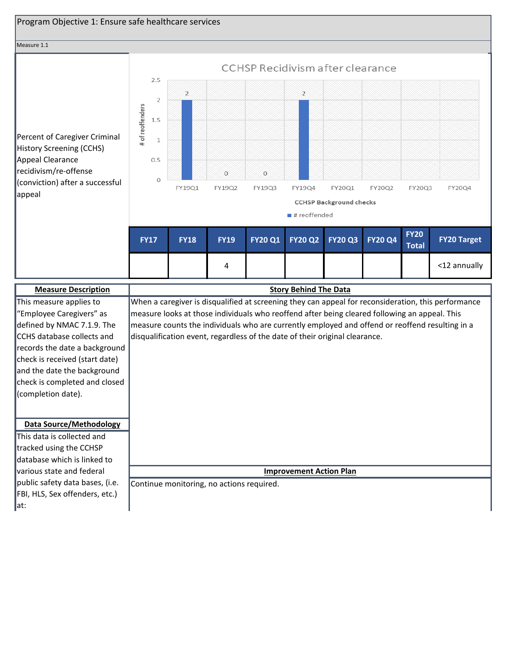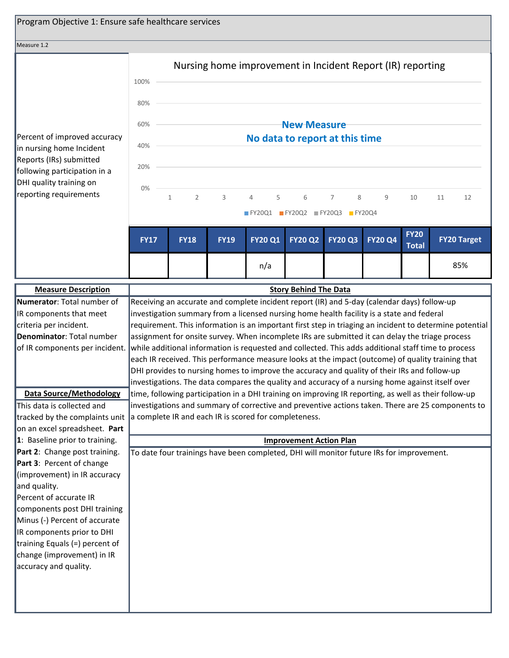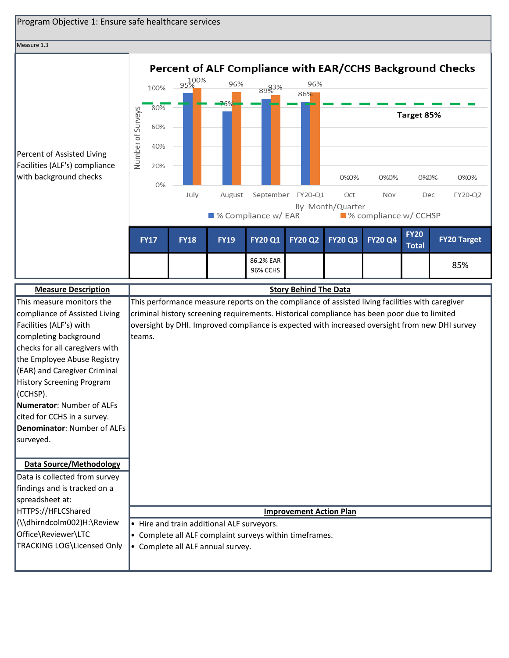| Program Objective 1: Ensure safe healthcare services     |                   |                                                           |             |                                                                                                                                                                                               |                       |                                |                  |                         |              |  |                    |
|----------------------------------------------------------|-------------------|-----------------------------------------------------------|-------------|-----------------------------------------------------------------------------------------------------------------------------------------------------------------------------------------------|-----------------------|--------------------------------|------------------|-------------------------|--------------|--|--------------------|
| Measure 1.3                                              |                   |                                                           |             |                                                                                                                                                                                               |                       |                                |                  |                         |              |  |                    |
|                                                          |                   |                                                           |             |                                                                                                                                                                                               |                       |                                |                  |                         |              |  |                    |
|                                                          |                   | Percent of ALF Compliance with EAR/CCHS Background Checks |             |                                                                                                                                                                                               |                       |                                |                  |                         |              |  |                    |
|                                                          |                   | 100%                                                      | 95%         | 96%                                                                                                                                                                                           | 89%3%                 | 96%                            |                  |                         |              |  |                    |
|                                                          |                   |                                                           |             |                                                                                                                                                                                               |                       | 86%                            |                  |                         |              |  |                    |
|                                                          |                   | 80%                                                       |             |                                                                                                                                                                                               |                       |                                |                  |                         | Target 85%   |  |                    |
|                                                          |                   | 60%                                                       |             |                                                                                                                                                                                               |                       |                                |                  |                         |              |  |                    |
|                                                          |                   | 40%                                                       |             |                                                                                                                                                                                               |                       |                                |                  |                         |              |  |                    |
| Percent of Assisted Living                               | Number of Surveys |                                                           |             |                                                                                                                                                                                               |                       |                                |                  |                         |              |  |                    |
| Facilities (ALF's) compliance                            |                   | 20%                                                       |             |                                                                                                                                                                                               |                       |                                |                  |                         |              |  |                    |
| with background checks                                   |                   | 0%                                                        |             |                                                                                                                                                                                               |                       |                                | 0%0%             | 0%0%                    | 0%0%         |  | 0%0%               |
|                                                          |                   |                                                           | July        | August                                                                                                                                                                                        |                       | September FY20-Q1              | Oct              | Nov                     | Dec          |  | FY20-Q2            |
|                                                          |                   |                                                           |             |                                                                                                                                                                                               | ■ % Compliance w/ EAR |                                | By Month/Quarter | ■ % compliance w/ CCHSP |              |  |                    |
|                                                          |                   |                                                           |             |                                                                                                                                                                                               |                       |                                |                  |                         |              |  |                    |
|                                                          |                   | <b>FY17</b>                                               | <b>FY18</b> | <b>FY19</b>                                                                                                                                                                                   | <b>FY20 Q1</b>        | <b>FY20 Q2</b>                 | <b>FY20 Q3</b>   | <b>FY20 Q4</b>          | <b>FY20</b>  |  | <b>FY20 Target</b> |
|                                                          |                   |                                                           |             |                                                                                                                                                                                               |                       |                                |                  |                         | <b>Total</b> |  |                    |
|                                                          |                   |                                                           |             |                                                                                                                                                                                               | 86.2% EAR<br>96% CCHS |                                |                  |                         |              |  | 85%                |
|                                                          |                   |                                                           |             |                                                                                                                                                                                               |                       |                                |                  |                         |              |  |                    |
| <b>Measure Description</b>                               |                   |                                                           |             |                                                                                                                                                                                               |                       | <b>Story Behind The Data</b>   |                  |                         |              |  |                    |
| This measure monitors the                                |                   |                                                           |             | This performance measure reports on the compliance of assisted living facilities with caregiver                                                                                               |                       |                                |                  |                         |              |  |                    |
| compliance of Assisted Living<br>Facilities (ALF's) with |                   |                                                           |             | criminal history screening requirements. Historical compliance has been poor due to limited<br>oversight by DHI. Improved compliance is expected with increased oversight from new DHI survey |                       |                                |                  |                         |              |  |                    |
| completing background                                    | teams.            |                                                           |             |                                                                                                                                                                                               |                       |                                |                  |                         |              |  |                    |
| checks for all caregivers with                           |                   |                                                           |             |                                                                                                                                                                                               |                       |                                |                  |                         |              |  |                    |
| the Employee Abuse Registry                              |                   |                                                           |             |                                                                                                                                                                                               |                       |                                |                  |                         |              |  |                    |
| (EAR) and Caregiver Criminal                             |                   |                                                           |             |                                                                                                                                                                                               |                       |                                |                  |                         |              |  |                    |
| History Screening Program                                |                   |                                                           |             |                                                                                                                                                                                               |                       |                                |                  |                         |              |  |                    |
| (CCHSP).<br>Numerator: Number of ALFs                    |                   |                                                           |             |                                                                                                                                                                                               |                       |                                |                  |                         |              |  |                    |
| cited for CCHS in a survey.                              |                   |                                                           |             |                                                                                                                                                                                               |                       |                                |                  |                         |              |  |                    |
| <b>Denominator: Number of ALFs</b>                       |                   |                                                           |             |                                                                                                                                                                                               |                       |                                |                  |                         |              |  |                    |
| surveyed.                                                |                   |                                                           |             |                                                                                                                                                                                               |                       |                                |                  |                         |              |  |                    |
|                                                          |                   |                                                           |             |                                                                                                                                                                                               |                       |                                |                  |                         |              |  |                    |
| <b>Data Source/Methodology</b>                           |                   |                                                           |             |                                                                                                                                                                                               |                       |                                |                  |                         |              |  |                    |
| Data is collected from survey                            |                   |                                                           |             |                                                                                                                                                                                               |                       |                                |                  |                         |              |  |                    |
| findings and is tracked on a                             |                   |                                                           |             |                                                                                                                                                                                               |                       |                                |                  |                         |              |  |                    |
| spreadsheet at:                                          |                   |                                                           |             |                                                                                                                                                                                               |                       |                                |                  |                         |              |  |                    |
| HTTPS://HFLCShared                                       |                   |                                                           |             |                                                                                                                                                                                               |                       | <b>Improvement Action Plan</b> |                  |                         |              |  |                    |
| (\\dhirndcolm002)H:\Review<br>Office\Reviewer\LTC        |                   |                                                           |             | • Hire and train additional ALF surveyors.                                                                                                                                                    |                       |                                |                  |                         |              |  |                    |
| TRACKING LOG\Licensed Only                               |                   |                                                           |             | • Complete all ALF complaint surveys within timeframes.<br>• Complete all ALF annual survey.                                                                                                  |                       |                                |                  |                         |              |  |                    |
|                                                          |                   |                                                           |             |                                                                                                                                                                                               |                       |                                |                  |                         |              |  |                    |
|                                                          |                   |                                                           |             |                                                                                                                                                                                               |                       |                                |                  |                         |              |  |                    |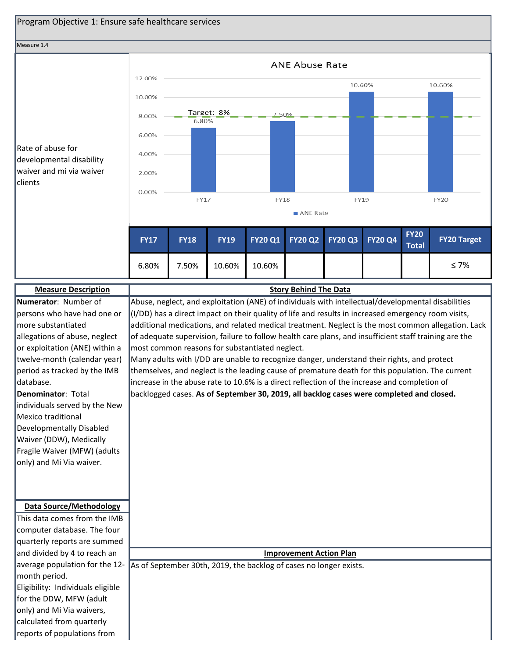

This data comes from the IMB computer database. The four quarterly reports are summed and divided by 4 to reach an average population for the 12-

**Data Source/Methodology**

month period. Eligibility: Individuals eligible for the DDW, MFW (adult only) and Mi Via waivers, calculated from quarterly reports of populations from

#### **Improvement Action Plan**

As of September 30th, 2019, the backlog of cases no longer exists.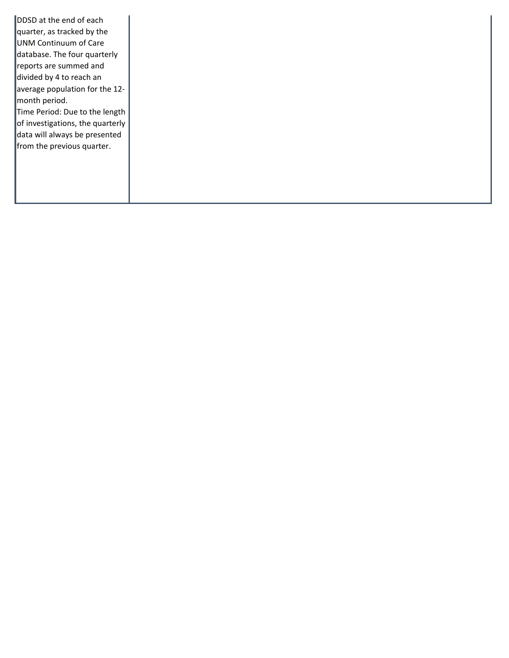DDSD at the end of each quarter, as tracked by the UNM Continuum of Care database. The four quarterly reports are summed and divided by 4 to reach an average population for the 12 month period. Time Period: Due to the length of investigations, the quarterly data will always be presented from the previous quarter.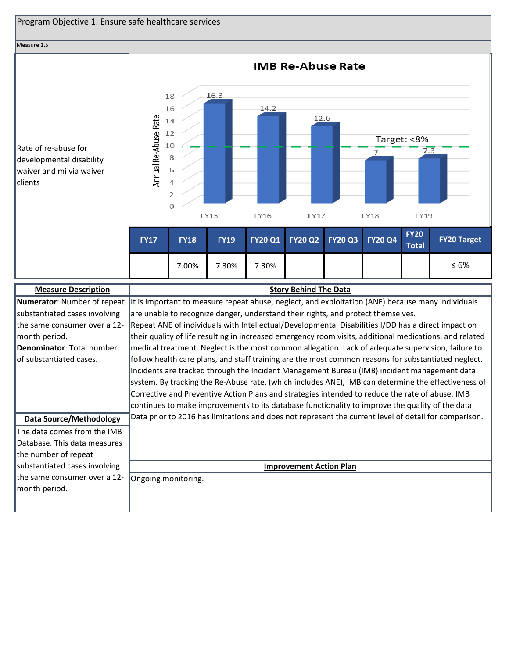

the same consumer over a 12- **Denominator**: Total number of substantiated cases. Repeat ANE of individuals with Intellectual/Developmental Disabilities I/DD has a direct impact on their quality of life resulting in increased emergency room visits, additional medications, and related medical treatment. Neglect is the most common allegation. Lack of adequate supervision, failure to follow health care plans, and staff training are the most common reasons for substantiated neglect. Incidents are tracked through the Incident Management Bureau (IMB) incident management data system. By tracking the Re-Abuse rate, (which includes ANE), IMB can determine the effectiveness of Corrective and Preventive Action Plans and strategies intended to reduce the rate of abuse. IMB continues to make improvements to its database functionality to improve the quality of the data. **Data Source/Methodology** Data prior to 2016 has limitations and does not represent the current level of detail for comparison. The data comes from the IMB Database. This data measures the number of repeat

substantiated cases involving the same consumer over a 12 month period.

month period.

**Improvement Action Plan**

Ongoing monitoring.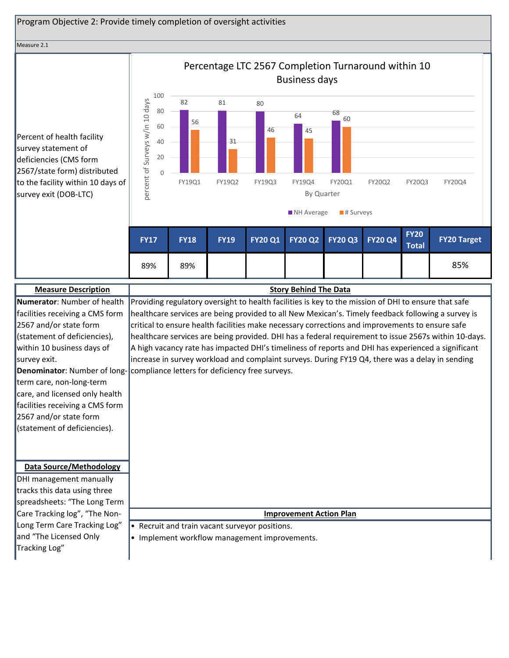### Program Objective 2: Provide timely completion of oversight activities

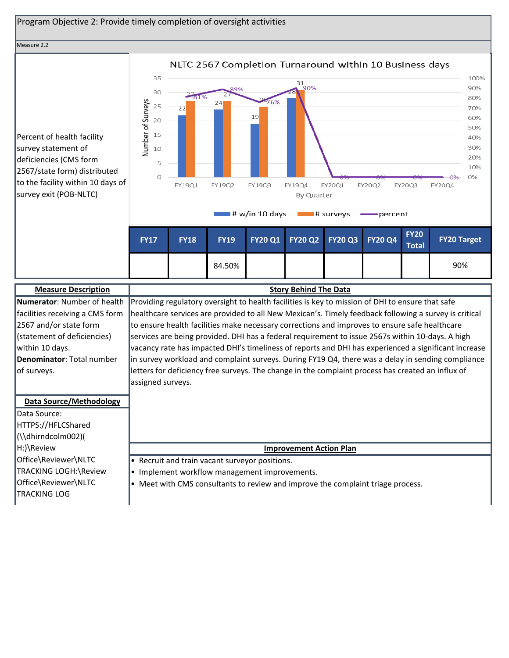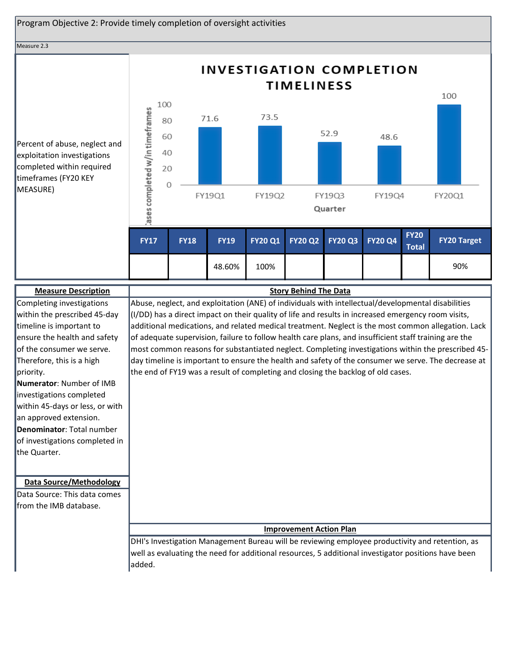

## **Improvement Action Plan**

DHI's Investigation Management Bureau will be reviewing employee productivity and retention, as well as evaluating the need for additional resources, 5 additional investigator positions have been added.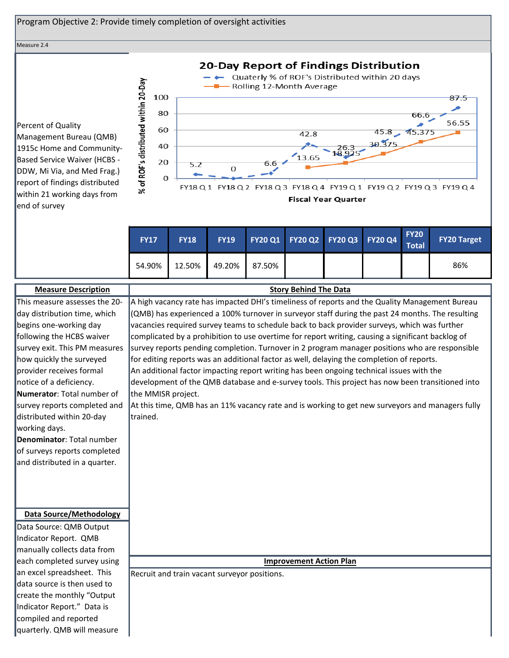

survey reports completed and At this time, QMB has an 11% vacancy rate and is working to get new surveyors and managers fully trained.

**Denominator**: Total number of surveys reports completed and distributed in a quarter.

distributed within 20-day

working days.

**Data Source/Methodology**

Data Source: QMB Output Indicator Report. QMB manually collects data from each completed survey using an excel spreadsheet. This data source is then used to create the monthly "Output Indicator Report." Data is compiled and reported quarterly. QMB will measure

**Improvement Action Plan**

Recruit and train vacant surveyor positions.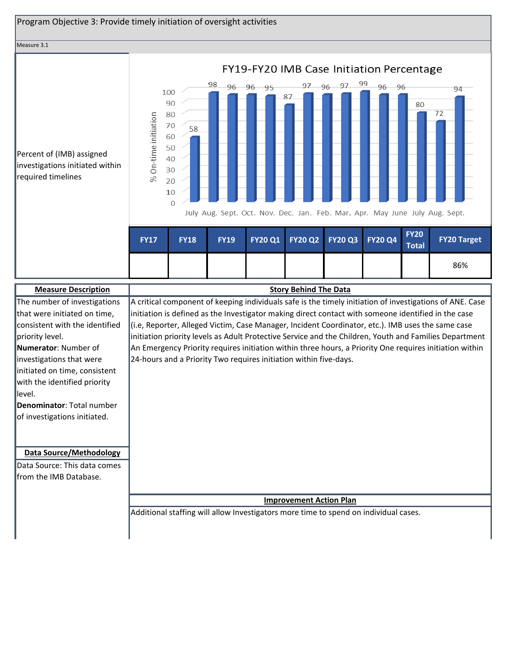

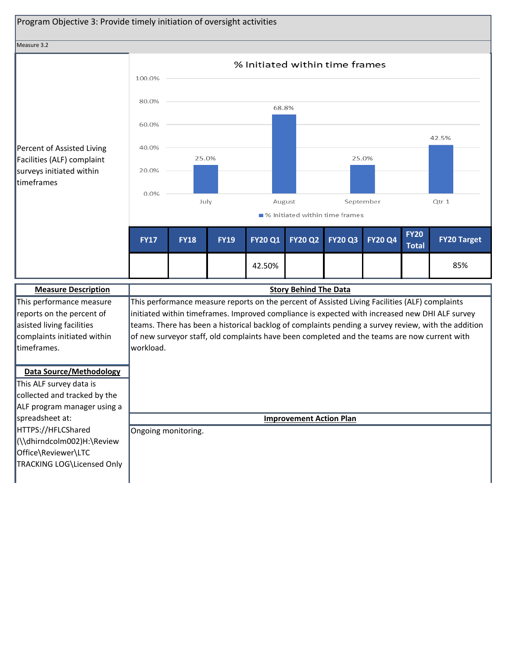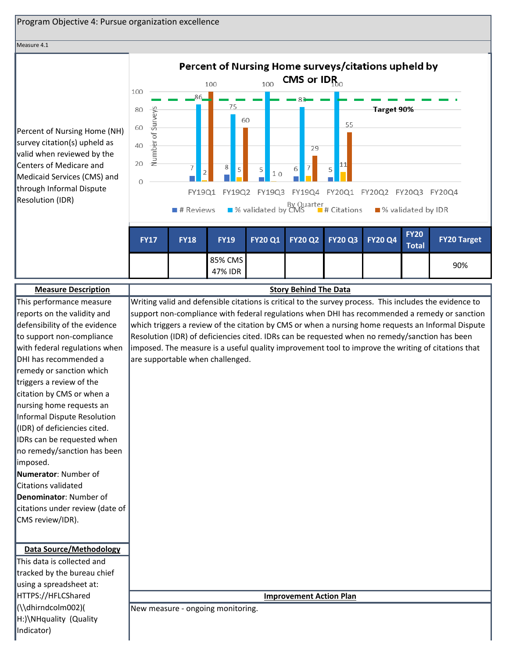

#### Measure 4.1

Percent of Nursing Home (NH) survey citation(s) upheld as valid when reviewed by the Centers of Medicare and Medicaid Services (CMS) and through Informal Dispute Resolution (IDR)



| <b>Measure Description</b>      | <b>Story Behind The Data</b>                                                                            |
|---------------------------------|---------------------------------------------------------------------------------------------------------|
| This performance measure        | Writing valid and defensible citations is critical to the survey process. This includes the evidence to |
| reports on the validity and     | support non-compliance with federal regulations when DHI has recommended a remedy or sanction           |
| defensibility of the evidence   | which triggers a review of the citation by CMS or when a nursing home requests an Informal Dispute      |
| to support non-compliance       | Resolution (IDR) of deficiencies cited. IDRs can be requested when no remedy/sanction has been          |
| with federal regulations when   | imposed. The measure is a useful quality improvement tool to improve the writing of citations that      |
| DHI has recommended a           | are supportable when challenged.                                                                        |
| remedy or sanction which        |                                                                                                         |
| triggers a review of the        |                                                                                                         |
| citation by CMS or when a       |                                                                                                         |
| nursing home requests an        |                                                                                                         |
| Informal Dispute Resolution     |                                                                                                         |
| (IDR) of deficiencies cited.    |                                                                                                         |
| IDRs can be requested when      |                                                                                                         |
| no remedy/sanction has been     |                                                                                                         |
| imposed.                        |                                                                                                         |
| Numerator: Number of            |                                                                                                         |
| <b>Citations validated</b>      |                                                                                                         |
| Denominator: Number of          |                                                                                                         |
| citations under review (date of |                                                                                                         |
| CMS review/IDR).                |                                                                                                         |
|                                 |                                                                                                         |
| <b>Data Source/Methodology</b>  |                                                                                                         |
| This data is collected and      |                                                                                                         |
| tracked by the bureau chief     |                                                                                                         |
| using a spreadsheet at:         |                                                                                                         |
| HTTPS://HFLCShared              | <b>Improvement Action Plan</b>                                                                          |
| (\\dhirndcolm002)(              | New measure - ongoing monitoring.                                                                       |
| H:)\NHquality (Quality          |                                                                                                         |
| Indicator)                      |                                                                                                         |
|                                 |                                                                                                         |

47% IDR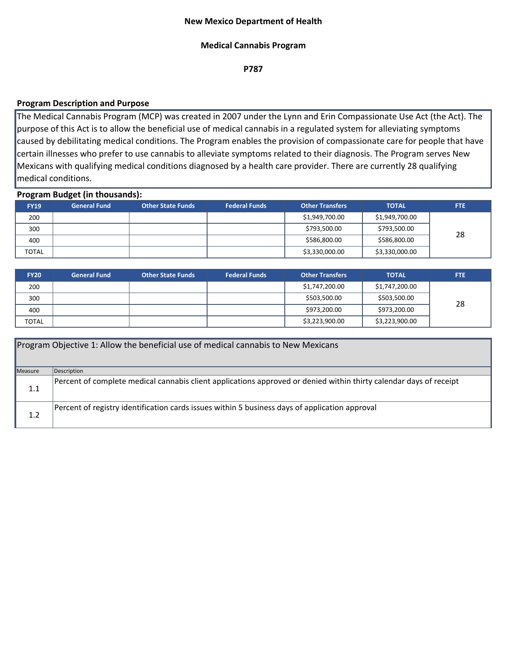### **New Mexico Department of Health**

### **Medical Cannabis Program**

**P787**

## **Program Description and Purpose**

The Medical Cannabis Program (MCP) was created in 2007 under the Lynn and Erin Compassionate Use Act (the Act). The purpose of this Act is to allow the beneficial use of medical cannabis in a regulated system for alleviating symptoms caused by debilitating medical conditions. The Program enables the provision of compassionate care for people that have certain illnesses who prefer to use cannabis to alleviate symptoms related to their diagnosis. The Program serves New Mexicans with qualifying medical conditions diagnosed by a health care provider. There are currently 28 qualifying medical conditions.

### **Program Budget (in thousands):**

| $\sim$       | _                   |                          |                      |                        |                |            |
|--------------|---------------------|--------------------------|----------------------|------------------------|----------------|------------|
| <b>FY19</b>  | <b>General Fund</b> | <b>Other State Funds</b> | <b>Federal Funds</b> | <b>Other Transfers</b> | <b>TOTAL</b>   | <b>FTE</b> |
| 200          |                     |                          |                      | \$1,949,700.00         | \$1,949,700.00 |            |
| 300          |                     |                          |                      | \$793,500.00           | \$793,500.00   | 28         |
| 400          |                     |                          |                      | \$586,800.00           | \$586,800.00   |            |
| <b>TOTAL</b> |                     |                          |                      | \$3,330,000.00         | \$3,330,000.00 |            |

| <b>FY20</b>  | <b>General Fund</b> | <b>Other State Funds</b> | <b>Federal Funds</b> | <b>Other Transfers</b> | <b>TOTAL</b>   | FTE. |
|--------------|---------------------|--------------------------|----------------------|------------------------|----------------|------|
| 200          |                     |                          |                      | \$1,747,200.00         | \$1,747,200.00 |      |
| 300          |                     |                          |                      | \$503,500.00           | \$503,500.00   | 28   |
| 400          |                     |                          |                      | \$973,200.00           | \$973,200.00   |      |
| <b>TOTAL</b> |                     |                          |                      | \$3,223,900.00         | \$3,223,900.00 |      |

|         | Program Objective 1: Allow the beneficial use of medical cannabis to New Mexicans                                  |
|---------|--------------------------------------------------------------------------------------------------------------------|
| Measure | Description                                                                                                        |
| 1.1     | Percent of complete medical cannabis client applications approved or denied within thirty calendar days of receipt |
| 1.2     | Percent of registry identification cards issues within 5 business days of application approval                     |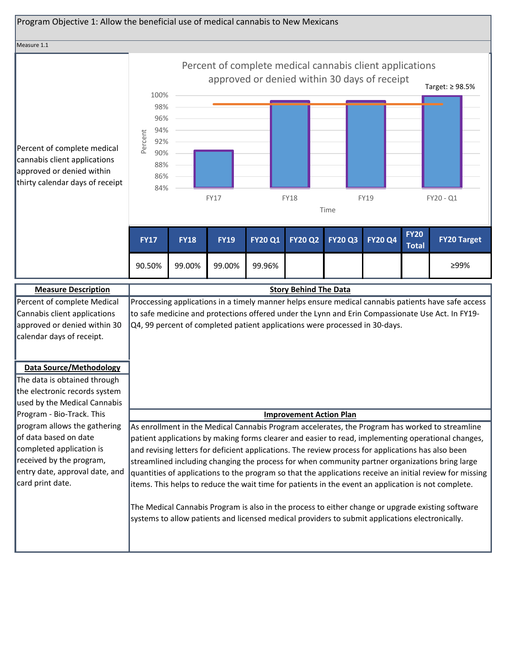| Program Objective 1: Allow the beneficial use of medical cannabis to New Mexicans                                           |                                                                         |                              |             |                                                                             |                                |                                                                                                                          |                |                              |                                                                                                                                                                                                         |
|-----------------------------------------------------------------------------------------------------------------------------|-------------------------------------------------------------------------|------------------------------|-------------|-----------------------------------------------------------------------------|--------------------------------|--------------------------------------------------------------------------------------------------------------------------|----------------|------------------------------|---------------------------------------------------------------------------------------------------------------------------------------------------------------------------------------------------------|
| Measure 1.1                                                                                                                 |                                                                         |                              |             |                                                                             |                                |                                                                                                                          |                |                              |                                                                                                                                                                                                         |
| Percent of complete medical<br>cannabis client applications<br>approved or denied within<br>thirty calendar days of receipt | 100%<br>98%<br>96%<br>94%<br>Percent<br>92%<br>90%<br>88%<br>86%<br>84% |                              | FY17        |                                                                             | <b>FY18</b>                    | Percent of complete medical cannabis client applications<br>approved or denied within 30 days of receipt<br>FY19<br>Time |                | Target: ≥ 98.5%<br>FY20 - Q1 |                                                                                                                                                                                                         |
|                                                                                                                             | <b>FY17</b>                                                             | <b>FY18</b>                  | <b>FY19</b> | <b>FY20 Q1</b>                                                              | <b>FY20 Q2</b>                 | <b>FY20 Q3</b>                                                                                                           | <b>FY20 Q4</b> | <b>FY20</b><br><b>Total</b>  | <b>FY20 Target</b>                                                                                                                                                                                      |
|                                                                                                                             | 90.50%                                                                  | 99.00%                       | 99.00%      | 99.96%                                                                      |                                |                                                                                                                          |                |                              | ≥99%                                                                                                                                                                                                    |
| <b>Measure Description</b>                                                                                                  |                                                                         | <b>Story Behind The Data</b> |             |                                                                             |                                |                                                                                                                          |                |                              |                                                                                                                                                                                                         |
| Percent of complete Medical<br>Cannabis client applications<br>approved or denied within 30<br>calendar days of receipt.    |                                                                         |                              |             | Q4, 99 percent of completed patient applications were processed in 30-days. |                                |                                                                                                                          |                |                              | Proccessing applications in a timely manner helps ensure medical cannabis patients have safe access<br>to safe medicine and protections offered under the Lynn and Erin Compassionate Use Act. In FY19- |
| <b>Data Source/Methodology</b><br>The data is obtained through<br>the electronic records system                             |                                                                         |                              |             |                                                                             |                                |                                                                                                                          |                |                              |                                                                                                                                                                                                         |
|                                                                                                                             |                                                                         |                              |             |                                                                             |                                |                                                                                                                          |                |                              |                                                                                                                                                                                                         |
| used by the Medical Cannabis<br>Program - Bio-Track. This                                                                   |                                                                         |                              |             |                                                                             | <b>Improvement Action Plan</b> |                                                                                                                          |                |                              |                                                                                                                                                                                                         |